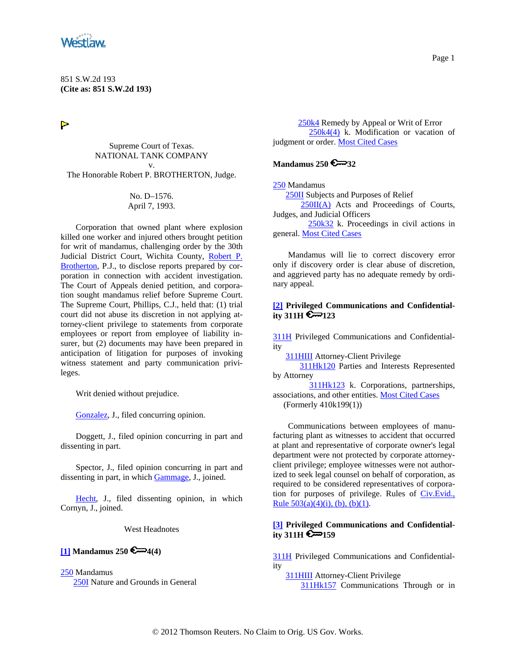<span id="page-0-0"></span>

 $\triangleright$ 

Supreme Court of Texas. NATIONAL TANK COMPANY v. The Honorable Robert P. BROTHERTON, Judge.

### No. D–1576. April 7, 1993.

Corporation that owned plant where explosion killed one worker and injured others brought petition for writ of mandamus, challenging order by the 30th Judicial District Court, Wichita County, [Robert P.](http://www.westlaw.com/Find/Default.wl?rs=dfa1.0&vr=2.0&DB=PROFILER-WLD&DocName=0191103301&FindType=h)  [Brotherton](http://www.westlaw.com/Find/Default.wl?rs=dfa1.0&vr=2.0&DB=PROFILER-WLD&DocName=0191103301&FindType=h), P.J., to disclose reports prepared by corporation in connection with accident investigation. The Court of Appeals denied petition, and corporation sought mandamus relief before Supreme Court. The Supreme Court, Phillips, C.J., held that: (1) trial court did not abuse its discretion in not applying attorney-client privilege to statements from corporate employees or report from employee of liability insurer, but (2) documents may have been prepared in anticipation of litigation for purposes of invoking witness statement and party communication privileges.

Writ denied without prejudice.

[Gonzalez,](http://www.westlaw.com/Find/Default.wl?rs=dfa1.0&vr=2.0&DB=PROFILER-WLD&DocName=0260593901&FindType=h) J., filed concurring opinion.

Doggett, J., filed opinion concurring in part and dissenting in part.

Spector, J., filed opinion concurring in part and dissenting in part, in which [Gammage](http://www.westlaw.com/Find/Default.wl?rs=dfa1.0&vr=2.0&DB=PROFILER-WLD&DocName=0186810001&FindType=h), J., joined.

[Hecht,](http://www.westlaw.com/Find/Default.wl?rs=dfa1.0&vr=2.0&DB=PROFILER-WLD&DocName=0168852101&FindType=h) J., filed dissenting opinion, in which Cornyn, J., joined.

West Headnotes

## **[\[1\]](#page-5-0) Mandamus 250 4(4)**

[250](http://www.westlaw.com/KeyNumber/Default.wl?rs=dfa1.0&vr=2.0&CMD=KEY&DocName=250) Mandamus [250I](http://www.westlaw.com/KeyNumber/Default.wl?rs=dfa1.0&vr=2.0&CMD=KEY&DocName=250I) Nature and Grounds in General

 [250k4](http://www.westlaw.com/KeyNumber/Default.wl?rs=dfa1.0&vr=2.0&CMD=KEY&DocName=250k4) Remedy by Appeal or Writ of Error  $250k4(4)$  k. Modification or vacation of judgment or order. [Most Cited Cases](http://www.westlaw.com/Digest/Default.wl?rs=dfa1.0&vr=2.0&CMD=MCC&DocName=250k4%284%29)

### **Mandamus 250 6 32**

[250](http://www.westlaw.com/KeyNumber/Default.wl?rs=dfa1.0&vr=2.0&CMD=KEY&DocName=250) Mandamus

 [250II](http://www.westlaw.com/KeyNumber/Default.wl?rs=dfa1.0&vr=2.0&CMD=KEY&DocName=250II) Subjects and Purposes of Relief  $250II(A)$  Acts and Proceedings of Courts, Judges, and Judicial Officers

 [250k32](http://www.westlaw.com/KeyNumber/Default.wl?rs=dfa1.0&vr=2.0&CMD=KEY&DocName=250k32) k. Proceedings in civil actions in general. [Most Cited Cases](http://www.westlaw.com/Digest/Default.wl?rs=dfa1.0&vr=2.0&CMD=MCC&DocName=250k32)

Mandamus will lie to correct discovery error only if discovery order is clear abuse of discretion, and aggrieved party has no adequate remedy by ordinary appeal.

## **[\[2\]](#page-5-0) Privileged Communications and Confidential** $ity 311H$

[311H](http://www.westlaw.com/KeyNumber/Default.wl?rs=dfa1.0&vr=2.0&CMD=KEY&DocName=311H) Privileged Communications and Confidentiality

[311HIII](http://www.westlaw.com/KeyNumber/Default.wl?rs=dfa1.0&vr=2.0&CMD=KEY&DocName=311HIII) Attorney-Client Privilege

[311Hk120](http://www.westlaw.com/KeyNumber/Default.wl?rs=dfa1.0&vr=2.0&CMD=KEY&DocName=311Hk120) Parties and Interests Represented by Attorney

 [311Hk123](http://www.westlaw.com/KeyNumber/Default.wl?rs=dfa1.0&vr=2.0&CMD=KEY&DocName=311Hk123) k. Corporations, partnerships, associations, and other entities. [Most Cited Cases](http://www.westlaw.com/Digest/Default.wl?rs=dfa1.0&vr=2.0&CMD=MCC&DocName=311Hk123) (Formerly 410k199(1))

Communications between employees of manufacturing plant as witnesses to accident that occurred at plant and representative of corporate owner's legal department were not protected by corporate attorneyclient privilege; employee witnesses were not authorized to seek legal counsel on behalf of corporation, as required to be considered representatives of corporation for purposes of privilege. Rules of [Civ.Evid.,](http://www.westlaw.com/Find/Default.wl?rs=dfa1.0&vr=2.0&DB=1000301&DocName=TXRRRL503&FindType=L)  Rule  $503(a)(4)(i)$ , (b), (b)(1).

## **[\[3\]](#page-5-0) Privileged Communications and Confidential**ity  $311H \in \Xi$  159

**[311H](http://www.westlaw.com/KeyNumber/Default.wl?rs=dfa1.0&vr=2.0&CMD=KEY&DocName=311H)** Privileged Communications and Confidentiality

 [311HIII](http://www.westlaw.com/KeyNumber/Default.wl?rs=dfa1.0&vr=2.0&CMD=KEY&DocName=311HIII) Attorney-Client Privilege [311Hk157](http://www.westlaw.com/KeyNumber/Default.wl?rs=dfa1.0&vr=2.0&CMD=KEY&DocName=311Hk157) Communications Through or in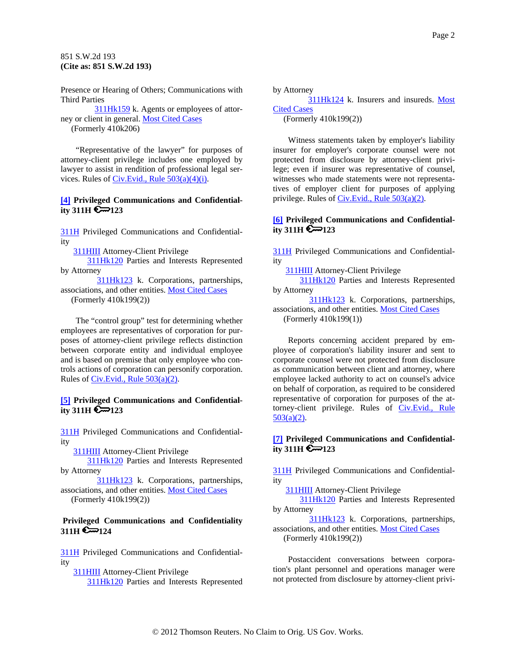<span id="page-1-0"></span>Presence or Hearing of Others; Communications with Third Parties

 [311Hk159](http://www.westlaw.com/KeyNumber/Default.wl?rs=dfa1.0&vr=2.0&CMD=KEY&DocName=311Hk159) k. Agents or employees of attorney or client in general. [Most Cited Cases](http://www.westlaw.com/Digest/Default.wl?rs=dfa1.0&vr=2.0&CMD=MCC&DocName=311Hk159)

(Formerly 410k206)

"Representative of the lawyer" for purposes of attorney-client privilege includes one employed by lawyer to assist in rendition of professional legal services. Rules of [Civ.Evid., Rule 503\(a\)\(4\)\(i\).](http://www.westlaw.com/Find/Default.wl?rs=dfa1.0&vr=2.0&DB=1000301&DocName=TXRRRL503&FindType=L)

### **[\[4\]](#page-5-0) Privileged Communications and Confidentiality 311H**  $\epsilon$  $\approx$  123

[311H](http://www.westlaw.com/KeyNumber/Default.wl?rs=dfa1.0&vr=2.0&CMD=KEY&DocName=311H) Privileged Communications and Confidentiality

[311HIII](http://www.westlaw.com/KeyNumber/Default.wl?rs=dfa1.0&vr=2.0&CMD=KEY&DocName=311HIII) Attorney-Client Privilege

 [311Hk120](http://www.westlaw.com/KeyNumber/Default.wl?rs=dfa1.0&vr=2.0&CMD=KEY&DocName=311Hk120) Parties and Interests Represented by Attorney

 [311Hk123](http://www.westlaw.com/KeyNumber/Default.wl?rs=dfa1.0&vr=2.0&CMD=KEY&DocName=311Hk123) k. Corporations, partnerships, associations, and other entities. [Most Cited Cases](http://www.westlaw.com/Digest/Default.wl?rs=dfa1.0&vr=2.0&CMD=MCC&DocName=311Hk123)

(Formerly 410k199(2))

The "control group" test for determining whether employees are representatives of corporation for purposes of attorney-client privilege reflects distinction between corporate entity and individual employee and is based on premise that only employee who controls actions of corporation can personify corporation. Rules of [Civ.Evid., Rule 503\(a\)\(2\).](http://www.westlaw.com/Find/Default.wl?rs=dfa1.0&vr=2.0&DB=1000301&DocName=TXRRRL503&FindType=L)

## **[\[5\]](#page-7-0) Privileged Communications and Confidentiality 311H**  $\epsilon$  $\approx$ 123

[311H](http://www.westlaw.com/KeyNumber/Default.wl?rs=dfa1.0&vr=2.0&CMD=KEY&DocName=311H) Privileged Communications and Confidentiality

[311HIII](http://www.westlaw.com/KeyNumber/Default.wl?rs=dfa1.0&vr=2.0&CMD=KEY&DocName=311HIII) Attorney-Client Privilege

[311Hk120](http://www.westlaw.com/KeyNumber/Default.wl?rs=dfa1.0&vr=2.0&CMD=KEY&DocName=311Hk120) Parties and Interests Represented by Attorney

 [311Hk123](http://www.westlaw.com/KeyNumber/Default.wl?rs=dfa1.0&vr=2.0&CMD=KEY&DocName=311Hk123) k. Corporations, partnerships, associations, and other entities. [Most Cited Cases](http://www.westlaw.com/Digest/Default.wl?rs=dfa1.0&vr=2.0&CMD=MCC&DocName=311Hk123) (Formerly 410k199(2))

## **Privileged Communications and Confidentiality**  311H  $\sum_{124}$

[311H](http://www.westlaw.com/KeyNumber/Default.wl?rs=dfa1.0&vr=2.0&CMD=KEY&DocName=311H) Privileged Communications and Confidentiality

**[311HIII](http://www.westlaw.com/KeyNumber/Default.wl?rs=dfa1.0&vr=2.0&CMD=KEY&DocName=311HIII)** Attorney-Client Privilege [311Hk120](http://www.westlaw.com/KeyNumber/Default.wl?rs=dfa1.0&vr=2.0&CMD=KEY&DocName=311Hk120) Parties and Interests Represented

## by Attorney [311Hk124](http://www.westlaw.com/KeyNumber/Default.wl?rs=dfa1.0&vr=2.0&CMD=KEY&DocName=311Hk124) k. Insurers and insureds. [Most](http://www.westlaw.com/Digest/Default.wl?rs=dfa1.0&vr=2.0&CMD=MCC&DocName=311Hk124)  [Cited Cases](http://www.westlaw.com/Digest/Default.wl?rs=dfa1.0&vr=2.0&CMD=MCC&DocName=311Hk124)

(Formerly 410k199(2))

Witness statements taken by employer's liability insurer for employer's corporate counsel were not protected from disclosure by attorney-client privilege; even if insurer was representative of counsel, witnesses who made statements were not representatives of employer client for purposes of applying privilege. Rules of  $Civ.Evid.$  Rule  $503(a)(2)$ .

## **[\[6\]](#page-7-0) Privileged Communications and Confidentiality 311H**  $\epsilon$  $\approx$  123

[311H](http://www.westlaw.com/KeyNumber/Default.wl?rs=dfa1.0&vr=2.0&CMD=KEY&DocName=311H) Privileged Communications and Confidentiality

[311HIII](http://www.westlaw.com/KeyNumber/Default.wl?rs=dfa1.0&vr=2.0&CMD=KEY&DocName=311HIII) Attorney-Client Privilege

[311Hk120](http://www.westlaw.com/KeyNumber/Default.wl?rs=dfa1.0&vr=2.0&CMD=KEY&DocName=311Hk120) Parties and Interests Represented by Attorney

 [311Hk123](http://www.westlaw.com/KeyNumber/Default.wl?rs=dfa1.0&vr=2.0&CMD=KEY&DocName=311Hk123) k. Corporations, partnerships, associations, and other entities. [Most Cited Cases](http://www.westlaw.com/Digest/Default.wl?rs=dfa1.0&vr=2.0&CMD=MCC&DocName=311Hk123) (Formerly 410k199(1))

Reports concerning accident prepared by employee of corporation's liability insurer and sent to corporate counsel were not protected from disclosure as communication between client and attorney, where employee lacked authority to act on counsel's advice on behalf of corporation, as required to be considered representative of corporation for purposes of the attorney-client privilege. Rules of Civ.Evid., Rule [503\(a\)\(2\).](http://www.westlaw.com/Find/Default.wl?rs=dfa1.0&vr=2.0&DB=1000301&DocName=TXRRRL503&FindType=L)

## **[\[7\]](#page-7-0) Privileged Communications and Confidential**ity  $311H \in \Xi$  123

**[311H](http://www.westlaw.com/KeyNumber/Default.wl?rs=dfa1.0&vr=2.0&CMD=KEY&DocName=311H)** Privileged Communications and Confidentiality

**[311HIII](http://www.westlaw.com/KeyNumber/Default.wl?rs=dfa1.0&vr=2.0&CMD=KEY&DocName=311HIII)** Attorney-Client Privilege

 [311Hk120](http://www.westlaw.com/KeyNumber/Default.wl?rs=dfa1.0&vr=2.0&CMD=KEY&DocName=311Hk120) Parties and Interests Represented by Attorney

 [311Hk123](http://www.westlaw.com/KeyNumber/Default.wl?rs=dfa1.0&vr=2.0&CMD=KEY&DocName=311Hk123) k. Corporations, partnerships, associations, and other entities. [Most Cited Cases](http://www.westlaw.com/Digest/Default.wl?rs=dfa1.0&vr=2.0&CMD=MCC&DocName=311Hk123) (Formerly 410k199(2))

Postaccident conversations between corporation's plant personnel and operations manager were not protected from disclosure by attorney-client privi-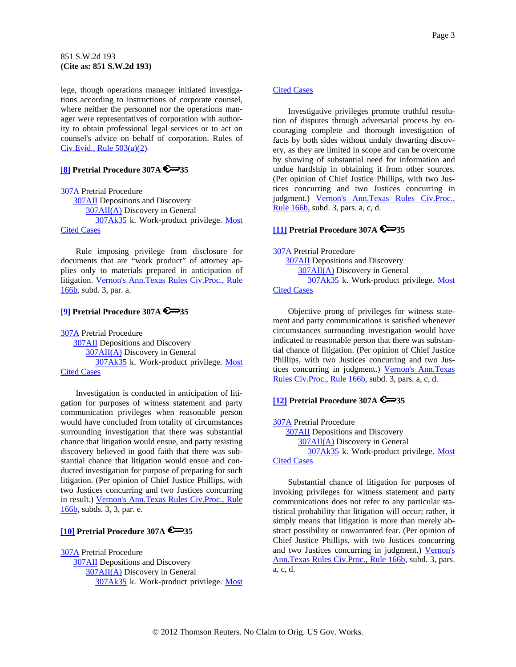<span id="page-2-0"></span>lege, though operations manager initiated investigations according to instructions of corporate counsel, where neither the personnel nor the operations manager were representatives of corporation with authority to obtain professional legal services or to act on counsel's advice on behalf of corporation. Rules of [Civ.Evid., Rule 503\(a\)\(2\).](http://www.westlaw.com/Find/Default.wl?rs=dfa1.0&vr=2.0&DB=1000301&DocName=TXRRRL503&FindType=L)

# **[\[8\]](#page-9-0) Pretrial Procedure 307A 6**<sup>35</sup>

[307A](http://www.westlaw.com/KeyNumber/Default.wl?rs=dfa1.0&vr=2.0&CMD=KEY&DocName=307A) Pretrial Procedure

 [307AII](http://www.westlaw.com/KeyNumber/Default.wl?rs=dfa1.0&vr=2.0&CMD=KEY&DocName=307AII) Depositions and Discovery [307AII\(A\)](http://www.westlaw.com/KeyNumber/Default.wl?rs=dfa1.0&vr=2.0&CMD=KEY&DocName=307AII%28A%29) Discovery in General [307Ak35](http://www.westlaw.com/KeyNumber/Default.wl?rs=dfa1.0&vr=2.0&CMD=KEY&DocName=307Ak35) k. Work-product privilege. [Most](http://www.westlaw.com/Digest/Default.wl?rs=dfa1.0&vr=2.0&CMD=MCC&DocName=307Ak35)  **[Cited Cases](http://www.westlaw.com/Digest/Default.wl?rs=dfa1.0&vr=2.0&CMD=MCC&DocName=307Ak35)** 

Rule imposing privilege from disclosure for documents that are "work product" of attorney applies only to materials prepared in anticipation of litigation. [Vernon's Ann.Texas Rules Civ.Proc., Rule](http://www.westlaw.com/Find/Default.wl?rs=dfa1.0&vr=2.0&DB=1005302&DocName=TXRRCPR166B&FindType=L)  [166b,](http://www.westlaw.com/Find/Default.wl?rs=dfa1.0&vr=2.0&DB=1005302&DocName=TXRRCPR166B&FindType=L) subd. 3, par. a.

# **[\[9\]](#page-11-0) Pretrial Procedure 307A 35**

[307A](http://www.westlaw.com/KeyNumber/Default.wl?rs=dfa1.0&vr=2.0&CMD=KEY&DocName=307A) Pretrial Procedure [307AII](http://www.westlaw.com/KeyNumber/Default.wl?rs=dfa1.0&vr=2.0&CMD=KEY&DocName=307AII) Depositions and Discovery [307AII\(A\)](http://www.westlaw.com/KeyNumber/Default.wl?rs=dfa1.0&vr=2.0&CMD=KEY&DocName=307AII%28A%29) Discovery in General [307Ak35](http://www.westlaw.com/KeyNumber/Default.wl?rs=dfa1.0&vr=2.0&CMD=KEY&DocName=307Ak35) k. Work-product privilege. [Most](http://www.westlaw.com/Digest/Default.wl?rs=dfa1.0&vr=2.0&CMD=MCC&DocName=307Ak35)  [Cited Cases](http://www.westlaw.com/Digest/Default.wl?rs=dfa1.0&vr=2.0&CMD=MCC&DocName=307Ak35)

Investigation is conducted in anticipation of litigation for purposes of witness statement and party communication privileges when reasonable person would have concluded from totality of circumstances surrounding investigation that there was substantial chance that litigation would ensue, and party resisting discovery believed in good faith that there was substantial chance that litigation would ensue and conducted investigation for purpose of preparing for such litigation. (Per opinion of Chief Justice Phillips, with two Justices concurring and two Justices concurring in result.) [Vernon's Ann.Texas Rules Civ.Proc., Rule](http://www.westlaw.com/Find/Default.wl?rs=dfa1.0&vr=2.0&DB=1005302&DocName=TXRRCPR166B&FindType=L)  [166b,](http://www.westlaw.com/Find/Default.wl?rs=dfa1.0&vr=2.0&DB=1005302&DocName=TXRRCPR166B&FindType=L) subds. 3, 3, par. e.

## **[\[10\]](#page-11-0) Pretrial Procedure 307A 35**

### [307A](http://www.westlaw.com/KeyNumber/Default.wl?rs=dfa1.0&vr=2.0&CMD=KEY&DocName=307A) Pretrial Procedure

 [307AII](http://www.westlaw.com/KeyNumber/Default.wl?rs=dfa1.0&vr=2.0&CMD=KEY&DocName=307AII) Depositions and Discovery [307AII\(A\)](http://www.westlaw.com/KeyNumber/Default.wl?rs=dfa1.0&vr=2.0&CMD=KEY&DocName=307AII%28A%29) Discovery in General [307Ak35](http://www.westlaw.com/KeyNumber/Default.wl?rs=dfa1.0&vr=2.0&CMD=KEY&DocName=307Ak35) k. Work-product privilege. [Most](http://www.westlaw.com/Digest/Default.wl?rs=dfa1.0&vr=2.0&CMD=MCC&DocName=307Ak35) 

### [Cited Cases](http://www.westlaw.com/Digest/Default.wl?rs=dfa1.0&vr=2.0&CMD=MCC&DocName=307Ak35)

Investigative privileges promote truthful resolution of disputes through adversarial process by encouraging complete and thorough investigation of facts by both sides without unduly thwarting discovery, as they are limited in scope and can be overcome by showing of substantial need for information and undue hardship in obtaining it from other sources. (Per opinion of Chief Justice Phillips, with two Justices concurring and two Justices concurring in judgment.) [Vernon's Ann.Texas Rules Civ.Proc.,](http://www.westlaw.com/Find/Default.wl?rs=dfa1.0&vr=2.0&DB=1005302&DocName=TXRRCPR166B&FindType=L)  [Rule 166b](http://www.westlaw.com/Find/Default.wl?rs=dfa1.0&vr=2.0&DB=1005302&DocName=TXRRCPR166B&FindType=L), subd. 3, pars. a, c, d.

### **[\[11\]](#page-12-0) Pretrial Procedure 307A 35**

[307A](http://www.westlaw.com/KeyNumber/Default.wl?rs=dfa1.0&vr=2.0&CMD=KEY&DocName=307A) Pretrial Procedure [307AII](http://www.westlaw.com/KeyNumber/Default.wl?rs=dfa1.0&vr=2.0&CMD=KEY&DocName=307AII) Depositions and Discovery [307AII\(A\)](http://www.westlaw.com/KeyNumber/Default.wl?rs=dfa1.0&vr=2.0&CMD=KEY&DocName=307AII%28A%29) Discovery in General [307Ak35](http://www.westlaw.com/KeyNumber/Default.wl?rs=dfa1.0&vr=2.0&CMD=KEY&DocName=307Ak35) k. Work-product privilege. [Most](http://www.westlaw.com/Digest/Default.wl?rs=dfa1.0&vr=2.0&CMD=MCC&DocName=307Ak35)  **[Cited Cases](http://www.westlaw.com/Digest/Default.wl?rs=dfa1.0&vr=2.0&CMD=MCC&DocName=307Ak35)** 

Objective prong of privileges for witness statement and party communications is satisfied whenever circumstances surrounding investigation would have indicated to reasonable person that there was substantial chance of litigation. (Per opinion of Chief Justice Phillips, with two Justices concurring and two Justices concurring in judgment.) [Vernon's Ann.Texas](http://www.westlaw.com/Find/Default.wl?rs=dfa1.0&vr=2.0&DB=1005302&DocName=TXRRCPR166B&FindType=L)  [Rules Civ.Proc., Rule 166b,](http://www.westlaw.com/Find/Default.wl?rs=dfa1.0&vr=2.0&DB=1005302&DocName=TXRRCPR166B&FindType=L) subd. 3, pars. a, c, d.

### **[\[12\]](#page-12-0) Pretrial Procedure 307A 35**

[307A](http://www.westlaw.com/KeyNumber/Default.wl?rs=dfa1.0&vr=2.0&CMD=KEY&DocName=307A) Pretrial Procedure [307AII](http://www.westlaw.com/KeyNumber/Default.wl?rs=dfa1.0&vr=2.0&CMD=KEY&DocName=307AII) Depositions and Discovery [307AII\(A\)](http://www.westlaw.com/KeyNumber/Default.wl?rs=dfa1.0&vr=2.0&CMD=KEY&DocName=307AII%28A%29) Discovery in General [307Ak35](http://www.westlaw.com/KeyNumber/Default.wl?rs=dfa1.0&vr=2.0&CMD=KEY&DocName=307Ak35) k. Work-product privilege. [Most](http://www.westlaw.com/Digest/Default.wl?rs=dfa1.0&vr=2.0&CMD=MCC&DocName=307Ak35)  [Cited Cases](http://www.westlaw.com/Digest/Default.wl?rs=dfa1.0&vr=2.0&CMD=MCC&DocName=307Ak35)

Substantial chance of litigation for purposes of invoking privileges for witness statement and party communications does not refer to any particular statistical probability that litigation will occur; rather, it simply means that litigation is more than merely abstract possibility or unwarranted fear. (Per opinion of Chief Justice Phillips, with two Justices concurring and two Justices concurring in judgment.) [Vernon's](http://www.westlaw.com/Find/Default.wl?rs=dfa1.0&vr=2.0&DB=1005302&DocName=TXRRCPR166B&FindType=L)  [Ann.Texas Rules Civ.Proc., Rule 166b,](http://www.westlaw.com/Find/Default.wl?rs=dfa1.0&vr=2.0&DB=1005302&DocName=TXRRCPR166B&FindType=L) subd. 3, pars. a, c, d.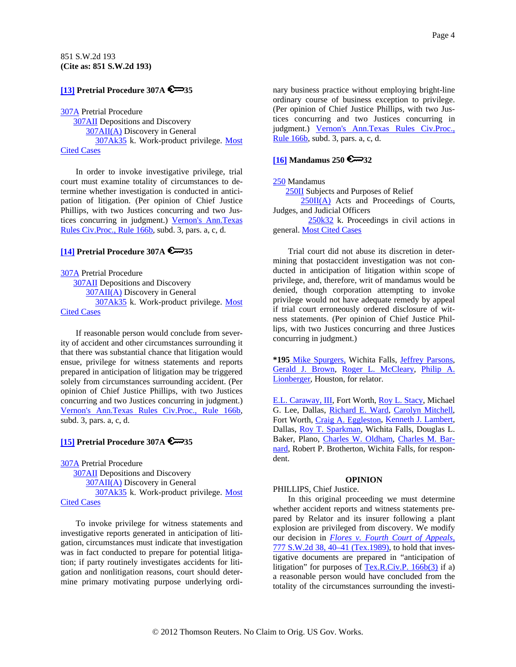## <span id="page-3-0"></span>**[\[13\]](#page-12-0) Pretrial Procedure 307A 35**

[307A](http://www.westlaw.com/KeyNumber/Default.wl?rs=dfa1.0&vr=2.0&CMD=KEY&DocName=307A) Pretrial Procedure [307AII](http://www.westlaw.com/KeyNumber/Default.wl?rs=dfa1.0&vr=2.0&CMD=KEY&DocName=307AII) Depositions and Discovery [307AII\(A\)](http://www.westlaw.com/KeyNumber/Default.wl?rs=dfa1.0&vr=2.0&CMD=KEY&DocName=307AII%28A%29) Discovery in General [307Ak35](http://www.westlaw.com/KeyNumber/Default.wl?rs=dfa1.0&vr=2.0&CMD=KEY&DocName=307Ak35) k. Work-product privilege. [Most](http://www.westlaw.com/Digest/Default.wl?rs=dfa1.0&vr=2.0&CMD=MCC&DocName=307Ak35)  [Cited Cases](http://www.westlaw.com/Digest/Default.wl?rs=dfa1.0&vr=2.0&CMD=MCC&DocName=307Ak35)

In order to invoke investigative privilege, trial court must examine totality of circumstances to determine whether investigation is conducted in anticipation of litigation. (Per opinion of Chief Justice Phillips, with two Justices concurring and two Justices concurring in judgment.) [Vernon's Ann.Texas](http://www.westlaw.com/Find/Default.wl?rs=dfa1.0&vr=2.0&DB=1005302&DocName=TXRRCPR166B&FindType=L)  [Rules Civ.Proc., Rule 166b,](http://www.westlaw.com/Find/Default.wl?rs=dfa1.0&vr=2.0&DB=1005302&DocName=TXRRCPR166B&FindType=L) subd. 3, pars. a, c, d.

### **[\[14\]](#page-12-0) Pretrial Procedure 307A 35**

[307A](http://www.westlaw.com/KeyNumber/Default.wl?rs=dfa1.0&vr=2.0&CMD=KEY&DocName=307A) Pretrial Procedure [307AII](http://www.westlaw.com/KeyNumber/Default.wl?rs=dfa1.0&vr=2.0&CMD=KEY&DocName=307AII) Depositions and Discovery [307AII\(A\)](http://www.westlaw.com/KeyNumber/Default.wl?rs=dfa1.0&vr=2.0&CMD=KEY&DocName=307AII%28A%29) Discovery in General [307Ak35](http://www.westlaw.com/KeyNumber/Default.wl?rs=dfa1.0&vr=2.0&CMD=KEY&DocName=307Ak35) k. Work-product privilege. [Most](http://www.westlaw.com/Digest/Default.wl?rs=dfa1.0&vr=2.0&CMD=MCC&DocName=307Ak35)  [Cited Cases](http://www.westlaw.com/Digest/Default.wl?rs=dfa1.0&vr=2.0&CMD=MCC&DocName=307Ak35)

If reasonable person would conclude from severity of accident and other circumstances surrounding it that there was substantial chance that litigation would ensue, privilege for witness statements and reports prepared in anticipation of litigation may be triggered solely from circumstances surrounding accident. (Per opinion of Chief Justice Phillips, with two Justices concurring and two Justices concurring in judgment.) [Vernon's Ann.Texas Rules Civ.Proc., Rule 166b,](http://www.westlaw.com/Find/Default.wl?rs=dfa1.0&vr=2.0&DB=1005302&DocName=TXRRCPR166B&FindType=L) subd. 3, pars. a, c, d.

## **[\[15\]](#page-14-0) Pretrial Procedure 307A 35**

[307A](http://www.westlaw.com/KeyNumber/Default.wl?rs=dfa1.0&vr=2.0&CMD=KEY&DocName=307A) Pretrial Procedure [307AII](http://www.westlaw.com/KeyNumber/Default.wl?rs=dfa1.0&vr=2.0&CMD=KEY&DocName=307AII) Depositions and Discovery [307AII\(A\)](http://www.westlaw.com/KeyNumber/Default.wl?rs=dfa1.0&vr=2.0&CMD=KEY&DocName=307AII%28A%29) Discovery in General [307Ak35](http://www.westlaw.com/KeyNumber/Default.wl?rs=dfa1.0&vr=2.0&CMD=KEY&DocName=307Ak35) k. Work-product privilege. [Most](http://www.westlaw.com/Digest/Default.wl?rs=dfa1.0&vr=2.0&CMD=MCC&DocName=307Ak35)  [Cited Cases](http://www.westlaw.com/Digest/Default.wl?rs=dfa1.0&vr=2.0&CMD=MCC&DocName=307Ak35)

To invoke privilege for witness statements and investigative reports generated in anticipation of litigation, circumstances must indicate that investigation was in fact conducted to prepare for potential litigation; if party routinely investigates accidents for litigation and nonlitigation reasons, court should determine primary motivating purpose underlying ordinary business practice without employing bright-line ordinary course of business exception to privilege. (Per opinion of Chief Justice Phillips, with two Justices concurring and two Justices concurring in judgment.) [Vernon's Ann.Texas Rules Civ.Proc.,](http://www.westlaw.com/Find/Default.wl?rs=dfa1.0&vr=2.0&DB=1005302&DocName=TXRRCPR166B&FindType=L)  [Rule 166b](http://www.westlaw.com/Find/Default.wl?rs=dfa1.0&vr=2.0&DB=1005302&DocName=TXRRCPR166B&FindType=L), subd. 3, pars. a, c, d.

### **[\[16\]](#page-15-0) Mandamus 250 32**

#### [250](http://www.westlaw.com/KeyNumber/Default.wl?rs=dfa1.0&vr=2.0&CMD=KEY&DocName=250) Mandamus

[250II](http://www.westlaw.com/KeyNumber/Default.wl?rs=dfa1.0&vr=2.0&CMD=KEY&DocName=250II) Subjects and Purposes of Relief

 $250II(A)$  Acts and Proceedings of Courts, Judges, and Judicial Officers

 [250k32](http://www.westlaw.com/KeyNumber/Default.wl?rs=dfa1.0&vr=2.0&CMD=KEY&DocName=250k32) k. Proceedings in civil actions in general. [Most Cited Cases](http://www.westlaw.com/Digest/Default.wl?rs=dfa1.0&vr=2.0&CMD=MCC&DocName=250k32)

Trial court did not abuse its discretion in determining that postaccident investigation was not conducted in anticipation of litigation within scope of privilege, and, therefore, writ of mandamus would be denied, though corporation attempting to invoke privilege would not have adequate remedy by appeal if trial court erroneously ordered disclosure of witness statements. (Per opinion of Chief Justice Phillips, with two Justices concurring and three Justices concurring in judgment.)

**\*195** [Mike Spurgers,](http://www.westlaw.com/Find/Default.wl?rs=dfa1.0&vr=2.0&DB=PROFILER-WLD&DocName=0159412201&FindType=h) Wichita Falls, [Jeffrey Parsons,](http://www.westlaw.com/Find/Default.wl?rs=dfa1.0&vr=2.0&DB=PROFILER-WLD&DocName=0185316401&FindType=h) [Gerald J. Brown](http://www.westlaw.com/Find/Default.wl?rs=dfa1.0&vr=2.0&DB=PROFILER-WLD&DocName=0172040701&FindType=h), [Roger L. McCleary](http://www.westlaw.com/Find/Default.wl?rs=dfa1.0&vr=2.0&DB=PROFILER-WLD&DocName=0126557701&FindType=h), [Philip A.](http://www.westlaw.com/Find/Default.wl?rs=dfa1.0&vr=2.0&DB=PROFILER-WLD&DocName=0334173401&FindType=h)  [Lionberger](http://www.westlaw.com/Find/Default.wl?rs=dfa1.0&vr=2.0&DB=PROFILER-WLD&DocName=0334173401&FindType=h), Houston, for relator.

[E.L. Caraway, III](http://www.westlaw.com/Find/Default.wl?rs=dfa1.0&vr=2.0&DB=PROFILER-WLD&DocName=0104445801&FindType=h), Fort Worth, [Roy L. Stacy](http://www.westlaw.com/Find/Default.wl?rs=dfa1.0&vr=2.0&DB=PROFILER-WLD&DocName=0165581901&FindType=h), Michael G. Lee, Dallas, [Richard E. Ward](http://www.westlaw.com/Find/Default.wl?rs=dfa1.0&vr=2.0&DB=PROFILER-WLD&DocName=0285968501&FindType=h), [Carolyn Mitchell,](http://www.westlaw.com/Find/Default.wl?rs=dfa1.0&vr=2.0&DB=PROFILER-WLD&DocName=0230079701&FindType=h) Fort Worth, [Craig A. Eggleston](http://www.westlaw.com/Find/Default.wl?rs=dfa1.0&vr=2.0&DB=PROFILER-WLD&DocName=0146759501&FindType=h), [Kenneth J. Lambert,](http://www.westlaw.com/Find/Default.wl?rs=dfa1.0&vr=2.0&DB=PROFILER-WLD&DocName=0194649201&FindType=h) Dallas, [Roy T. Sparkman](http://www.westlaw.com/Find/Default.wl?rs=dfa1.0&vr=2.0&DB=PROFILER-WLD&DocName=0146692201&FindType=h), Wichita Falls, Douglas L. Baker, Plano, [Charles W. Oldham](http://www.westlaw.com/Find/Default.wl?rs=dfa1.0&vr=2.0&DB=PROFILER-WLD&DocName=0172828201&FindType=h), [Charles M. Bar](http://www.westlaw.com/Find/Default.wl?rs=dfa1.0&vr=2.0&DB=PROFILER-WLD&DocName=0289557301&FindType=h)[nard,](http://www.westlaw.com/Find/Default.wl?rs=dfa1.0&vr=2.0&DB=PROFILER-WLD&DocName=0289557301&FindType=h) Robert P. Brotherton, Wichita Falls, for respondent.

#### **OPINION**

#### PHILLIPS, Chief Justice.

In this original proceeding we must determine whether accident reports and witness statements prepared by Relator and its insurer following a plant explosion are privileged from discovery. We modif[y](http://www.westlaw.com/Find/Default.wl?rs=dfa1.0&vr=2.0&DB=713&FindType=Y&ReferencePositionType=S&SerialNum=1989097117&ReferencePosition=40)  our decision in *[Flores v. Fourth Court of Appeals,](http://www.westlaw.com/Find/Default.wl?rs=dfa1.0&vr=2.0&DB=713&FindType=Y&ReferencePositionType=S&SerialNum=1989097117&ReferencePosition=40)* [777 S.W.2d 38, 40–41 \(Tex.1989\),](http://www.westlaw.com/Find/Default.wl?rs=dfa1.0&vr=2.0&DB=713&FindType=Y&ReferencePositionType=S&SerialNum=1989097117&ReferencePosition=40) to hold that investigative documents are prepared in "anticipation of litigation" for purposes of  $Tex.R.Civ.P. 166b(3)$  if a) a reasonable person would have concluded from the totality of the circumstances surrounding the investi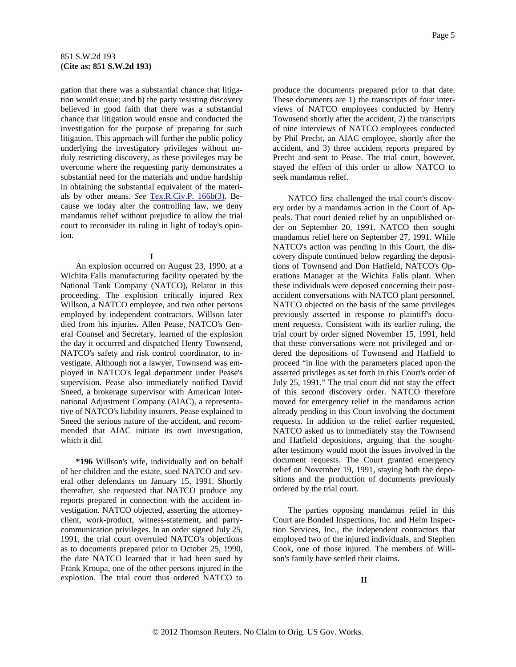gation that there was a substantial chance that litigation would ensue; and b) the party resisting discovery believed in good faith that there was a substantial chance that litigation would ensue and conducted the investigation for the purpose of preparing for such litigation. This approach will further the public policy underlying the investigatory privileges without unduly restricting discovery, as these privileges may be overcome where the requesting party demonstrates a substantial need for the materials and undue hardship in obtaining the substantial equivalent of the materials by other means. *See* [Tex.R.Civ.P. 166b\(3\).](http://www.westlaw.com/Find/Default.wl?rs=dfa1.0&vr=2.0&DB=1005302&DocName=TXRRCPR166B&FindType=L) Because we today alter the controlling law, we deny mandamus relief without prejudice to allow the trial court to reconsider its ruling in light of today's opinion.

**I**

An explosion occurred on August 23, 1990, at a Wichita Falls manufacturing facility operated by the National Tank Company (NATCO), Relator in this proceeding. The explosion critically injured Rex Willson, a NATCO employee, and two other persons employed by independent contractors. Willson later died from his injuries. Allen Pease, NATCO's General Counsel and Secretary, learned of the explosion the day it occurred and dispatched Henry Townsend, NATCO's safety and risk control coordinator, to investigate. Although not a lawyer, Townsend was employed in NATCO's legal department under Pease's supervision. Pease also immediately notified David Sneed, a brokerage supervisor with American International Adjustment Company (AIAC), a representative of NATCO's liability insurers. Pease explained to Sneed the serious nature of the accident, and recommended that AIAC initiate its own investigation, which it did.

**\*196** Willson's wife, individually and on behalf of her children and the estate, sued NATCO and several other defendants on January 15, 1991. Shortly thereafter, she requested that NATCO produce any reports prepared in connection with the accident investigation. NATCO objected, asserting the attorneyclient, work-product, witness-statement, and partycommunication privileges. In an order signed July 25, 1991, the trial court overruled NATCO's objections as to documents prepared prior to October 25, 1990, the date NATCO learned that it had been sued by Frank Kroupa, one of the other persons injured in the explosion. The trial court thus ordered NATCO to produce the documents prepared prior to that date. These documents are 1) the transcripts of four interviews of NATCO employees conducted by Henry Townsend shortly after the accident, 2) the transcripts of nine interviews of NATCO employees conducted by Phil Precht, an AIAC employee, shortly after the accident, and 3) three accident reports prepared by Precht and sent to Pease. The trial court, however, stayed the effect of this order to allow NATCO to seek mandamus relief.

NATCO first challenged the trial court's discovery order by a mandamus action in the Court of Appeals. That court denied relief by an unpublished order on September 20, 1991. NATCO then sought mandamus relief here on September 27, 1991. While NATCO's action was pending in this Court, the discovery dispute continued below regarding the depositions of Townsend and Don Hatfield, NATCO's Operations Manager at the Wichita Falls plant. When these individuals were deposed concerning their postaccident conversations with NATCO plant personnel, NATCO objected on the basis of the same privileges previously asserted in response to plaintiff's document requests. Consistent with its earlier ruling, the trial court by order signed November 15, 1991, held that these conversations were not privileged and ordered the depositions of Townsend and Hatfield to proceed "in line with the parameters placed upon the asserted privileges as set forth in this Court's order of July 25, 1991." The trial court did not stay the effect of this second discovery order. NATCO therefore moved for emergency relief in the mandamus action already pending in this Court involving the document requests. In addition to the relief earlier requested, NATCO asked us to immediately stay the Townsend and Hatfield depositions, arguing that the soughtafter testimony would moot the issues involved in the document requests. The Court granted emergency relief on November 19, 1991, staying both the depositions and the production of documents previously ordered by the trial court.

The parties opposing mandamus relief in this Court are Bonded Inspections, Inc. and Helm Inspection Services, Inc., the independent contractors that employed two of the injured individuals, and Stephen Cook, one of those injured. The members of Willson's family have settled their claims.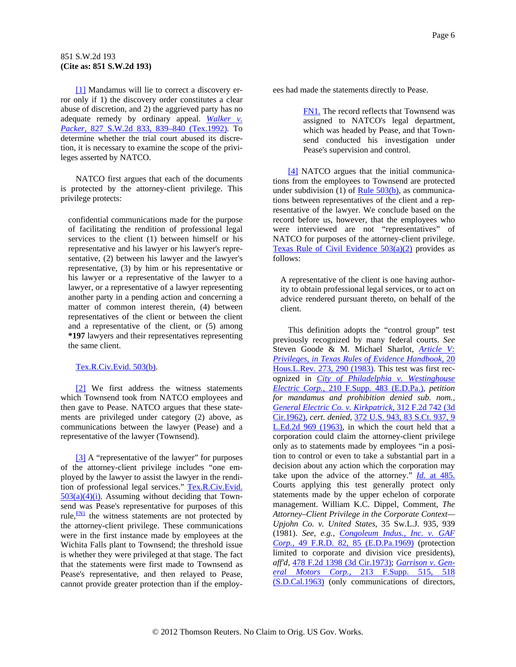<span id="page-5-0"></span>[\[1\]](#page-0-0) Mandamus will lie to correct a discovery error only if 1) the discovery order constitutes a clear abuse of discretion, and 2) the aggrieved party has no adequate remedy by ordinary appeal. *[Walker v.](http://www.westlaw.com/Find/Default.wl?rs=dfa1.0&vr=2.0&DB=713&FindType=Y&ReferencePositionType=S&SerialNum=1992044797&ReferencePosition=839)  [Packer,](http://www.westlaw.com/Find/Default.wl?rs=dfa1.0&vr=2.0&DB=713&FindType=Y&ReferencePositionType=S&SerialNum=1992044797&ReferencePosition=839)* [827 S.W.2d 833, 839–840 \(Tex.1992\)](http://www.westlaw.com/Find/Default.wl?rs=dfa1.0&vr=2.0&DB=713&FindType=Y&ReferencePositionType=S&SerialNum=1992044797&ReferencePosition=839). To determine whether the trial court abused its discretion, it is necessary to examine the scope of the privileges asserted by NATCO.

NATCO first argues that each of the documents is protected by the attorney-client privilege. This privilege protects:

confidential communications made for the purpose of facilitating the rendition of professional legal services to the client (1) between himself or his representative and his lawyer or his lawyer's representative, (2) between his lawyer and the lawyer's representative, (3) by him or his representative or his lawyer or a representative of the lawyer to a lawyer, or a representative of a lawyer representing another party in a pending action and concerning a matter of common interest therein, (4) between representatives of the client or between the client and a representative of the client, or (5) among **\*197** lawyers and their representatives representing the same client.

#### [Tex.R.Civ.Evid. 503\(b\).](http://www.westlaw.com/Find/Default.wl?rs=dfa1.0&vr=2.0&DB=1000301&DocName=TXRRRL503&FindType=L)

[\[2\]](#page-0-0) We first address the witness statements which Townsend took from NATCO employees and then gave to Pease. NATCO argues that these statements are privileged under category (2) above, as communications between the lawyer (Pease) and a representative of the lawyer (Townsend).

[\[3\]](#page-0-0) A "representative of the lawyer" for purposes of the attorney-client privilege includes "one employed by the lawyer to assist the lawyer in the rendition of professional legal services." [Tex.R.Civ.Evid.](http://www.westlaw.com/Find/Default.wl?rs=dfa1.0&vr=2.0&DB=1000301&DocName=TXRRRL503&FindType=L)   $503(a)(4)(i)$ . Assuming without deciding that Townsend was Pease's representative for purposes of this rule, $\frac{FN1}{FN}$  the witness statements are not protected by the attorney-client privilege. These communications were in the first instance made by employees at the Wichita Falls plant to Townsend; the threshold issue is whether they were privileged at that stage. The fact that the statements were first made to Townsend as Pease's representative, and then relayed to Pease, cannot provide greater protection than if the employees had made the statements directly to Pease.

[FN1.](#page-5-0) The record reflects that Townsend was assigned to NATCO's legal department, which was headed by Pease, and that Townsend conducted his investigation under Pease's supervision and control.

[\[4\]](#page-1-0) NATCO argues that the initial communications from the employees to Townsend are protected under subdivision (1) of Rule  $503(b)$ , as communications between representatives of the client and a representative of the lawyer. We conclude based on the record before us, however, that the employees who were interviewed are not "representatives" of NATCO for purposes of the attorney-client privilege. Texas Rule of Civil Evidence  $503(a)(2)$  provides as follows:

A representative of the client is one having authority to obtain professional legal services, or to act on advice rendered pursuant thereto, on behalf of the client.

This definition adopts the "control group" test previously recognized by many federal courts. *See* Steven Goode & M. Michael Sharlot, *[Article V:](http://www.westlaw.com/Find/Default.wl?rs=dfa1.0&vr=2.0&DB=1161&FindType=Y&ReferencePositionType=S&SerialNum=0101420581&ReferencePosition=290)  [Privileges, in Texas Rules of Evidence Handbook,](http://www.westlaw.com/Find/Default.wl?rs=dfa1.0&vr=2.0&DB=1161&FindType=Y&ReferencePositionType=S&SerialNum=0101420581&ReferencePosition=290)* [20](http://www.westlaw.com/Find/Default.wl?rs=dfa1.0&vr=2.0&DB=1161&FindType=Y&ReferencePositionType=S&SerialNum=0101420581&ReferencePosition=290)  [Hous.L.Rev. 273, 290 \(1983\)](http://www.westlaw.com/Find/Default.wl?rs=dfa1.0&vr=2.0&DB=1161&FindType=Y&ReferencePositionType=S&SerialNum=0101420581&ReferencePosition=290). This test was first recognized in *[City of Philadelphia v. Westinghouse](http://www.westlaw.com/Find/Default.wl?rs=dfa1.0&vr=2.0&DB=345&FindType=Y&SerialNum=1962112865)  [Electric Corp.,](http://www.westlaw.com/Find/Default.wl?rs=dfa1.0&vr=2.0&DB=345&FindType=Y&SerialNum=1962112865)* [210 F.Supp. 483 \(E.D.Pa.\)](http://www.westlaw.com/Find/Default.wl?rs=dfa1.0&vr=2.0&DB=345&FindType=Y&SerialNum=1962112865), *petition for mandamus and prohibition denied sub. nom., [General Electric Co. v. Kirkpatrick,](http://www.westlaw.com/Find/Default.wl?rs=dfa1.0&vr=2.0&DB=350&FindType=Y&SerialNum=1962204945)* [312 F.2d 742 \(3d](http://www.westlaw.com/Find/Default.wl?rs=dfa1.0&vr=2.0&DB=350&FindType=Y&SerialNum=1962204945)  [Cir.1962\),](http://www.westlaw.com/Find/Default.wl?rs=dfa1.0&vr=2.0&DB=350&FindType=Y&SerialNum=1962204945) *cert. denied,* [372 U.S. 943, 83 S.Ct. 937, 9](http://www.westlaw.com/Find/Default.wl?rs=dfa1.0&vr=2.0&DB=708&FindType=Y&SerialNum=1963202998)  [L.Ed.2d 969 \(1963\)](http://www.westlaw.com/Find/Default.wl?rs=dfa1.0&vr=2.0&DB=708&FindType=Y&SerialNum=1963202998), in which the court held that a corporation could claim the attorney-client privilege only as to statements made by employees "in a position to control or even to take a substantial part in a decision about any action which the corporation may take upon the advice of the attorney." *[Id.](http://www.westlaw.com/Find/Default.wl?rs=dfa1.0&vr=2.0&FindType=Y&SerialNum=1962112865)* [at 485.](http://www.westlaw.com/Find/Default.wl?rs=dfa1.0&vr=2.0&FindType=Y&SerialNum=1962112865) Courts applying this test generally protect only statements made by the upper echelon of corporate management. William K.C. Dippel, Comment, *The Attorney–Client Privilege in the Corporate Context— Upjohn Co. v. United States,* 35 Sw.L.J. 935, 939 (1981). *See, e.g., [Congoleum Indus., Inc. v. GAF](http://www.westlaw.com/Find/Default.wl?rs=dfa1.0&vr=2.0&DB=344&FindType=Y&ReferencePositionType=S&SerialNum=1969113139&ReferencePosition=85)  [Corp.,](http://www.westlaw.com/Find/Default.wl?rs=dfa1.0&vr=2.0&DB=344&FindType=Y&ReferencePositionType=S&SerialNum=1969113139&ReferencePosition=85)* [49 F.R.D. 82, 85 \(E.D.Pa.1969\)](http://www.westlaw.com/Find/Default.wl?rs=dfa1.0&vr=2.0&DB=344&FindType=Y&ReferencePositionType=S&SerialNum=1969113139&ReferencePosition=85) (protection limited to corporate and division vice presidents), *aff'd,* [478 F.2d 1398 \(3d Cir.1973\)](http://www.westlaw.com/Find/Default.wl?rs=dfa1.0&vr=2.0&DB=350&FindType=Y&SerialNum=1973202201); *[Garrison v. Gen](http://www.westlaw.com/Find/Default.wl?rs=dfa1.0&vr=2.0&DB=345&FindType=Y&ReferencePositionType=S&SerialNum=1963110999&ReferencePosition=518)[eral Motors Corp.,](http://www.westlaw.com/Find/Default.wl?rs=dfa1.0&vr=2.0&DB=345&FindType=Y&ReferencePositionType=S&SerialNum=1963110999&ReferencePosition=518)* [213 F.Supp. 515, 518](http://www.westlaw.com/Find/Default.wl?rs=dfa1.0&vr=2.0&DB=345&FindType=Y&ReferencePositionType=S&SerialNum=1963110999&ReferencePosition=518)  [\(S.D.Cal.1963\)](http://www.westlaw.com/Find/Default.wl?rs=dfa1.0&vr=2.0&DB=345&FindType=Y&ReferencePositionType=S&SerialNum=1963110999&ReferencePosition=518) (only communications of directors,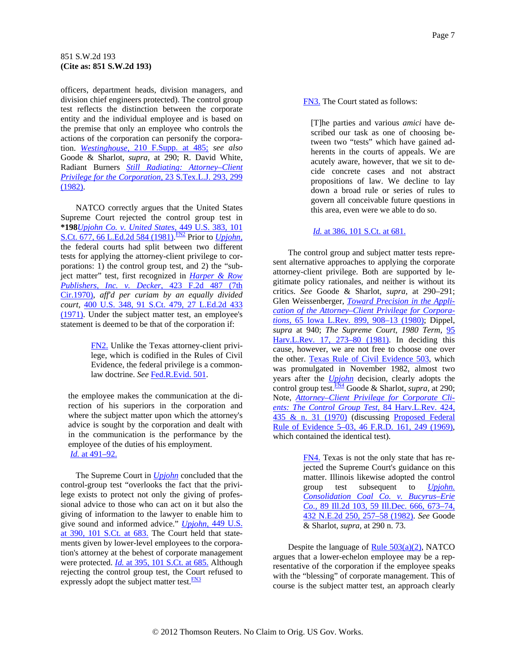<span id="page-6-0"></span>officers, department heads, division managers, and division chief engineers protected). The control group test reflects the distinction between the corporate entity and the individual employee and is based on the premise that only an employee who controls the actions of the corporation can personify the corporation. *[Westinghouse,](http://www.westlaw.com/Find/Default.wl?rs=dfa1.0&vr=2.0&DB=345&FindType=Y&ReferencePositionType=S&SerialNum=1962112865&ReferencePosition=485)* [210 F.Supp. at 485;](http://www.westlaw.com/Find/Default.wl?rs=dfa1.0&vr=2.0&DB=345&FindType=Y&ReferencePositionType=S&SerialNum=1962112865&ReferencePosition=485) *see also* Goode & Sharlot, *supra,* at 290; R. David White, Radiant Burners *[Still Radiating: Attorney–Client](http://www.westlaw.com/Find/Default.wl?rs=dfa1.0&vr=2.0&DB=1230&FindType=Y&ReferencePositionType=S&SerialNum=0102677259&ReferencePosition=299)  [Privilege for the Corporation,](http://www.westlaw.com/Find/Default.wl?rs=dfa1.0&vr=2.0&DB=1230&FindType=Y&ReferencePositionType=S&SerialNum=0102677259&ReferencePosition=299)* [23 S.Tex.L.J. 293, 299](http://www.westlaw.com/Find/Default.wl?rs=dfa1.0&vr=2.0&DB=1230&FindType=Y&ReferencePositionType=S&SerialNum=0102677259&ReferencePosition=299)  [\(1982\).](http://www.westlaw.com/Find/Default.wl?rs=dfa1.0&vr=2.0&DB=1230&FindType=Y&ReferencePositionType=S&SerialNum=0102677259&ReferencePosition=299)

NATCO correctly argues that the United States Supreme Court rejected the control group test in **\*198***[Upjohn Co. v. United States,](http://www.westlaw.com/Find/Default.wl?rs=dfa1.0&vr=2.0&DB=708&FindType=Y&SerialNum=1981101939)* [449 U.S. 383, 101](http://www.westlaw.com/Find/Default.wl?rs=dfa1.0&vr=2.0&DB=708&FindType=Y&SerialNum=1981101939)  [S.Ct. 677, 66 L.Ed.2d 584 \(1981\)](http://www.westlaw.com/Find/Default.wl?rs=dfa1.0&vr=2.0&DB=708&FindType=Y&SerialNum=1981101939).<sup>[FN2](#page-6-0)</sup> Prior to *Upjohn*, the federal courts had split between two different tests for applying the attorney-client privilege to corporations: 1) the control group test, and 2) the "subject matter" test, first recognized in *[Harper & Row](http://www.westlaw.com/Find/Default.wl?rs=dfa1.0&vr=2.0&DB=350&FindType=Y&SerialNum=1970117173)  [Publishers, Inc. v. Decker,](http://www.westlaw.com/Find/Default.wl?rs=dfa1.0&vr=2.0&DB=350&FindType=Y&SerialNum=1970117173)* [423 F.2d 487 \(7th](http://www.westlaw.com/Find/Default.wl?rs=dfa1.0&vr=2.0&DB=350&FindType=Y&SerialNum=1970117173)  [Cir.1970\),](http://www.westlaw.com/Find/Default.wl?rs=dfa1.0&vr=2.0&DB=350&FindType=Y&SerialNum=1970117173) *aff'd per curiam by an equally divided court,* [400 U.S. 348, 91 S.Ct. 479, 27 L.Ed.2d 433](http://www.westlaw.com/Find/Default.wl?rs=dfa1.0&vr=2.0&DB=708&FindType=Y&SerialNum=1971241591)  [\(1971\).](http://www.westlaw.com/Find/Default.wl?rs=dfa1.0&vr=2.0&DB=708&FindType=Y&SerialNum=1971241591) Under the subject matter test, an employee's statement is deemed to be that of the corporation if:

> [FN2.](#page-6-0) Unlike the Texas attorney-client privilege, which is codified in the Rules of Civil Evidence, the federal privilege is a common-law doctrine. See [Fed.R.Evid. 501.](http://www.westlaw.com/Find/Default.wl?rs=dfa1.0&vr=2.0&DB=1004365&DocName=USFRER501&FindType=L)

the employee makes the communication at the direction of his superiors in the corporation and where the subject matter upon which the attorney's advice is sought by the corporation and dealt with in the communication is the performance by the employee of the duties of his employment. *[Id.](http://www.westlaw.com/Find/Default.wl?rs=dfa1.0&vr=2.0&FindType=Y&SerialNum=1970117173)* [at 491–92.](http://www.westlaw.com/Find/Default.wl?rs=dfa1.0&vr=2.0&FindType=Y&SerialNum=1970117173)

The Supreme Court in *[Upjohn](http://www.westlaw.com/Find/Default.wl?rs=dfa1.0&vr=2.0&FindType=Y&SerialNum=1981101939)* concluded that the control-group test "overlooks the fact that the privilege exists to protect not only the giving of professional advice to those who can act on it but also the giving of information to the lawyer to enable him to give sound and informed advice." *[Upjohn,](http://www.westlaw.com/Find/Default.wl?rs=dfa1.0&vr=2.0&DB=708&FindType=Y&ReferencePositionType=S&SerialNum=1981101939&ReferencePosition=683)* [449 U.S.](http://www.westlaw.com/Find/Default.wl?rs=dfa1.0&vr=2.0&DB=708&FindType=Y&ReferencePositionType=S&SerialNum=1981101939&ReferencePosition=683)  [at 390, 101 S.Ct. at 683.](http://www.westlaw.com/Find/Default.wl?rs=dfa1.0&vr=2.0&DB=708&FindType=Y&ReferencePositionType=S&SerialNum=1981101939&ReferencePosition=683) The Court held that statements given by lower-level employees to the corporation's attorney at the behest of corporate management were protected. *[Id.](http://www.westlaw.com/Find/Default.wl?rs=dfa1.0&vr=2.0&DB=708&FindType=Y&ReferencePositionType=S&SerialNum=1981101939&ReferencePosition=685)* [at 395, 101 S.Ct. at 685.](http://www.westlaw.com/Find/Default.wl?rs=dfa1.0&vr=2.0&DB=708&FindType=Y&ReferencePositionType=S&SerialNum=1981101939&ReferencePosition=685) Although rejecting the control group test, the Cou[rt](#page-6-0) refused to expressly adopt the subject matter test. $\frac{FN3}{FN}$  $\frac{FN3}{FN}$  $\frac{FN3}{FN}$ 

[FN3.](#page-6-0) The Court stated as follows:

[T]he parties and various *amici* have described our task as one of choosing between two "tests" which have gained adherents in the courts of appeals. We are acutely aware, however, that we sit to decide concrete cases and not abstract propositions of law. We decline to lay down a broad rule or series of rules to govern all conceivable future questions in this area, even were we able to do so.

### *[Id.](http://www.westlaw.com/Find/Default.wl?rs=dfa1.0&vr=2.0&DB=708&FindType=Y&ReferencePositionType=S&SerialNum=1981101939&ReferencePosition=681)* [at 386, 101 S.Ct. at 681.](http://www.westlaw.com/Find/Default.wl?rs=dfa1.0&vr=2.0&DB=708&FindType=Y&ReferencePositionType=S&SerialNum=1981101939&ReferencePosition=681)

The control group and subject matter tests represent alternative approaches to applying the corporate attorney-client privilege. Both are supported by legitimate policy rationales, and neither is without its critics. *See* Goode & Sharlot, *supra,* at 290–291; Glen Weissenberger, *[Toward Precision in the Appli](http://www.westlaw.com/Find/Default.wl?rs=dfa1.0&vr=2.0&DB=1168&FindType=Y&ReferencePositionType=S&SerialNum=0101425410&ReferencePosition=908)[cation of the Attorney–Client Privilege for Corpora](http://www.westlaw.com/Find/Default.wl?rs=dfa1.0&vr=2.0&DB=1168&FindType=Y&ReferencePositionType=S&SerialNum=0101425410&ReferencePosition=908)[tions,](http://www.westlaw.com/Find/Default.wl?rs=dfa1.0&vr=2.0&DB=1168&FindType=Y&ReferencePositionType=S&SerialNum=0101425410&ReferencePosition=908)* [65 Iowa L.Rev. 899, 908–13 \(1980\)](http://www.westlaw.com/Find/Default.wl?rs=dfa1.0&vr=2.0&DB=1168&FindType=Y&ReferencePositionType=S&SerialNum=0101425410&ReferencePosition=908); Dippel, *supra* at 940; *The Supreme Court, 1980 Term,* [95](http://www.westlaw.com/Find/Default.wl?rs=dfa1.0&vr=2.0&DB=3084&FindType=Y&SerialNum=0102054786)  [Harv.L.Rev. 17, 273–80 \(1981\).](http://www.westlaw.com/Find/Default.wl?rs=dfa1.0&vr=2.0&DB=3084&FindType=Y&SerialNum=0102054786) In deciding this cause, however, we are not free to choose one over the other. [Texas Rule of Civil Evidence 503](http://www.westlaw.com/Find/Default.wl?rs=dfa1.0&vr=2.0&DB=1000301&DocName=TXRRRL503&FindType=L), which was promulgated in November 1982, almost two years after the *[Upjohn](http://www.westlaw.com/Find/Default.wl?rs=dfa1.0&vr=2.0&FindType=Y&SerialNum=1981101939)* decision, clearly adopts the control group test.<sup>FN4</sup> Goode & Sharlot, *supra*, at 290; Note, *[Attorney–Client Privilege for Corporate Cli](http://www.westlaw.com/Find/Default.wl?rs=dfa1.0&vr=2.0&DB=3084&FindType=Y&ReferencePositionType=S&SerialNum=0110386886&ReferencePosition=435)[ents: The Control Group Test,](http://www.westlaw.com/Find/Default.wl?rs=dfa1.0&vr=2.0&DB=3084&FindType=Y&ReferencePositionType=S&SerialNum=0110386886&ReferencePosition=435)* [84 Harv.L.Rev. 424,](http://www.westlaw.com/Find/Default.wl?rs=dfa1.0&vr=2.0&DB=3084&FindType=Y&ReferencePositionType=S&SerialNum=0110386886&ReferencePosition=435)  [435 & n. 31 \(1970\)](http://www.westlaw.com/Find/Default.wl?rs=dfa1.0&vr=2.0&DB=3084&FindType=Y&ReferencePositionType=S&SerialNum=0110386886&ReferencePosition=435) (discussing Proposed Federal [Rule of Evidence 5–03, 46 F.R.D. 161, 249 \(1969\)](http://www.westlaw.com/Find/Default.wl?rs=dfa1.0&vr=2.0&DB=344&FindType=Y&ReferencePositionType=S&SerialNum=0292103215&ReferencePosition=249), which contained the identical test).

> [FN4.](#page-6-0) Texas is not the only state that has rejected the Supreme Court's guidance on this matter. Illinois likewise adopted the control group test subsequent to *[Upjohn.](http://www.westlaw.com/Find/Default.wl?rs=dfa1.0&vr=2.0&FindType=Y&SerialNum=1981101939) [Consolidation Coal Co. v. Bucyrus–Erie](http://www.westlaw.com/Find/Default.wl?rs=dfa1.0&vr=2.0&DB=578&FindType=Y&ReferencePositionType=S&SerialNum=1982105132&ReferencePosition=257)  [Co.,](http://www.westlaw.com/Find/Default.wl?rs=dfa1.0&vr=2.0&DB=578&FindType=Y&ReferencePositionType=S&SerialNum=1982105132&ReferencePosition=257)* [89 Ill.2d 103, 59 Ill.Dec. 666, 673–74,](http://www.westlaw.com/Find/Default.wl?rs=dfa1.0&vr=2.0&DB=578&FindType=Y&ReferencePositionType=S&SerialNum=1982105132&ReferencePosition=257)  [432 N.E.2d 250, 257–58 \(1982\)](http://www.westlaw.com/Find/Default.wl?rs=dfa1.0&vr=2.0&DB=578&FindType=Y&ReferencePositionType=S&SerialNum=1982105132&ReferencePosition=257). *See* Goode & Sharlot, *supra,* at 290 n. 73.

Despite the language of  $Rule 503(a)(2)$ , NATCO argues that a lower-echelon employee may be a representative of the corporation if the employee speaks with the "blessing" of corporate management. This of course is the subject matter test, an approach clearly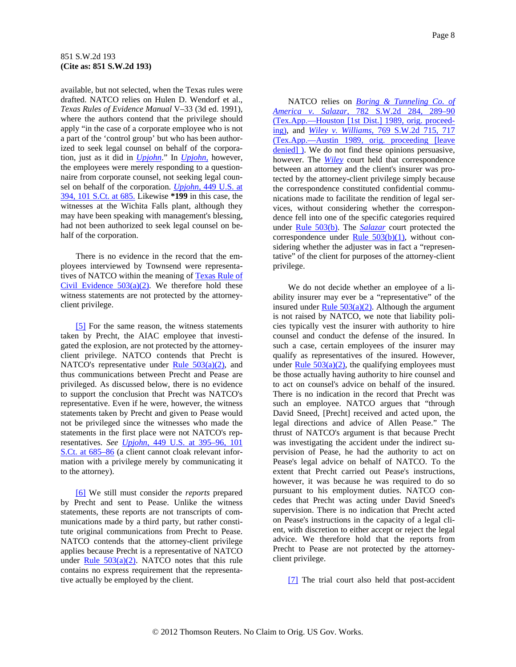<span id="page-7-0"></span>available, but not selected, when the Texas rules were drafted. NATCO relies on Hulen D. Wendorf et al., *Texas Rules of Evidence Manual* V–33 (3d ed. 1991), where the authors contend that the privilege should apply "in the case of a corporate employee who is not a part of the 'control group' but who has been authorized to seek legal counsel on behalf of the corporation, just as it did in *[Upjohn](http://www.westlaw.com/Find/Default.wl?rs=dfa1.0&vr=2.0&FindType=Y&SerialNum=1981101939)*." In *[Upjohn,](http://www.westlaw.com/Find/Default.wl?rs=dfa1.0&vr=2.0&FindType=Y&SerialNum=1981101939)* however, the employees were merely responding to a questionnaire from corporate counsel, not seeking legal counsel on behalf of the corporation. *[Upjohn,](http://www.westlaw.com/Find/Default.wl?rs=dfa1.0&vr=2.0&DB=708&FindType=Y&ReferencePositionType=S&SerialNum=1981101939&ReferencePosition=685)* [449 U.S. at](http://www.westlaw.com/Find/Default.wl?rs=dfa1.0&vr=2.0&DB=708&FindType=Y&ReferencePositionType=S&SerialNum=1981101939&ReferencePosition=685)  [394, 101 S.Ct. at 685.](http://www.westlaw.com/Find/Default.wl?rs=dfa1.0&vr=2.0&DB=708&FindType=Y&ReferencePositionType=S&SerialNum=1981101939&ReferencePosition=685) Likewise **\*199** in this case, the witnesses at the Wichita Falls plant, although they may have been speaking with management's blessing, had not been authorized to seek legal counsel on behalf of the corporation.

There is no evidence in the record that the employees interviewed by Townsend were representatives of NATCO within the meaning of Texas Rule of Civil Evidence  $503(a)(2)$ . We therefore hold these witness statements are not protected by the attorneyclient privilege.

[\[5\]](#page-1-0) For the same reason, the witness statements taken by Precht, the AIAC employee that investigated the explosion, are not protected by the attorneyclient privilege. NATCO contends that Precht is NATCO's representative under  $Rule 503(a)(2)$ , and thus communications between Precht and Pease are privileged. As discussed below, there is no evidence to support the conclusion that Precht was NATCO's representative. Even if he were, however, the witness statements taken by Precht and given to Pease would not be privileged since the witnesses who made the statements in the first place were not NATCO's representatives. *See [Upjohn,](http://www.westlaw.com/Find/Default.wl?rs=dfa1.0&vr=2.0&DB=708&FindType=Y&ReferencePositionType=S&SerialNum=1981101939&ReferencePosition=685)* [449 U.S. at 395–96, 101](http://www.westlaw.com/Find/Default.wl?rs=dfa1.0&vr=2.0&DB=708&FindType=Y&ReferencePositionType=S&SerialNum=1981101939&ReferencePosition=685)  [S.Ct. at 685–86](http://www.westlaw.com/Find/Default.wl?rs=dfa1.0&vr=2.0&DB=708&FindType=Y&ReferencePositionType=S&SerialNum=1981101939&ReferencePosition=685) (a client cannot cloak relevant information with a privilege merely by communicating it to the attorney).

[\[6\]](#page-1-0) We still must consider the *reports* prepared by Precht and sent to Pease. Unlike the witness statements, these reports are not transcripts of communications made by a third party, but rather constitute original communications from Precht to Pease. NATCO contends that the attorney-client privilege applies because Precht is a representative of NATCO under Rule  $503(a)(2)$ . NATCO notes that this rule contains no express requirement that the representative actually be employed by the client.

NATCO relies on *[Boring & Tunneling Co. of](http://www.westlaw.com/Find/Default.wl?rs=dfa1.0&vr=2.0&DB=713&FindType=Y&ReferencePositionType=S&SerialNum=1990015915&ReferencePosition=289)  [America v. Salazar,](http://www.westlaw.com/Find/Default.wl?rs=dfa1.0&vr=2.0&DB=713&FindType=Y&ReferencePositionType=S&SerialNum=1990015915&ReferencePosition=289)* [782 S.W.2d 284, 289–90](http://www.westlaw.com/Find/Default.wl?rs=dfa1.0&vr=2.0&DB=713&FindType=Y&ReferencePositionType=S&SerialNum=1990015915&ReferencePosition=289)  [\(Tex.App.—Houston \[1st Dist.\] 1989, orig. proceed](http://www.westlaw.com/Find/Default.wl?rs=dfa1.0&vr=2.0&DB=713&FindType=Y&ReferencePositionType=S&SerialNum=1990015915&ReferencePosition=289)[ing\)](http://www.westlaw.com/Find/Default.wl?rs=dfa1.0&vr=2.0&DB=713&FindType=Y&ReferencePositionType=S&SerialNum=1990015915&ReferencePosition=289), and *[Wiley v. Williams,](http://www.westlaw.com/Find/Default.wl?rs=dfa1.0&vr=2.0&DB=713&FindType=Y&ReferencePositionType=S&SerialNum=1989081933&ReferencePosition=717)* [769 S.W.2d 715, 717](http://www.westlaw.com/Find/Default.wl?rs=dfa1.0&vr=2.0&DB=713&FindType=Y&ReferencePositionType=S&SerialNum=1989081933&ReferencePosition=717)  [\(Tex.App.—Austin 1989, orig. proceeding \[leave](http://www.westlaw.com/Find/Default.wl?rs=dfa1.0&vr=2.0&DB=713&FindType=Y&ReferencePositionType=S&SerialNum=1989081933&ReferencePosition=717)  [denied\] \).](http://www.westlaw.com/Find/Default.wl?rs=dfa1.0&vr=2.0&DB=713&FindType=Y&ReferencePositionType=S&SerialNum=1989081933&ReferencePosition=717) We do not find these opinions persuasive, however. The *[Wiley](http://www.westlaw.com/Find/Default.wl?rs=dfa1.0&vr=2.0&FindType=Y&SerialNum=1989081933)* court held that correspondence between an attorney and the client's insurer was protected by the attorney-client privilege simply because the correspondence constituted confidential communications made to facilitate the rendition of legal services, without considering whether the correspondence fell into one of the specific categories required under [Rule 503\(b\).](http://www.westlaw.com/Find/Default.wl?rs=dfa1.0&vr=2.0&DB=1000301&DocName=TXRRRL503&FindType=L) The *[Salazar](http://www.westlaw.com/Find/Default.wl?rs=dfa1.0&vr=2.0&FindType=Y&SerialNum=1990015915)* court protected the correspondence under [Rule 503\(b\)\(1\)](http://www.westlaw.com/Find/Default.wl?rs=dfa1.0&vr=2.0&DB=1000301&DocName=TXRRRL503&FindType=L), without considering whether the adjuster was in fact a "representative" of the client for purposes of the attorney-client privilege.

We do not decide whether an employee of a liability insurer may ever be a "representative" of the insured under Rule  $503(a)(2)$ . Although the argument is not raised by NATCO, we note that liability policies typically vest the insurer with authority to hire counsel and conduct the defense of the insured. In such a case, certain employees of the insurer may qualify as representatives of the insured. However, under Rule  $503(a)(2)$ , the qualifying employees must be those actually having authority to hire counsel and to act on counsel's advice on behalf of the insured. There is no indication in the record that Precht was such an employee. NATCO argues that "through David Sneed, [Precht] received and acted upon, the legal directions and advice of Allen Pease." The thrust of NATCO's argument is that because Precht was investigating the accident under the indirect supervision of Pease, he had the authority to act on Pease's legal advice on behalf of NATCO. To the extent that Precht carried out Pease's instructions, however, it was because he was required to do so pursuant to his employment duties. NATCO concedes that Precht was acting under David Sneed's supervision. There is no indication that Precht acted on Pease's instructions in the capacity of a legal client, with discretion to either accept or reject the legal advice. We therefore hold that the reports from Precht to Pease are not protected by the attorneyclient privilege.

[\[7\]](#page-1-0) The trial court also held that post-accident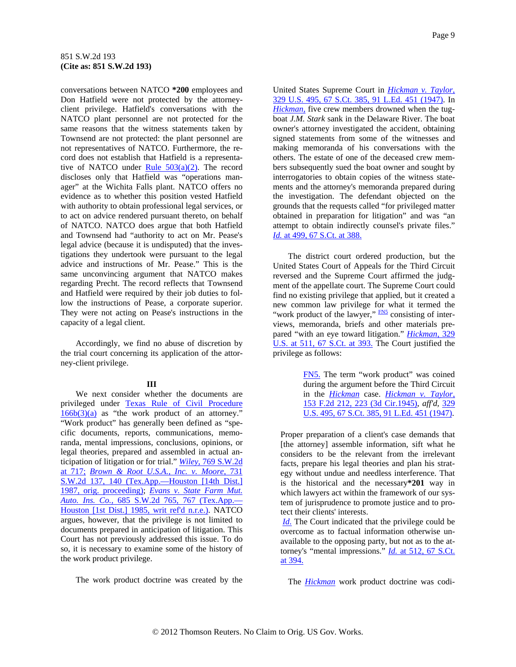<span id="page-8-0"></span>conversations between NATCO **\*200** employees and Don Hatfield were not protected by the attorneyclient privilege. Hatfield's conversations with the NATCO plant personnel are not protected for the same reasons that the witness statements taken by Townsend are not protected: the plant personnel are not representatives of NATCO. Furthermore, the record does not establish that Hatfield is a representative of NATCO under Rule  $503(a)(2)$ . The record discloses only that Hatfield was "operations manager" at the Wichita Falls plant. NATCO offers no evidence as to whether this position vested Hatfield with authority to obtain professional legal services, or to act on advice rendered pursuant thereto, on behalf of NATCO. NATCO does argue that both Hatfield and Townsend had "authority to act on Mr. Pease's legal advice (because it is undisputed) that the investigations they undertook were pursuant to the legal advice and instructions of Mr. Pease." This is the same unconvincing argument that NATCO makes regarding Precht. The record reflects that Townsend and Hatfield were required by their job duties to follow the instructions of Pease, a corporate superior. They were not acting on Pease's instructions in the capacity of a legal client.

Accordingly, we find no abuse of discretion by the trial court concerning its application of the attorney-client privilege.

#### **III**

We next consider whether the documents are privileged under [Texas Rule of Civil Procedure](http://www.westlaw.com/Find/Default.wl?rs=dfa1.0&vr=2.0&DB=1005302&DocName=TXRRCPR166B&FindType=L)   $166b(3)(a)$  as "the work product of an attorney." "Work product" has generally been defined as "specific documents, reports, communications, memoranda, mental impressions, conclusions, opinions, or legal theories, prepared and assembled in actual anticipation of litigation or for trial." *[Wiley,](http://www.westlaw.com/Find/Default.wl?rs=dfa1.0&vr=2.0&DB=713&FindType=Y&ReferencePositionType=S&SerialNum=1989081933&ReferencePosition=717)* [769 S.W.2d](http://www.westlaw.com/Find/Default.wl?rs=dfa1.0&vr=2.0&DB=713&FindType=Y&ReferencePositionType=S&SerialNum=1989081933&ReferencePosition=717)  [at 717;](http://www.westlaw.com/Find/Default.wl?rs=dfa1.0&vr=2.0&DB=713&FindType=Y&ReferencePositionType=S&SerialNum=1989081933&ReferencePosition=717) *[Brown & Root U.S.A., Inc. v. Moore,](http://www.westlaw.com/Find/Default.wl?rs=dfa1.0&vr=2.0&DB=713&FindType=Y&ReferencePositionType=S&SerialNum=1987064795&ReferencePosition=140)* [731](http://www.westlaw.com/Find/Default.wl?rs=dfa1.0&vr=2.0&DB=713&FindType=Y&ReferencePositionType=S&SerialNum=1987064795&ReferencePosition=140)  [S.W.2d 137, 140 \(Tex.App.—Houston \[14th Dist.\]](http://www.westlaw.com/Find/Default.wl?rs=dfa1.0&vr=2.0&DB=713&FindType=Y&ReferencePositionType=S&SerialNum=1987064795&ReferencePosition=140)  [1987, orig. proceeding\)](http://www.westlaw.com/Find/Default.wl?rs=dfa1.0&vr=2.0&DB=713&FindType=Y&ReferencePositionType=S&SerialNum=1987064795&ReferencePosition=140); *[Evans v. State Farm Mut.](http://www.westlaw.com/Find/Default.wl?rs=dfa1.0&vr=2.0&DB=713&FindType=Y&ReferencePositionType=S&SerialNum=1985111067&ReferencePosition=767)  [Auto. Ins. Co.,](http://www.westlaw.com/Find/Default.wl?rs=dfa1.0&vr=2.0&DB=713&FindType=Y&ReferencePositionType=S&SerialNum=1985111067&ReferencePosition=767)* [685 S.W.2d 765, 767 \(Tex.App.—](http://www.westlaw.com/Find/Default.wl?rs=dfa1.0&vr=2.0&DB=713&FindType=Y&ReferencePositionType=S&SerialNum=1985111067&ReferencePosition=767) [Houston \[1st Dist.\] 1985, writ ref'd n.r.e.\)](http://www.westlaw.com/Find/Default.wl?rs=dfa1.0&vr=2.0&DB=713&FindType=Y&ReferencePositionType=S&SerialNum=1985111067&ReferencePosition=767). NATCO argues, however, that the privilege is not limited to documents prepared in anticipation of litigation. This Court has not previously addressed this issue. To do so, it is necessary to examine some of the history of the work product privilege.

The work product doctrine was created by the

United States Supreme Court in *[Hickman v. Taylor,](http://www.westlaw.com/Find/Default.wl?rs=dfa1.0&vr=2.0&DB=708&FindType=Y&SerialNum=1947115463)* [329 U.S. 495, 67 S.Ct. 385, 91 L.Ed. 451 \(1947\).](http://www.westlaw.com/Find/Default.wl?rs=dfa1.0&vr=2.0&DB=708&FindType=Y&SerialNum=1947115463) In *[Hickman,](http://www.westlaw.com/Find/Default.wl?rs=dfa1.0&vr=2.0&FindType=Y&SerialNum=1947115463)* five crew members drowned when the tugboat *J.M. Stark* sank in the Delaware River. The boat owner's attorney investigated the accident, obtaining signed statements from some of the witnesses and making memoranda of his conversations with the others. The estate of one of the deceased crew members subsequently sued the boat owner and sought by interrogatories to obtain copies of the witness statements and the attorney's memoranda prepared during the investigation. The defendant objected on the grounds that the requests called "for privileged matter obtained in preparation for litigation" and was "an attempt to obtain indirectly counsel's private files." *[Id.](http://www.westlaw.com/Find/Default.wl?rs=dfa1.0&vr=2.0&DB=708&FindType=Y&ReferencePositionType=S&SerialNum=1947115463&ReferencePosition=388)* [at 499, 67 S.Ct. at 388.](http://www.westlaw.com/Find/Default.wl?rs=dfa1.0&vr=2.0&DB=708&FindType=Y&ReferencePositionType=S&SerialNum=1947115463&ReferencePosition=388)

The district court ordered production, but the United States Court of Appeals for the Third Circuit reversed and the Supreme Court affirmed the judgment of the appellate court. The Supreme Court could find no existing privilege that applied, but it created a new common law privilege for what it termed the "work product of the lawyer,"  $\frac{FN5}{FN5}$  $\frac{FN5}{FN5}$  $\frac{FN5}{FN5}$  consisting of interviews, memoranda, briefs and other materials prepared "with an eye toward litigation." *[Hickman,](http://www.westlaw.com/Find/Default.wl?rs=dfa1.0&vr=2.0&DB=708&FindType=Y&ReferencePositionType=S&SerialNum=1947115463&ReferencePosition=393)* [329](http://www.westlaw.com/Find/Default.wl?rs=dfa1.0&vr=2.0&DB=708&FindType=Y&ReferencePositionType=S&SerialNum=1947115463&ReferencePosition=393)  [U.S. at 511, 67 S.Ct. at 393.](http://www.westlaw.com/Find/Default.wl?rs=dfa1.0&vr=2.0&DB=708&FindType=Y&ReferencePositionType=S&SerialNum=1947115463&ReferencePosition=393) The Court justified the privilege as follows:

> [FN5.](#page-8-0) The term "work product" was coined during the argument before the Third Circui[t](http://www.westlaw.com/Find/Default.wl?rs=dfa1.0&vr=2.0&DB=350&FindType=Y&ReferencePositionType=S&SerialNum=1946113883&ReferencePosition=223)  in the *[Hickman](http://www.westlaw.com/Find/Default.wl?rs=dfa1.0&vr=2.0&FindType=Y&SerialNum=1947115463)* case. *[Hickman v. Taylor,](http://www.westlaw.com/Find/Default.wl?rs=dfa1.0&vr=2.0&DB=350&FindType=Y&ReferencePositionType=S&SerialNum=1946113883&ReferencePosition=223)* [153 F.2d 212, 223 \(3d Cir.1945\)](http://www.westlaw.com/Find/Default.wl?rs=dfa1.0&vr=2.0&DB=350&FindType=Y&ReferencePositionType=S&SerialNum=1946113883&ReferencePosition=223), *aff'd,* [329](http://www.westlaw.com/Find/Default.wl?rs=dfa1.0&vr=2.0&DB=708&FindType=Y&SerialNum=1947115463)  [U.S. 495, 67 S.Ct. 385, 91 L.Ed. 451 \(1947\).](http://www.westlaw.com/Find/Default.wl?rs=dfa1.0&vr=2.0&DB=708&FindType=Y&SerialNum=1947115463)

Proper preparation of a client's case demands that [the attorney] assemble information, sift what he considers to be the relevant from the irrelevant facts, prepare his legal theories and plan his strategy without undue and needless interference. That is the historical and the necessary**\*201** way in which lawyers act within the framework of our system of jurisprudence to promote justice and to protect their clients' interests.

*[Id.](http://www.westlaw.com/Find/Default.wl?rs=dfa1.0&vr=2.0&FindType=Y&SerialNum=1947115463)* The Court indicated that the privilege could be overcome as to factual information otherwise unavailable to the opposing party, but not as to the attorney's "mental impressions." *[Id.](http://www.westlaw.com/Find/Default.wl?rs=dfa1.0&vr=2.0&DB=708&FindType=Y&ReferencePositionType=S&SerialNum=1947115463&ReferencePosition=394)* [at 512, 67 S.Ct.](http://www.westlaw.com/Find/Default.wl?rs=dfa1.0&vr=2.0&DB=708&FindType=Y&ReferencePositionType=S&SerialNum=1947115463&ReferencePosition=394)  [at 394.](http://www.westlaw.com/Find/Default.wl?rs=dfa1.0&vr=2.0&DB=708&FindType=Y&ReferencePositionType=S&SerialNum=1947115463&ReferencePosition=394)

The *[Hickman](http://www.westlaw.com/Find/Default.wl?rs=dfa1.0&vr=2.0&FindType=Y&SerialNum=1947115463)* work product doctrine was codi-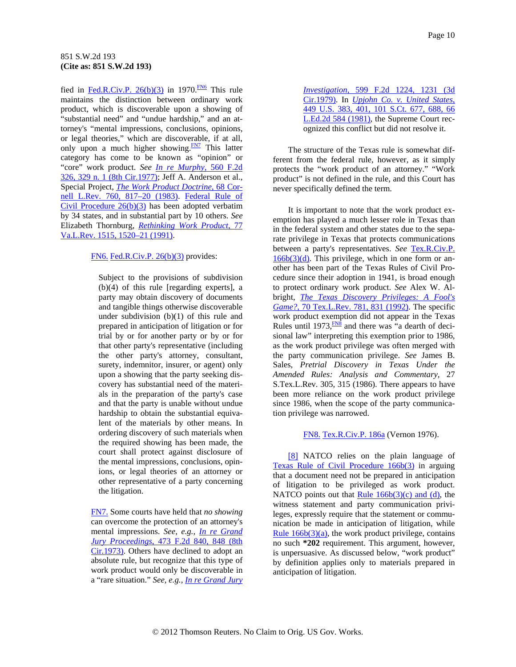<span id="page-9-0"></span>851 S.W.2d 193

fied in Fed.R.Civ.P.  $26(b)(3)$  in 1970.<sup>[FN6](#page-9-0)</sup> This rule maintains the distinction between ordinary work product, which is discoverable upon a showing of "substantial need" and "undue hardship," and an attorney's "mental impressions, conclusions, opinions, or legal theories," which are discoverable, if at all, only upon a much higher showing. $F_{\text{N7}}$  This latter category has come to be known as "opinion" or "core" work product. *See [In re Murphy,](http://www.westlaw.com/Find/Default.wl?rs=dfa1.0&vr=2.0&DB=350&FindType=Y&ReferencePositionType=S&SerialNum=1977123350&ReferencePosition=329)* [560 F.2d](http://www.westlaw.com/Find/Default.wl?rs=dfa1.0&vr=2.0&DB=350&FindType=Y&ReferencePositionType=S&SerialNum=1977123350&ReferencePosition=329)  [326, 329 n. 1 \(8th Cir.1977\);](http://www.westlaw.com/Find/Default.wl?rs=dfa1.0&vr=2.0&DB=350&FindType=Y&ReferencePositionType=S&SerialNum=1977123350&ReferencePosition=329) Jeff A. Anderson et al., Special Project, *[The Work Product Doctrine,](http://www.westlaw.com/Find/Default.wl?rs=dfa1.0&vr=2.0&DB=1111&FindType=Y&ReferencePositionType=S&SerialNum=0105000725&ReferencePosition=817)* [68 Cor](http://www.westlaw.com/Find/Default.wl?rs=dfa1.0&vr=2.0&DB=1111&FindType=Y&ReferencePositionType=S&SerialNum=0105000725&ReferencePosition=817)[nell L.Rev. 760, 817–20 \(1983\)](http://www.westlaw.com/Find/Default.wl?rs=dfa1.0&vr=2.0&DB=1111&FindType=Y&ReferencePositionType=S&SerialNum=0105000725&ReferencePosition=817). [Federal Rule of](http://www.westlaw.com/Find/Default.wl?rs=dfa1.0&vr=2.0&DB=1004365&DocName=USFRCPR26&FindType=L)  [Civil Procedure 26\(b\)\(3\)](http://www.westlaw.com/Find/Default.wl?rs=dfa1.0&vr=2.0&DB=1004365&DocName=USFRCPR26&FindType=L) has been adopted verbatim by 34 states, and in substantial part by 10 others. *See* Elizabeth Thornburg, *[Rethinking Work Product,](http://www.westlaw.com/Find/Default.wl?rs=dfa1.0&vr=2.0&DB=1359&FindType=Y&ReferencePositionType=S&SerialNum=0101141908&ReferencePosition=1520)* [77](http://www.westlaw.com/Find/Default.wl?rs=dfa1.0&vr=2.0&DB=1359&FindType=Y&ReferencePositionType=S&SerialNum=0101141908&ReferencePosition=1520)  [Va.L.Rev. 1515, 1520–21 \(1991\)](http://www.westlaw.com/Find/Default.wl?rs=dfa1.0&vr=2.0&DB=1359&FindType=Y&ReferencePositionType=S&SerialNum=0101141908&ReferencePosition=1520).

### [FN6.](#page-9-0) [Fed.R.Civ.P. 26\(b\)\(3\)](http://www.westlaw.com/Find/Default.wl?rs=dfa1.0&vr=2.0&DB=1004365&DocName=USFRCPR26&FindType=L) provides:

Subject to the provisions of subdivision (b)(4) of this rule [regarding experts], a party may obtain discovery of documents and tangible things otherwise discoverable under subdivision (b)(1) of this rule and prepared in anticipation of litigation or for trial by or for another party or by or for that other party's representative (including the other party's attorney, consultant, surety, indemnitor, insurer, or agent) only upon a showing that the party seeking discovery has substantial need of the materials in the preparation of the party's case and that the party is unable without undue hardship to obtain the substantial equivalent of the materials by other means. In ordering discovery of such materials when the required showing has been made, the court shall protect against disclosure of the mental impressions, conclusions, opinions, or legal theories of an attorney or other representative of a party concerning the litigation.

[FN7.](#page-9-0) Some courts have held that *no showing* can overcome the protection of an attorney's mental impressions. *See, e.g., [In re Grand](http://www.westlaw.com/Find/Default.wl?rs=dfa1.0&vr=2.0&DB=350&FindType=Y&ReferencePositionType=S&SerialNum=1973108558&ReferencePosition=848)  [Jury Proceedings,](http://www.westlaw.com/Find/Default.wl?rs=dfa1.0&vr=2.0&DB=350&FindType=Y&ReferencePositionType=S&SerialNum=1973108558&ReferencePosition=848)* [473 F.2d 840, 848 \(8th](http://www.westlaw.com/Find/Default.wl?rs=dfa1.0&vr=2.0&DB=350&FindType=Y&ReferencePositionType=S&SerialNum=1973108558&ReferencePosition=848)  [Cir.1973\).](http://www.westlaw.com/Find/Default.wl?rs=dfa1.0&vr=2.0&DB=350&FindType=Y&ReferencePositionType=S&SerialNum=1973108558&ReferencePosition=848) Others have declined to adopt an absolute rule, but recognize that this type of work product would only be discoverable in a "rare situation." *See, e.g., [In re Grand Jury](http://www.westlaw.com/Find/Default.wl?rs=dfa1.0&vr=2.0&DB=350&FindType=Y&ReferencePositionType=S&SerialNum=1979113305&ReferencePosition=1231)*  *[Investigation,](http://www.westlaw.com/Find/Default.wl?rs=dfa1.0&vr=2.0&DB=350&FindType=Y&ReferencePositionType=S&SerialNum=1979113305&ReferencePosition=1231)* [599 F.2d 1224, 1231 \(3d](http://www.westlaw.com/Find/Default.wl?rs=dfa1.0&vr=2.0&DB=350&FindType=Y&ReferencePositionType=S&SerialNum=1979113305&ReferencePosition=1231)  [Cir.1979\).](http://www.westlaw.com/Find/Default.wl?rs=dfa1.0&vr=2.0&DB=350&FindType=Y&ReferencePositionType=S&SerialNum=1979113305&ReferencePosition=1231) In *[Upjohn Co. v. United States,](http://www.westlaw.com/Find/Default.wl?rs=dfa1.0&vr=2.0&DB=708&FindType=Y&ReferencePositionType=S&SerialNum=1981101939&ReferencePosition=688)* [449 U.S. 383, 401, 101 S.Ct. 677, 688, 66](http://www.westlaw.com/Find/Default.wl?rs=dfa1.0&vr=2.0&DB=708&FindType=Y&ReferencePositionType=S&SerialNum=1981101939&ReferencePosition=688)  [L.Ed.2d 584 \(1981\),](http://www.westlaw.com/Find/Default.wl?rs=dfa1.0&vr=2.0&DB=708&FindType=Y&ReferencePositionType=S&SerialNum=1981101939&ReferencePosition=688) the Supreme Court recognized this conflict but did not resolve it.

The structure of the Texas rule is somewhat different from the federal rule, however, as it simply protects the "work product of an attorney." "Work product" is not defined in the rule, and this Court has never specifically defined the term.

It is important to note that the work product exemption has played a much lesser role in Texas than in the federal system and other states due to the separate privilege in Texas that protects communications between a party's representatives. *See* [Tex.R.Civ.P.](http://www.westlaw.com/Find/Default.wl?rs=dfa1.0&vr=2.0&DB=1005302&DocName=TXRRCPR166B&FindType=L)  [166b\(3\)\(d\)](http://www.westlaw.com/Find/Default.wl?rs=dfa1.0&vr=2.0&DB=1005302&DocName=TXRRCPR166B&FindType=L). This privilege, which in one form or another has been part of the Texas Rules of Civil Procedure since their adoption in 1941, is broad enough to protect ordinary work product. *See* Alex W. Albright, *[The Texas Discovery Privileges: A Fool's](http://www.westlaw.com/Find/Default.wl?rs=dfa1.0&vr=2.0&DB=1251&FindType=Y&ReferencePositionType=S&SerialNum=0101417777&ReferencePosition=831)  [Game?,](http://www.westlaw.com/Find/Default.wl?rs=dfa1.0&vr=2.0&DB=1251&FindType=Y&ReferencePositionType=S&SerialNum=0101417777&ReferencePosition=831)* [70 Tex.L.Rev. 781, 831 \(1992\).](http://www.westlaw.com/Find/Default.wl?rs=dfa1.0&vr=2.0&DB=1251&FindType=Y&ReferencePositionType=S&SerialNum=0101417777&ReferencePosition=831) The specific work product exemption did not appear in the Texas Rules until 1973, $\frac{FN8}{TN}$  and there was "a dearth of decisional law" interpreting this exemption prior to 1986, as the work product privilege was often merged with the party communication privilege. *See* James B. Sales, *Pretrial Discovery in Texas Under the Amended Rules: Analysis and Commentary,* 27 S.Tex.L.Rev. 305, 315 (1986). There appears to have been more reliance on the work product privilege since 1986, when the scope of the party communication privilege was narrowed.

#### [FN8.](#page-9-0) [Tex.R.Civ.P. 186a](http://www.westlaw.com/Find/Default.wl?rs=dfa1.0&vr=2.0&DB=1005302&DocName=TXRRCPR186A&FindType=L) (Vernon 1976).

[\[8\]](#page-2-0) NATCO relies on the plain language of [Texas Rule of Civil Procedure 166b\(3\)](http://www.westlaw.com/Find/Default.wl?rs=dfa1.0&vr=2.0&DB=1005302&DocName=TXRRCPR166B&FindType=L) in arguing that a document need not be prepared in anticipation of litigation to be privileged as work product. NATCO points out that  $Rule 166b(3)(c)$  and  $(d)$ , the witness statement and party communication privileges, expressly require that the statement or communication be made in anticipation of litigation, while Rule  $166b(3)(a)$ , the work product privilege, contains no such **\*202** requirement. This argument, however, is unpersuasive. As discussed below, "work product" by definition applies only to materials prepared in anticipation of litigation.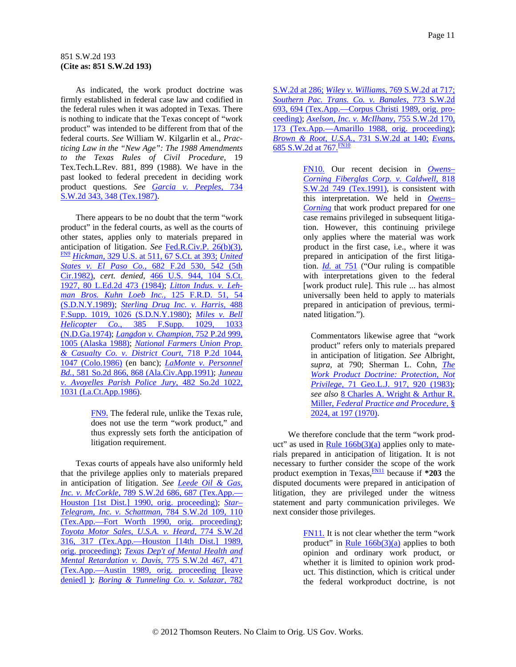<span id="page-10-0"></span>As indicated, the work product doctrine was firmly established in federal case law and codified in the federal rules when it was adopted in Texas. There is nothing to indicate that the Texas concept of "work product" was intended to be different from that of the federal courts. *See* William W. Kilgarlin et al., *Practicing Law in the "New Age": The 1988 Amendments to the Texas Rules of Civil Procedure,* 19 Tex.Tech.L.Rev. 881, 899 (1988). We have in the past looked to federal precedent in deciding work product questions. *See [Garcia v. Peeples,](http://www.westlaw.com/Find/Default.wl?rs=dfa1.0&vr=2.0&DB=713&FindType=Y&ReferencePositionType=S&SerialNum=1987088522&ReferencePosition=348)* [734](http://www.westlaw.com/Find/Default.wl?rs=dfa1.0&vr=2.0&DB=713&FindType=Y&ReferencePositionType=S&SerialNum=1987088522&ReferencePosition=348)  [S.W.2d 343, 348 \(Tex.1987\).](http://www.westlaw.com/Find/Default.wl?rs=dfa1.0&vr=2.0&DB=713&FindType=Y&ReferencePositionType=S&SerialNum=1987088522&ReferencePosition=348)

There appears to be no doubt that the term "work product" in the federal courts, as well as the courts of other states, applies only to materials prepared in anticipation of litigation. *See* [Fed.R.Civ.P. 26\(b\)\(3\)](http://www.westlaw.com/Find/Default.wl?rs=dfa1.0&vr=2.0&DB=1004365&DocName=USFRCPR26&FindType=L), [FN9](#page-10-0) *[Hickman,](http://www.westlaw.com/Find/Default.wl?rs=dfa1.0&vr=2.0&DB=708&FindType=Y&ReferencePositionType=S&SerialNum=1947115463&ReferencePosition=393)* [329 U.S. at 511, 67 S.Ct. at 393;](http://www.westlaw.com/Find/Default.wl?rs=dfa1.0&vr=2.0&DB=708&FindType=Y&ReferencePositionType=S&SerialNum=1947115463&ReferencePosition=393) *[United](http://www.westlaw.com/Find/Default.wl?rs=dfa1.0&vr=2.0&DB=350&FindType=Y&ReferencePositionType=S&SerialNum=1982134212&ReferencePosition=542)  [States v. El Paso Co.,](http://www.westlaw.com/Find/Default.wl?rs=dfa1.0&vr=2.0&DB=350&FindType=Y&ReferencePositionType=S&SerialNum=1982134212&ReferencePosition=542)* [682 F.2d 530, 542 \(5th](http://www.westlaw.com/Find/Default.wl?rs=dfa1.0&vr=2.0&DB=350&FindType=Y&ReferencePositionType=S&SerialNum=1982134212&ReferencePosition=542)  [Cir.1982\),](http://www.westlaw.com/Find/Default.wl?rs=dfa1.0&vr=2.0&DB=350&FindType=Y&ReferencePositionType=S&SerialNum=1982134212&ReferencePosition=542) *cert. denied,* [466 U.S. 944, 104 S.Ct.](http://www.westlaw.com/Find/Default.wl?rs=dfa1.0&vr=2.0&DB=708&FindType=Y&SerialNum=1984216331)  [1927, 80 L.Ed.2d 473 \(1984\);](http://www.westlaw.com/Find/Default.wl?rs=dfa1.0&vr=2.0&DB=708&FindType=Y&SerialNum=1984216331) *[Litton Indus. v. Leh](http://www.westlaw.com/Find/Default.wl?rs=dfa1.0&vr=2.0&DB=344&FindType=Y&ReferencePositionType=S&SerialNum=1989054856&ReferencePosition=54)[man Bros. Kuhn Loeb Inc.,](http://www.westlaw.com/Find/Default.wl?rs=dfa1.0&vr=2.0&DB=344&FindType=Y&ReferencePositionType=S&SerialNum=1989054856&ReferencePosition=54)* [125 F.R.D. 51, 54](http://www.westlaw.com/Find/Default.wl?rs=dfa1.0&vr=2.0&DB=344&FindType=Y&ReferencePositionType=S&SerialNum=1989054856&ReferencePosition=54)  [\(S.D.N.Y.1989\);](http://www.westlaw.com/Find/Default.wl?rs=dfa1.0&vr=2.0&DB=344&FindType=Y&ReferencePositionType=S&SerialNum=1989054856&ReferencePosition=54) *[Sterling Drug Inc. v. Harris,](http://www.westlaw.com/Find/Default.wl?rs=dfa1.0&vr=2.0&DB=345&FindType=Y&ReferencePositionType=S&SerialNum=1980118801&ReferencePosition=1026)* [488](http://www.westlaw.com/Find/Default.wl?rs=dfa1.0&vr=2.0&DB=345&FindType=Y&ReferencePositionType=S&SerialNum=1980118801&ReferencePosition=1026)  [F.Supp. 1019, 1026 \(S.D.N.Y.1980\);](http://www.westlaw.com/Find/Default.wl?rs=dfa1.0&vr=2.0&DB=345&FindType=Y&ReferencePositionType=S&SerialNum=1980118801&ReferencePosition=1026) *[Miles v. Bell](http://www.westlaw.com/Find/Default.wl?rs=dfa1.0&vr=2.0&DB=345&FindType=Y&ReferencePositionType=S&SerialNum=1974107882&ReferencePosition=1033)  [Helicopter Co.,](http://www.westlaw.com/Find/Default.wl?rs=dfa1.0&vr=2.0&DB=345&FindType=Y&ReferencePositionType=S&SerialNum=1974107882&ReferencePosition=1033)* [385 F.Supp. 1029, 1033](http://www.westlaw.com/Find/Default.wl?rs=dfa1.0&vr=2.0&DB=345&FindType=Y&ReferencePositionType=S&SerialNum=1974107882&ReferencePosition=1033)  [\(N.D.Ga.1974\)](http://www.westlaw.com/Find/Default.wl?rs=dfa1.0&vr=2.0&DB=345&FindType=Y&ReferencePositionType=S&SerialNum=1974107882&ReferencePosition=1033); *[Langdon v. Champion,](http://www.westlaw.com/Find/Default.wl?rs=dfa1.0&vr=2.0&DB=661&FindType=Y&ReferencePositionType=S&SerialNum=1988044277&ReferencePosition=1005)* [752 P.2d 999,](http://www.westlaw.com/Find/Default.wl?rs=dfa1.0&vr=2.0&DB=661&FindType=Y&ReferencePositionType=S&SerialNum=1988044277&ReferencePosition=1005)  [1005 \(Alaska 1988\);](http://www.westlaw.com/Find/Default.wl?rs=dfa1.0&vr=2.0&DB=661&FindType=Y&ReferencePositionType=S&SerialNum=1988044277&ReferencePosition=1005) *[National Farmers Union Prop.](http://www.westlaw.com/Find/Default.wl?rs=dfa1.0&vr=2.0&DB=661&FindType=Y&ReferencePositionType=S&SerialNum=1986126030&ReferencePosition=1047)  [& Casualty Co. v. District Court,](http://www.westlaw.com/Find/Default.wl?rs=dfa1.0&vr=2.0&DB=661&FindType=Y&ReferencePositionType=S&SerialNum=1986126030&ReferencePosition=1047)* [718 P.2d 1044,](http://www.westlaw.com/Find/Default.wl?rs=dfa1.0&vr=2.0&DB=661&FindType=Y&ReferencePositionType=S&SerialNum=1986126030&ReferencePosition=1047)  [1047 \(Colo.1986\)](http://www.westlaw.com/Find/Default.wl?rs=dfa1.0&vr=2.0&DB=661&FindType=Y&ReferencePositionType=S&SerialNum=1986126030&ReferencePosition=1047) (en banc); *[LaMonte v. Personnel](http://www.westlaw.com/Find/Default.wl?rs=dfa1.0&vr=2.0&DB=735&FindType=Y&ReferencePositionType=S&SerialNum=1991050534&ReferencePosition=868)  [Bd.,](http://www.westlaw.com/Find/Default.wl?rs=dfa1.0&vr=2.0&DB=735&FindType=Y&ReferencePositionType=S&SerialNum=1991050534&ReferencePosition=868)* [581 So.2d 866, 868 \(Ala.Civ.App.1991\)](http://www.westlaw.com/Find/Default.wl?rs=dfa1.0&vr=2.0&DB=735&FindType=Y&ReferencePositionType=S&SerialNum=1991050534&ReferencePosition=868); *[Juneau](http://www.westlaw.com/Find/Default.wl?rs=dfa1.0&vr=2.0&DB=735&FindType=Y&ReferencePositionType=S&SerialNum=1986106626&ReferencePosition=1031)  [v. Avoyelles Parish Police Jury,](http://www.westlaw.com/Find/Default.wl?rs=dfa1.0&vr=2.0&DB=735&FindType=Y&ReferencePositionType=S&SerialNum=1986106626&ReferencePosition=1031)* [482 So.2d 1022,](http://www.westlaw.com/Find/Default.wl?rs=dfa1.0&vr=2.0&DB=735&FindType=Y&ReferencePositionType=S&SerialNum=1986106626&ReferencePosition=1031)  [1031 \(La.Ct.App.1986\).](http://www.westlaw.com/Find/Default.wl?rs=dfa1.0&vr=2.0&DB=735&FindType=Y&ReferencePositionType=S&SerialNum=1986106626&ReferencePosition=1031)

> [FN9.](#page-10-0) The federal rule, unlike the Texas rule, does not use the term "work product," and thus expressly sets forth the anticipation of litigation requirement.

Texas courts of appeals have also uniformly held that the privilege applies only to materials prepared in anticipation of litigation. *See [Leede Oil & Gas,](http://www.westlaw.com/Find/Default.wl?rs=dfa1.0&vr=2.0&DB=713&FindType=Y&ReferencePositionType=S&SerialNum=1990074318&ReferencePosition=687)  [Inc. v. McCorkle,](http://www.westlaw.com/Find/Default.wl?rs=dfa1.0&vr=2.0&DB=713&FindType=Y&ReferencePositionType=S&SerialNum=1990074318&ReferencePosition=687)* [789 S.W.2d 686, 687 \(Tex.App.—](http://www.westlaw.com/Find/Default.wl?rs=dfa1.0&vr=2.0&DB=713&FindType=Y&ReferencePositionType=S&SerialNum=1990074318&ReferencePosition=687) [Houston \[1st Dist.\] 1990, orig. proceeding\)](http://www.westlaw.com/Find/Default.wl?rs=dfa1.0&vr=2.0&DB=713&FindType=Y&ReferencePositionType=S&SerialNum=1990074318&ReferencePosition=687); *[Star–](http://www.westlaw.com/Find/Default.wl?rs=dfa1.0&vr=2.0&DB=713&FindType=Y&ReferencePositionType=S&SerialNum=1990042584&ReferencePosition=110) [Telegram, Inc. v. Schattman,](http://www.westlaw.com/Find/Default.wl?rs=dfa1.0&vr=2.0&DB=713&FindType=Y&ReferencePositionType=S&SerialNum=1990042584&ReferencePosition=110)* [784 S.W.2d 109, 110](http://www.westlaw.com/Find/Default.wl?rs=dfa1.0&vr=2.0&DB=713&FindType=Y&ReferencePositionType=S&SerialNum=1990042584&ReferencePosition=110)  [\(Tex.App.—Fort Worth 1990, orig. proceeding\)](http://www.westlaw.com/Find/Default.wl?rs=dfa1.0&vr=2.0&DB=713&FindType=Y&ReferencePositionType=S&SerialNum=1990042584&ReferencePosition=110); *[Toyota Motor Sales, U.S.A. v. Heard,](http://www.westlaw.com/Find/Default.wl?rs=dfa1.0&vr=2.0&DB=713&FindType=Y&ReferencePositionType=S&SerialNum=1989091426&ReferencePosition=317)* [774 S.W.2d](http://www.westlaw.com/Find/Default.wl?rs=dfa1.0&vr=2.0&DB=713&FindType=Y&ReferencePositionType=S&SerialNum=1989091426&ReferencePosition=317)  [316, 317 \(Tex.App.—Houston \[14th Dist.\] 1989,](http://www.westlaw.com/Find/Default.wl?rs=dfa1.0&vr=2.0&DB=713&FindType=Y&ReferencePositionType=S&SerialNum=1989091426&ReferencePosition=317)  [orig. proceeding\);](http://www.westlaw.com/Find/Default.wl?rs=dfa1.0&vr=2.0&DB=713&FindType=Y&ReferencePositionType=S&SerialNum=1989091426&ReferencePosition=317) *[Texas Dep't of Mental Health and](http://www.westlaw.com/Find/Default.wl?rs=dfa1.0&vr=2.0&DB=713&FindType=Y&ReferencePositionType=S&SerialNum=1989130769&ReferencePosition=471)  [Mental Retardation v. Davis,](http://www.westlaw.com/Find/Default.wl?rs=dfa1.0&vr=2.0&DB=713&FindType=Y&ReferencePositionType=S&SerialNum=1989130769&ReferencePosition=471)* [775 S.W.2d 467, 471](http://www.westlaw.com/Find/Default.wl?rs=dfa1.0&vr=2.0&DB=713&FindType=Y&ReferencePositionType=S&SerialNum=1989130769&ReferencePosition=471)  [\(Tex.App.—Austin 1989, orig. proceeding \[leave](http://www.westlaw.com/Find/Default.wl?rs=dfa1.0&vr=2.0&DB=713&FindType=Y&ReferencePositionType=S&SerialNum=1989130769&ReferencePosition=471)  [denied\] \);](http://www.westlaw.com/Find/Default.wl?rs=dfa1.0&vr=2.0&DB=713&FindType=Y&ReferencePositionType=S&SerialNum=1989130769&ReferencePosition=471) *[Boring & Tunneling Co. v. Salazar,](http://www.westlaw.com/Find/Default.wl?rs=dfa1.0&vr=2.0&DB=713&FindType=Y&ReferencePositionType=S&SerialNum=1990015915&ReferencePosition=286)* [782](http://www.westlaw.com/Find/Default.wl?rs=dfa1.0&vr=2.0&DB=713&FindType=Y&ReferencePositionType=S&SerialNum=1990015915&ReferencePosition=286) 

[S.W.2d at 286;](http://www.westlaw.com/Find/Default.wl?rs=dfa1.0&vr=2.0&DB=713&FindType=Y&ReferencePositionType=S&SerialNum=1990015915&ReferencePosition=286) *[Wiley v. Williams,](http://www.westlaw.com/Find/Default.wl?rs=dfa1.0&vr=2.0&DB=713&FindType=Y&ReferencePositionType=S&SerialNum=1989081933&ReferencePosition=717)* [769 S.W.2d at 717;](http://www.westlaw.com/Find/Default.wl?rs=dfa1.0&vr=2.0&DB=713&FindType=Y&ReferencePositionType=S&SerialNum=1989081933&ReferencePosition=717) *[Southern Pac. Trans. Co. v. Banales,](http://www.westlaw.com/Find/Default.wl?rs=dfa1.0&vr=2.0&DB=713&FindType=Y&ReferencePositionType=S&SerialNum=1989087093&ReferencePosition=694)* [773 S.W.2d](http://www.westlaw.com/Find/Default.wl?rs=dfa1.0&vr=2.0&DB=713&FindType=Y&ReferencePositionType=S&SerialNum=1989087093&ReferencePosition=694)  [693, 694 \(Tex.App.—Corpus Christi 1989, orig. pro](http://www.westlaw.com/Find/Default.wl?rs=dfa1.0&vr=2.0&DB=713&FindType=Y&ReferencePositionType=S&SerialNum=1989087093&ReferencePosition=694)[ceeding\);](http://www.westlaw.com/Find/Default.wl?rs=dfa1.0&vr=2.0&DB=713&FindType=Y&ReferencePositionType=S&SerialNum=1989087093&ReferencePosition=694) *[Axelson, Inc. v. McIlhany,](http://www.westlaw.com/Find/Default.wl?rs=dfa1.0&vr=2.0&DB=713&FindType=Y&ReferencePositionType=S&SerialNum=1988072783&ReferencePosition=173)* [755 S.W.2d 170,](http://www.westlaw.com/Find/Default.wl?rs=dfa1.0&vr=2.0&DB=713&FindType=Y&ReferencePositionType=S&SerialNum=1988072783&ReferencePosition=173)  [173 \(Tex.App.—Amarillo 1988, orig. proceeding\)](http://www.westlaw.com/Find/Default.wl?rs=dfa1.0&vr=2.0&DB=713&FindType=Y&ReferencePositionType=S&SerialNum=1988072783&ReferencePosition=173)[;](http://www.westlaw.com/Find/Default.wl?rs=dfa1.0&vr=2.0&DB=713&FindType=Y&ReferencePositionType=S&SerialNum=1985111067&ReferencePosition=767)  *[Brown & Root, U.S.A.,](http://www.westlaw.com/Find/Default.wl?rs=dfa1.0&vr=2.0&DB=713&FindType=Y&ReferencePositionType=S&SerialNum=1987064795&ReferencePosition=140)* [731 S.W.2d at 140;](http://www.westlaw.com/Find/Default.wl?rs=dfa1.0&vr=2.0&DB=713&FindType=Y&ReferencePositionType=S&SerialNum=1987064795&ReferencePosition=140) *[Evans,](http://www.westlaw.com/Find/Default.wl?rs=dfa1.0&vr=2.0&DB=713&FindType=Y&ReferencePositionType=S&SerialNum=1985111067&ReferencePosition=767)* [685 S.W.2d at 767.](http://www.westlaw.com/Find/Default.wl?rs=dfa1.0&vr=2.0&DB=713&FindType=Y&ReferencePositionType=S&SerialNum=1985111067&ReferencePosition=767) **[FN10](#page-10-0)** 

> [FN10.](#page-10-0) Our recent decision in *[Owens–](http://www.westlaw.com/Find/Default.wl?rs=dfa1.0&vr=2.0&DB=713&FindType=Y&SerialNum=1991183793) [Corning Fiberglas Corp. v. Caldwell,](http://www.westlaw.com/Find/Default.wl?rs=dfa1.0&vr=2.0&DB=713&FindType=Y&SerialNum=1991183793)* [818](http://www.westlaw.com/Find/Default.wl?rs=dfa1.0&vr=2.0&DB=713&FindType=Y&SerialNum=1991183793)  [S.W.2d 749 \(Tex.1991\)](http://www.westlaw.com/Find/Default.wl?rs=dfa1.0&vr=2.0&DB=713&FindType=Y&SerialNum=1991183793), is consistent with this interpretation. We held in *[Owens–](http://www.westlaw.com/Find/Default.wl?rs=dfa1.0&vr=2.0&FindType=Y&SerialNum=1991183793) [Corning](http://www.westlaw.com/Find/Default.wl?rs=dfa1.0&vr=2.0&FindType=Y&SerialNum=1991183793)* that work product prepared for one case remains privileged in subsequent litigation. However, this continuing privilege only applies where the material was work product in the first case, i.e., where it was prepared in anticipation of the first litigation. *[Id.](http://www.westlaw.com/Find/Default.wl?rs=dfa1.0&vr=2.0&FindType=Y&SerialNum=1991183793)* [at 751](http://www.westlaw.com/Find/Default.wl?rs=dfa1.0&vr=2.0&FindType=Y&SerialNum=1991183793) ("Our ruling is compatible with interpretations given to the federal [work product rule]. This rule ... has almost universally been held to apply to materials prepared in anticipation of previous, terminated litigation.").

Commentators likewise agree that "work product" refers only to materials prepared in anticipation of litigation. *See* Albright, *supra,* at 790; Sherman L. Cohn, *[The](http://www.westlaw.com/Find/Default.wl?rs=dfa1.0&vr=2.0&DB=1146&FindType=Y&ReferencePositionType=S&SerialNum=0102877112&ReferencePosition=920)  [Work Product Doctrine: Protection, Not](http://www.westlaw.com/Find/Default.wl?rs=dfa1.0&vr=2.0&DB=1146&FindType=Y&ReferencePositionType=S&SerialNum=0102877112&ReferencePosition=920)  [Privilege,](http://www.westlaw.com/Find/Default.wl?rs=dfa1.0&vr=2.0&DB=1146&FindType=Y&ReferencePositionType=S&SerialNum=0102877112&ReferencePosition=920)* [71 Geo.L.J. 917, 920 \(1983\)](http://www.westlaw.com/Find/Default.wl?rs=dfa1.0&vr=2.0&DB=1146&FindType=Y&ReferencePositionType=S&SerialNum=0102877112&ReferencePosition=920); *see also* [8 Charles A. Wright & Arthur R.](http://www.westlaw.com/Find/Default.wl?rs=dfa1.0&vr=2.0&DB=0102228&FindType=Y&SerialNum=0104842271)  [Miller,](http://www.westlaw.com/Find/Default.wl?rs=dfa1.0&vr=2.0&DB=0102228&FindType=Y&SerialNum=0104842271) *[Federal Practice and Procedure,](http://www.westlaw.com/Find/Default.wl?rs=dfa1.0&vr=2.0&DB=0102228&FindType=Y&SerialNum=0104842271)* [§](http://www.westlaw.com/Find/Default.wl?rs=dfa1.0&vr=2.0&DB=0102228&FindType=Y&SerialNum=0104842271)  [2024, at 197 \(1970\).](http://www.westlaw.com/Find/Default.wl?rs=dfa1.0&vr=2.0&DB=0102228&FindType=Y&SerialNum=0104842271)

We therefore conclude that the term "work product" as used in Rule  $166b(3)(a)$  applies only to materials prepared in anticipation of litigation. It is not necessary to further consider the scope of the work product exemption in Texas, **FN11** because if **\*203** the disputed documents were prepared in anticipation of litigation, they are privileged under the witness statement and party communication privileges. We next consider those privileges.

> [FN11.](#page-10-0) It is not clear whether the term "work product" in  $Rule 166b(3)(a)$  applies to both opinion and ordinary work product, or whether it is limited to opinion work product. This distinction, which is critical under the federal workproduct doctrine, is not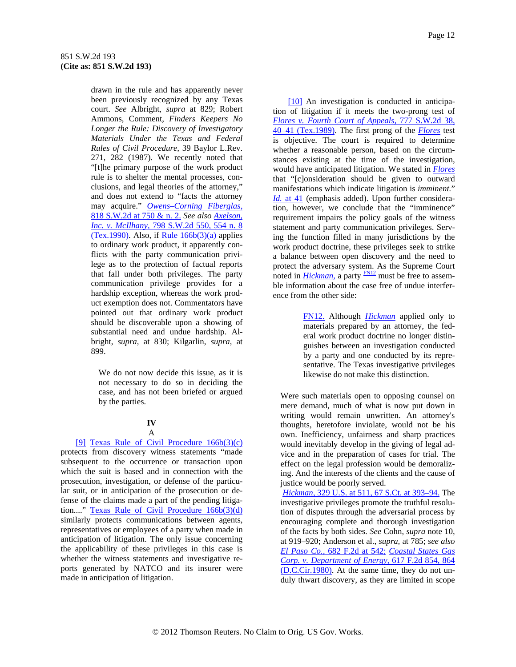<span id="page-11-0"></span>drawn in the rule and has apparently never been previously recognized by any Texas court. *See* Albright, *supra* at 829; Robert Ammons, Comment, *Finders Keepers No Longer the Rule: Discovery of Investigatory Materials Under the Texas and Federal Rules of Civil Procedure,* 39 Baylor L.Rev. 271, 282 (1987). We recently noted that "[t]he primary purpose of the work product rule is to shelter the mental processes, conclusions, and legal theories of the attorney," and does not extend to "facts the attorne[y](http://www.westlaw.com/Find/Default.wl?rs=dfa1.0&vr=2.0&DB=713&FindType=Y&ReferencePositionType=S&SerialNum=1991183793&ReferencePosition=750)  may acquire." *[Owens–Corning Fiberglas,](http://www.westlaw.com/Find/Default.wl?rs=dfa1.0&vr=2.0&DB=713&FindType=Y&ReferencePositionType=S&SerialNum=1991183793&ReferencePosition=750)* [818 S.W.2d at 750 & n. 2.](http://www.westlaw.com/Find/Default.wl?rs=dfa1.0&vr=2.0&DB=713&FindType=Y&ReferencePositionType=S&SerialNum=1991183793&ReferencePosition=750) *See also [Axelson,](http://www.westlaw.com/Find/Default.wl?rs=dfa1.0&vr=2.0&DB=713&FindType=Y&ReferencePositionType=S&SerialNum=1990151896&ReferencePosition=554)  [Inc. v. McIlhany,](http://www.westlaw.com/Find/Default.wl?rs=dfa1.0&vr=2.0&DB=713&FindType=Y&ReferencePositionType=S&SerialNum=1990151896&ReferencePosition=554)* [798 S.W.2d 550, 554 n. 8](http://www.westlaw.com/Find/Default.wl?rs=dfa1.0&vr=2.0&DB=713&FindType=Y&ReferencePositionType=S&SerialNum=1990151896&ReferencePosition=554)  [\(Tex.1990\).](http://www.westlaw.com/Find/Default.wl?rs=dfa1.0&vr=2.0&DB=713&FindType=Y&ReferencePositionType=S&SerialNum=1990151896&ReferencePosition=554) Also, if Rule  $166b(3)(a)$  applies to ordinary work product, it apparently conflicts with the party communication privilege as to the protection of factual reports that fall under both privileges. The party communication privilege provides for a hardship exception, whereas the work product exemption does not. Commentators have pointed out that ordinary work product should be discoverable upon a showing of substantial need and undue hardship. Albright, *supra,* at 830; Kilgarlin, *supra,* at 899.

We do not now decide this issue, as it is not necessary to do so in deciding the case, and has not been briefed or argued by the parties.

# **IV**

# A

[\[9\]](#page-2-0) [Texas Rule of Civil Procedure 166b\(3\)\(c\)](http://www.westlaw.com/Find/Default.wl?rs=dfa1.0&vr=2.0&DB=1005302&DocName=TXRRCPR166B&FindType=L) protects from discovery witness statements "made subsequent to the occurrence or transaction upon which the suit is based and in connection with the prosecution, investigation, or defense of the particular suit, or in anticipation of the prosecution or defense of the claims made a part of the pending litigation...." [Texas Rule of Civil Procedure 166b\(3\)\(d\)](http://www.westlaw.com/Find/Default.wl?rs=dfa1.0&vr=2.0&DB=1005302&DocName=TXRRCPR166B&FindType=L) similarly protects communications between agents, representatives or employees of a party when made in anticipation of litigation. The only issue concerning the applicability of these privileges in this case is whether the witness statements and investigative reports generated by NATCO and its insurer were made in anticipation of litigation.

[\[10\]](#page-2-0) An investigation is conducted in anticipation of litigation if it meets the two-prong test of *[Flores v. Fourth Court of Appeals,](http://www.westlaw.com/Find/Default.wl?rs=dfa1.0&vr=2.0&DB=713&FindType=Y&ReferencePositionType=S&SerialNum=1989097117&ReferencePosition=40)* [777 S.W.2d 38,](http://www.westlaw.com/Find/Default.wl?rs=dfa1.0&vr=2.0&DB=713&FindType=Y&ReferencePositionType=S&SerialNum=1989097117&ReferencePosition=40)  [40–41 \(Tex.1989\)](http://www.westlaw.com/Find/Default.wl?rs=dfa1.0&vr=2.0&DB=713&FindType=Y&ReferencePositionType=S&SerialNum=1989097117&ReferencePosition=40). The first prong of the *[Flores](http://www.westlaw.com/Find/Default.wl?rs=dfa1.0&vr=2.0&FindType=Y&SerialNum=1989097117)* test is objective. The court is required to determine whether a reasonable person, based on the circumstances existing at the time of the investigation, would have anticipated litigation. We stated in *[Flores](http://www.westlaw.com/Find/Default.wl?rs=dfa1.0&vr=2.0&FindType=Y&SerialNum=1989097117)* that "[c]onsideration should be given to outward manifestations which indicate litigation is *imminent.*" *[Id.](http://www.westlaw.com/Find/Default.wl?rs=dfa1.0&vr=2.0&FindType=Y&SerialNum=1989097117)* [at 41](http://www.westlaw.com/Find/Default.wl?rs=dfa1.0&vr=2.0&FindType=Y&SerialNum=1989097117) (emphasis added). Upon further consideration, however, we conclude that the "imminence" requirement impairs the policy goals of the witness statement and party communication privileges. Serving the function filled in many jurisdictions by the work product doctrine, these privileges seek to strike a balance between open discovery and the need to protect the adversary system. As the Supreme Court noted in *Hickman*, a party [FN12](#page-11-0) must be free to assemble information about the case free of undue interference from the other side:

> [FN12.](#page-11-0) Although *[Hickman](http://www.westlaw.com/Find/Default.wl?rs=dfa1.0&vr=2.0&FindType=Y&SerialNum=1947115463)* applied only to materials prepared by an attorney, the federal work product doctrine no longer distinguishes between an investigation conducted by a party and one conducted by its representative. The Texas investigative privileges likewise do not make this distinction.

Were such materials open to opposing counsel on mere demand, much of what is now put down in writing would remain unwritten. An attorney's thoughts, heretofore inviolate, would not be his own. Inefficiency, unfairness and sharp practices would inevitably develop in the giving of legal advice and in the preparation of cases for trial. The effect on the legal profession would be demoralizing. And the interests of the clients and the cause of justice would be poorly served.

*[Hickman,](http://www.westlaw.com/Find/Default.wl?rs=dfa1.0&vr=2.0&DB=708&FindType=Y&ReferencePositionType=S&SerialNum=1947115463&ReferencePosition=393)* [329 U.S. at 511, 67 S.Ct. at 393–94.](http://www.westlaw.com/Find/Default.wl?rs=dfa1.0&vr=2.0&DB=708&FindType=Y&ReferencePositionType=S&SerialNum=1947115463&ReferencePosition=393) The investigative privileges promote the truthful resolution of disputes through the adversarial process by encouraging complete and thorough investigation of the facts by both sides. *See* Cohn, *supra* note 10, at 919–920; Anderson et al., *supra,* at 785; *see also [El Paso Co.,](http://www.westlaw.com/Find/Default.wl?rs=dfa1.0&vr=2.0&DB=350&FindType=Y&ReferencePositionType=S&SerialNum=1982134212&ReferencePosition=542)* [682 F.2d at 542;](http://www.westlaw.com/Find/Default.wl?rs=dfa1.0&vr=2.0&DB=350&FindType=Y&ReferencePositionType=S&SerialNum=1982134212&ReferencePosition=542) *[Coastal States Gas](http://www.westlaw.com/Find/Default.wl?rs=dfa1.0&vr=2.0&DB=350&FindType=Y&ReferencePositionType=S&SerialNum=1980112494&ReferencePosition=864)  [Corp. v. Department of Energy,](http://www.westlaw.com/Find/Default.wl?rs=dfa1.0&vr=2.0&DB=350&FindType=Y&ReferencePositionType=S&SerialNum=1980112494&ReferencePosition=864)* [617 F.2d 854, 864](http://www.westlaw.com/Find/Default.wl?rs=dfa1.0&vr=2.0&DB=350&FindType=Y&ReferencePositionType=S&SerialNum=1980112494&ReferencePosition=864)  [\(D.C.Cir.1980\).](http://www.westlaw.com/Find/Default.wl?rs=dfa1.0&vr=2.0&DB=350&FindType=Y&ReferencePositionType=S&SerialNum=1980112494&ReferencePosition=864) At the same time, they do not unduly thwart discovery, as they are limited in scope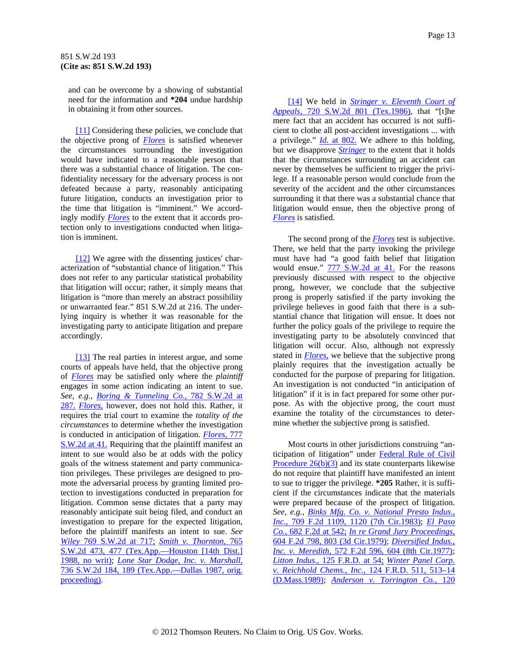<span id="page-12-0"></span>and can be overcome by a showing of substantial need for the information and **\*204** undue hardship in obtaining it from other sources.

[\[11\]](#page-2-0) Considering these policies, we conclude that the objective prong of *[Flores](http://www.westlaw.com/Find/Default.wl?rs=dfa1.0&vr=2.0&FindType=Y&SerialNum=1989097117)* is satisfied whenever the circumstances surrounding the investigation would have indicated to a reasonable person that there was a substantial chance of litigation. The confidentiality necessary for the adversary process is not defeated because a party, reasonably anticipating future litigation, conducts an investigation prior to the time that litigation is "imminent." We accordingly modify *[Flores](http://www.westlaw.com/Find/Default.wl?rs=dfa1.0&vr=2.0&FindType=Y&SerialNum=1989097117)* to the extent that it accords protection only to investigations conducted when litigation is imminent.

[\[12\]](#page-2-0) We agree with the dissenting justices' characterization of "substantial chance of litigation." This does not refer to any particular statistical probability that litigation will occur; rather, it simply means that litigation is "more than merely an abstract possibility or unwarranted fear." 851 S.W.2d at 216. The underlying inquiry is whether it was reasonable for the investigating party to anticipate litigation and prepare accordingly.

[\[13\]](#page-3-0) The real parties in interest argue, and some courts of appeals have held, that the objective prong of *[Flores](http://www.westlaw.com/Find/Default.wl?rs=dfa1.0&vr=2.0&FindType=Y&SerialNum=1989097117)* may be satisfied only where the *plaintiff* engages in some action indicating an intent to sue. *See, e.g., [Boring & Tunneling Co.,](http://www.westlaw.com/Find/Default.wl?rs=dfa1.0&vr=2.0&DB=713&FindType=Y&ReferencePositionType=S&SerialNum=1990015915&ReferencePosition=287)* [782 S.W.2d at](http://www.westlaw.com/Find/Default.wl?rs=dfa1.0&vr=2.0&DB=713&FindType=Y&ReferencePositionType=S&SerialNum=1990015915&ReferencePosition=287)  [287.](http://www.westlaw.com/Find/Default.wl?rs=dfa1.0&vr=2.0&DB=713&FindType=Y&ReferencePositionType=S&SerialNum=1990015915&ReferencePosition=287) *[Flores,](http://www.westlaw.com/Find/Default.wl?rs=dfa1.0&vr=2.0&FindType=Y&SerialNum=1989097117)* however, does not hold this. Rather, it requires the trial court to examine the *totality of the circumstances* to determine whether the investigation is conducted in anticipation of litigation. *[Flores,](http://www.westlaw.com/Find/Default.wl?rs=dfa1.0&vr=2.0&DB=713&FindType=Y&ReferencePositionType=S&SerialNum=1989097117&ReferencePosition=41)* [777](http://www.westlaw.com/Find/Default.wl?rs=dfa1.0&vr=2.0&DB=713&FindType=Y&ReferencePositionType=S&SerialNum=1989097117&ReferencePosition=41)  [S.W.2d at 41.](http://www.westlaw.com/Find/Default.wl?rs=dfa1.0&vr=2.0&DB=713&FindType=Y&ReferencePositionType=S&SerialNum=1989097117&ReferencePosition=41) Requiring that the plaintiff manifest an intent to sue would also be at odds with the policy goals of the witness statement and party communication privileges. These privileges are designed to promote the adversarial process by granting limited protection to investigations conducted in preparation for litigation. Common sense dictates that a party may reasonably anticipate suit being filed, and conduct an investigation to prepare for the expected litigation, before the plaintiff manifests an intent to sue. *See [Wiley](http://www.westlaw.com/Find/Default.wl?rs=dfa1.0&vr=2.0&DB=713&FindType=Y&ReferencePositionType=S&SerialNum=1989081933&ReferencePosition=717)* [769 S.W.2d at 717;](http://www.westlaw.com/Find/Default.wl?rs=dfa1.0&vr=2.0&DB=713&FindType=Y&ReferencePositionType=S&SerialNum=1989081933&ReferencePosition=717) *[Smith v. Thornton,](http://www.westlaw.com/Find/Default.wl?rs=dfa1.0&vr=2.0&DB=713&FindType=Y&ReferencePositionType=S&SerialNum=1988165315&ReferencePosition=477)* [765](http://www.westlaw.com/Find/Default.wl?rs=dfa1.0&vr=2.0&DB=713&FindType=Y&ReferencePositionType=S&SerialNum=1988165315&ReferencePosition=477)  [S.W.2d 473, 477 \(Tex.App.—Houston \[14th Dist.\]](http://www.westlaw.com/Find/Default.wl?rs=dfa1.0&vr=2.0&DB=713&FindType=Y&ReferencePositionType=S&SerialNum=1988165315&ReferencePosition=477)  [1988, no writ\)](http://www.westlaw.com/Find/Default.wl?rs=dfa1.0&vr=2.0&DB=713&FindType=Y&ReferencePositionType=S&SerialNum=1988165315&ReferencePosition=477); *[Lone Star Dodge, Inc. v. Marshall,](http://www.westlaw.com/Find/Default.wl?rs=dfa1.0&vr=2.0&DB=713&FindType=Y&ReferencePositionType=S&SerialNum=1987119133&ReferencePosition=189)* [736 S.W.2d 184, 189 \(Tex.App.—Dallas 1987, orig.](http://www.westlaw.com/Find/Default.wl?rs=dfa1.0&vr=2.0&DB=713&FindType=Y&ReferencePositionType=S&SerialNum=1987119133&ReferencePosition=189)  [proceeding\).](http://www.westlaw.com/Find/Default.wl?rs=dfa1.0&vr=2.0&DB=713&FindType=Y&ReferencePositionType=S&SerialNum=1987119133&ReferencePosition=189)

[\[14\]](#page-3-0) We held in *[Stringer v. Eleventh Court of](http://www.westlaw.com/Find/Default.wl?rs=dfa1.0&vr=2.0&DB=713&FindType=Y&SerialNum=1986134386)  [Appeals,](http://www.westlaw.com/Find/Default.wl?rs=dfa1.0&vr=2.0&DB=713&FindType=Y&SerialNum=1986134386)* [720 S.W.2d 801 \(Tex.1986\)](http://www.westlaw.com/Find/Default.wl?rs=dfa1.0&vr=2.0&DB=713&FindType=Y&SerialNum=1986134386), that "[t]he mere fact that an accident has occurred is not sufficient to clothe all post-accident investigations ... with a privilege." *[Id.](http://www.westlaw.com/Find/Default.wl?rs=dfa1.0&vr=2.0&FindType=Y&SerialNum=1986134386)* [at 802.](http://www.westlaw.com/Find/Default.wl?rs=dfa1.0&vr=2.0&FindType=Y&SerialNum=1986134386) We adhere to this holding, but we disapprove *[Stringer](http://www.westlaw.com/Find/Default.wl?rs=dfa1.0&vr=2.0&FindType=Y&SerialNum=1986134386)* to the extent that it holds that the circumstances surrounding an accident can never by themselves be sufficient to trigger the privilege. If a reasonable person would conclude from the severity of the accident and the other circumstances surrounding it that there was a substantial chance that litigation would ensue, then the objective prong of *[Flores](http://www.westlaw.com/Find/Default.wl?rs=dfa1.0&vr=2.0&FindType=Y&SerialNum=1989097117)* is satisfied.

The second prong of the *[Flores](http://www.westlaw.com/Find/Default.wl?rs=dfa1.0&vr=2.0&FindType=Y&SerialNum=1989097117)* test is subjective. There, we held that the party invoking the privilege must have had "a good faith belief that litigation would ensue." **777 S.W.2d at 41.** For the reasons previously discussed with respect to the objective prong, however, we conclude that the subjective prong is properly satisfied if the party invoking the privilege believes in good faith that there is a substantial chance that litigation will ensue. It does not further the policy goals of the privilege to require the investigating party to be absolutely convinced that litigation will occur. Also, although not expressly stated in *[Flores,](http://www.westlaw.com/Find/Default.wl?rs=dfa1.0&vr=2.0&FindType=Y&SerialNum=1989097117)* we believe that the subjective prong plainly requires that the investigation actually be conducted for the purpose of preparing for litigation. An investigation is not conducted "in anticipation of litigation" if it is in fact prepared for some other purpose. As with the objective prong, the court must examine the totality of the circumstances to determine whether the subjective prong is satisfied.

Most courts in other jurisdictions construing "anticipation of litigation" under Federal Rule of Civil Procedure  $26(b)(3)$  and its state counterparts likewise do not require that plaintiff have manifested an intent to sue to trigger the privilege. **\*205** Rather, it is sufficient if the circumstances indicate that the materials were prepared because of the prospect of litigation. *See, e.g., [Binks Mfg. Co. v. National Presto Indus.,](http://www.westlaw.com/Find/Default.wl?rs=dfa1.0&vr=2.0&DB=350&FindType=Y&ReferencePositionType=S&SerialNum=1983125692&ReferencePosition=1120)  [Inc.,](http://www.westlaw.com/Find/Default.wl?rs=dfa1.0&vr=2.0&DB=350&FindType=Y&ReferencePositionType=S&SerialNum=1983125692&ReferencePosition=1120)* [709 F.2d 1109, 1120 \(7th Cir.1983\)](http://www.westlaw.com/Find/Default.wl?rs=dfa1.0&vr=2.0&DB=350&FindType=Y&ReferencePositionType=S&SerialNum=1983125692&ReferencePosition=1120); *[El Paso](http://www.westlaw.com/Find/Default.wl?rs=dfa1.0&vr=2.0&DB=350&FindType=Y&ReferencePositionType=S&SerialNum=1982134212&ReferencePosition=542)  [Co.,](http://www.westlaw.com/Find/Default.wl?rs=dfa1.0&vr=2.0&DB=350&FindType=Y&ReferencePositionType=S&SerialNum=1982134212&ReferencePosition=542)* [682 F.2d at 542;](http://www.westlaw.com/Find/Default.wl?rs=dfa1.0&vr=2.0&DB=350&FindType=Y&ReferencePositionType=S&SerialNum=1982134212&ReferencePosition=542) *[In re Grand Jury Proceedings,](http://www.westlaw.com/Find/Default.wl?rs=dfa1.0&vr=2.0&DB=350&FindType=Y&ReferencePositionType=S&SerialNum=1979114327&ReferencePosition=803)* [604 F.2d 798, 803 \(3d Cir.1979\);](http://www.westlaw.com/Find/Default.wl?rs=dfa1.0&vr=2.0&DB=350&FindType=Y&ReferencePositionType=S&SerialNum=1979114327&ReferencePosition=803) *[Diversified Indus.,](http://www.westlaw.com/Find/Default.wl?rs=dfa1.0&vr=2.0&DB=350&FindType=Y&ReferencePositionType=S&SerialNum=1977125046&ReferencePosition=604)  [Inc. v. Meredith,](http://www.westlaw.com/Find/Default.wl?rs=dfa1.0&vr=2.0&DB=350&FindType=Y&ReferencePositionType=S&SerialNum=1977125046&ReferencePosition=604)* [572 F.2d 596, 604 \(8th Cir.1977\)](http://www.westlaw.com/Find/Default.wl?rs=dfa1.0&vr=2.0&DB=350&FindType=Y&ReferencePositionType=S&SerialNum=1977125046&ReferencePosition=604); *[Litton Indus.,](http://www.westlaw.com/Find/Default.wl?rs=dfa1.0&vr=2.0&DB=344&FindType=Y&ReferencePositionType=S&SerialNum=1989054856&ReferencePosition=54)* [125 F.R.D. at 54;](http://www.westlaw.com/Find/Default.wl?rs=dfa1.0&vr=2.0&DB=344&FindType=Y&ReferencePositionType=S&SerialNum=1989054856&ReferencePosition=54) *[Winter Panel Corp.](http://www.westlaw.com/Find/Default.wl?rs=dfa1.0&vr=2.0&DB=344&FindType=Y&ReferencePositionType=S&SerialNum=1989037113&ReferencePosition=513)  [v. Reichhold Chems., Inc.,](http://www.westlaw.com/Find/Default.wl?rs=dfa1.0&vr=2.0&DB=344&FindType=Y&ReferencePositionType=S&SerialNum=1989037113&ReferencePosition=513)* [124 F.R.D. 511, 513–14](http://www.westlaw.com/Find/Default.wl?rs=dfa1.0&vr=2.0&DB=344&FindType=Y&ReferencePositionType=S&SerialNum=1989037113&ReferencePosition=513)  [\(D.Mass.1989\)](http://www.westlaw.com/Find/Default.wl?rs=dfa1.0&vr=2.0&DB=344&FindType=Y&ReferencePositionType=S&SerialNum=1989037113&ReferencePosition=513); *[Anderson v. Torrington Co.,](http://www.westlaw.com/Find/Default.wl?rs=dfa1.0&vr=2.0&DB=344&FindType=Y&ReferencePositionType=S&SerialNum=1988060177&ReferencePosition=86)* [120](http://www.westlaw.com/Find/Default.wl?rs=dfa1.0&vr=2.0&DB=344&FindType=Y&ReferencePositionType=S&SerialNum=1988060177&ReferencePosition=86)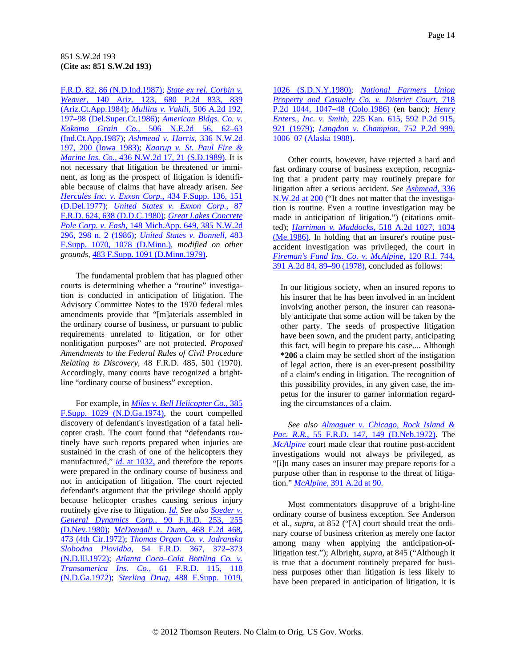[F.R.D. 82, 86 \(N.D.Ind.1987\)](http://www.westlaw.com/Find/Default.wl?rs=dfa1.0&vr=2.0&DB=344&FindType=Y&ReferencePositionType=S&SerialNum=1988060177&ReferencePosition=86); *[State ex rel. Corbin v.](http://www.westlaw.com/Find/Default.wl?rs=dfa1.0&vr=2.0&DB=661&FindType=Y&ReferencePositionType=S&SerialNum=1984117675&ReferencePosition=839)  [Weaver,](http://www.westlaw.com/Find/Default.wl?rs=dfa1.0&vr=2.0&DB=661&FindType=Y&ReferencePositionType=S&SerialNum=1984117675&ReferencePosition=839)* [140 Ariz. 123, 680 P.2d 833, 839](http://www.westlaw.com/Find/Default.wl?rs=dfa1.0&vr=2.0&DB=661&FindType=Y&ReferencePositionType=S&SerialNum=1984117675&ReferencePosition=839)  [\(Ariz.Ct.App.1984\);](http://www.westlaw.com/Find/Default.wl?rs=dfa1.0&vr=2.0&DB=661&FindType=Y&ReferencePositionType=S&SerialNum=1984117675&ReferencePosition=839) *[Mullins v. Vakili,](http://www.westlaw.com/Find/Default.wl?rs=dfa1.0&vr=2.0&DB=162&FindType=Y&ReferencePositionType=S&SerialNum=1986114067&ReferencePosition=197)* [506 A.2d 192,](http://www.westlaw.com/Find/Default.wl?rs=dfa1.0&vr=2.0&DB=162&FindType=Y&ReferencePositionType=S&SerialNum=1986114067&ReferencePosition=197)  [197–98 \(Del.Super.Ct.1986\);](http://www.westlaw.com/Find/Default.wl?rs=dfa1.0&vr=2.0&DB=162&FindType=Y&ReferencePositionType=S&SerialNum=1986114067&ReferencePosition=197) *[American Bldgs. Co. v.](http://www.westlaw.com/Find/Default.wl?rs=dfa1.0&vr=2.0&DB=578&FindType=Y&ReferencePositionType=S&SerialNum=1987049363&ReferencePosition=62)  [Kokomo Grain Co.,](http://www.westlaw.com/Find/Default.wl?rs=dfa1.0&vr=2.0&DB=578&FindType=Y&ReferencePositionType=S&SerialNum=1987049363&ReferencePosition=62)* [506 N.E.2d 56, 62–63](http://www.westlaw.com/Find/Default.wl?rs=dfa1.0&vr=2.0&DB=578&FindType=Y&ReferencePositionType=S&SerialNum=1987049363&ReferencePosition=62)  [\(Ind.Ct.App.1987\)](http://www.westlaw.com/Find/Default.wl?rs=dfa1.0&vr=2.0&DB=578&FindType=Y&ReferencePositionType=S&SerialNum=1987049363&ReferencePosition=62); *[Ashmead v. Harris,](http://www.westlaw.com/Find/Default.wl?rs=dfa1.0&vr=2.0&DB=595&FindType=Y&ReferencePositionType=S&SerialNum=1983134290&ReferencePosition=200)* [336 N.W.2d](http://www.westlaw.com/Find/Default.wl?rs=dfa1.0&vr=2.0&DB=595&FindType=Y&ReferencePositionType=S&SerialNum=1983134290&ReferencePosition=200)  [197, 200 \(Iowa 1983\)](http://www.westlaw.com/Find/Default.wl?rs=dfa1.0&vr=2.0&DB=595&FindType=Y&ReferencePositionType=S&SerialNum=1983134290&ReferencePosition=200); *[Kaarup v. St. Paul Fire &](http://www.westlaw.com/Find/Default.wl?rs=dfa1.0&vr=2.0&DB=595&FindType=Y&ReferencePositionType=S&SerialNum=1989023079&ReferencePosition=21)  [Marine Ins. Co.,](http://www.westlaw.com/Find/Default.wl?rs=dfa1.0&vr=2.0&DB=595&FindType=Y&ReferencePositionType=S&SerialNum=1989023079&ReferencePosition=21)* [436 N.W.2d 17, 21 \(S.D.1989\).](http://www.westlaw.com/Find/Default.wl?rs=dfa1.0&vr=2.0&DB=595&FindType=Y&ReferencePositionType=S&SerialNum=1989023079&ReferencePosition=21) It is not necessary that litigation be threatened or imminent, as long as the prospect of litigation is identifiable because of claims that have already arisen. *See [Hercules Inc. v. Exxon Corp.,](http://www.westlaw.com/Find/Default.wl?rs=dfa1.0&vr=2.0&DB=345&FindType=Y&ReferencePositionType=S&SerialNum=1977125628&ReferencePosition=151)* [434 F.Supp. 136, 151](http://www.westlaw.com/Find/Default.wl?rs=dfa1.0&vr=2.0&DB=345&FindType=Y&ReferencePositionType=S&SerialNum=1977125628&ReferencePosition=151)  [\(D.Del.1977\)](http://www.westlaw.com/Find/Default.wl?rs=dfa1.0&vr=2.0&DB=345&FindType=Y&ReferencePositionType=S&SerialNum=1977125628&ReferencePosition=151); *[United States v. Exxon Corp.,](http://www.westlaw.com/Find/Default.wl?rs=dfa1.0&vr=2.0&DB=344&FindType=Y&ReferencePositionType=S&SerialNum=1980135918&ReferencePosition=638)* [87](http://www.westlaw.com/Find/Default.wl?rs=dfa1.0&vr=2.0&DB=344&FindType=Y&ReferencePositionType=S&SerialNum=1980135918&ReferencePosition=638)  [F.R.D. 624, 638 \(D.D.C.1980\)](http://www.westlaw.com/Find/Default.wl?rs=dfa1.0&vr=2.0&DB=344&FindType=Y&ReferencePositionType=S&SerialNum=1980135918&ReferencePosition=638); *[Great Lakes Concrete](http://www.westlaw.com/Find/Default.wl?rs=dfa1.0&vr=2.0&DB=595&FindType=Y&ReferencePositionType=S&SerialNum=1986120895&ReferencePosition=298)  [Pole Corp. v. Eash,](http://www.westlaw.com/Find/Default.wl?rs=dfa1.0&vr=2.0&DB=595&FindType=Y&ReferencePositionType=S&SerialNum=1986120895&ReferencePosition=298)* [148 Mich.App. 649, 385 N.W.2d](http://www.westlaw.com/Find/Default.wl?rs=dfa1.0&vr=2.0&DB=595&FindType=Y&ReferencePositionType=S&SerialNum=1986120895&ReferencePosition=298)  [296, 298 n. 2 \(1986\)](http://www.westlaw.com/Find/Default.wl?rs=dfa1.0&vr=2.0&DB=595&FindType=Y&ReferencePositionType=S&SerialNum=1986120895&ReferencePosition=298); *[United States v. Bonnell,](http://www.westlaw.com/Find/Default.wl?rs=dfa1.0&vr=2.0&DB=345&FindType=Y&ReferencePositionType=S&SerialNum=1979140180&ReferencePosition=1078)* [483](http://www.westlaw.com/Find/Default.wl?rs=dfa1.0&vr=2.0&DB=345&FindType=Y&ReferencePositionType=S&SerialNum=1979140180&ReferencePosition=1078)  [F.Supp. 1070, 1078 \(D.Minn.\),](http://www.westlaw.com/Find/Default.wl?rs=dfa1.0&vr=2.0&DB=345&FindType=Y&ReferencePositionType=S&SerialNum=1979140180&ReferencePosition=1078) *modified on other grounds,* [483 F.Supp. 1091 \(D.Minn.1979\).](http://www.westlaw.com/Find/Default.wl?rs=dfa1.0&vr=2.0&DB=345&FindType=Y&SerialNum=1980102707)

The fundamental problem that has plagued other courts is determining whether a "routine" investigation is conducted in anticipation of litigation. The Advisory Committee Notes to the 1970 federal rules amendments provide that "[m]aterials assembled in the ordinary course of business, or pursuant to public requirements unrelated to litigation, or for other nonlitigation purposes" are not protected. *Proposed Amendments to the Federal Rules of Civil Procedure Relating to Discovery,* 48 F.R.D. 485, 501 (1970). Accordingly, many courts have recognized a brightline "ordinary course of business" exception.

For example, in *[Miles v. Bell Helicopter Co.,](http://www.westlaw.com/Find/Default.wl?rs=dfa1.0&vr=2.0&DB=345&FindType=Y&SerialNum=1974107882)* [385](http://www.westlaw.com/Find/Default.wl?rs=dfa1.0&vr=2.0&DB=345&FindType=Y&SerialNum=1974107882)  [F.Supp. 1029 \(N.D.Ga.1974\)](http://www.westlaw.com/Find/Default.wl?rs=dfa1.0&vr=2.0&DB=345&FindType=Y&SerialNum=1974107882), the court compelled discovery of defendant's investigation of a fatal helicopter crash. The court found that "defendants routinely have such reports prepared when injuries are sustained in the crash of one of the helicopters they manufactured," *[id.](http://www.westlaw.com/Find/Default.wl?rs=dfa1.0&vr=2.0&FindType=Y&SerialNum=1974107882)* [at 1032,](http://www.westlaw.com/Find/Default.wl?rs=dfa1.0&vr=2.0&FindType=Y&SerialNum=1974107882) and therefore the reports were prepared in the ordinary course of business and not in anticipation of litigation. The court rejected defendant's argument that the privilege should apply because helicopter crashes causing serious injury routinely give rise to litigation. *[Id.](http://www.westlaw.com/Find/Default.wl?rs=dfa1.0&vr=2.0&FindType=Y&SerialNum=1974107882) See also [Soeder v.](http://www.westlaw.com/Find/Default.wl?rs=dfa1.0&vr=2.0&DB=344&FindType=Y&ReferencePositionType=S&SerialNum=1981121693&ReferencePosition=255)  [General Dynamics Corp.,](http://www.westlaw.com/Find/Default.wl?rs=dfa1.0&vr=2.0&DB=344&FindType=Y&ReferencePositionType=S&SerialNum=1981121693&ReferencePosition=255)* [90 F.R.D. 253, 255](http://www.westlaw.com/Find/Default.wl?rs=dfa1.0&vr=2.0&DB=344&FindType=Y&ReferencePositionType=S&SerialNum=1981121693&ReferencePosition=255)  [\(D.Nev.1980\);](http://www.westlaw.com/Find/Default.wl?rs=dfa1.0&vr=2.0&DB=344&FindType=Y&ReferencePositionType=S&SerialNum=1981121693&ReferencePosition=255) *[McDougall v. Dunn,](http://www.westlaw.com/Find/Default.wl?rs=dfa1.0&vr=2.0&DB=350&FindType=Y&ReferencePositionType=S&SerialNum=1972112441&ReferencePosition=473)* [468 F.2d 468,](http://www.westlaw.com/Find/Default.wl?rs=dfa1.0&vr=2.0&DB=350&FindType=Y&ReferencePositionType=S&SerialNum=1972112441&ReferencePosition=473)  [473 \(4th Cir.1972\)](http://www.westlaw.com/Find/Default.wl?rs=dfa1.0&vr=2.0&DB=350&FindType=Y&ReferencePositionType=S&SerialNum=1972112441&ReferencePosition=473); *[Thomas Organ Co. v. Jadranska](http://www.westlaw.com/Find/Default.wl?rs=dfa1.0&vr=2.0&DB=344&FindType=Y&ReferencePositionType=S&SerialNum=1972103498&ReferencePosition=372)  [Slobodna Plovidba,](http://www.westlaw.com/Find/Default.wl?rs=dfa1.0&vr=2.0&DB=344&FindType=Y&ReferencePositionType=S&SerialNum=1972103498&ReferencePosition=372)* [54 F.R.D. 367, 372–373](http://www.westlaw.com/Find/Default.wl?rs=dfa1.0&vr=2.0&DB=344&FindType=Y&ReferencePositionType=S&SerialNum=1972103498&ReferencePosition=372)  [\(N.D.Ill.1972\)](http://www.westlaw.com/Find/Default.wl?rs=dfa1.0&vr=2.0&DB=344&FindType=Y&ReferencePositionType=S&SerialNum=1972103498&ReferencePosition=372); *[Atlanta Coca–Cola Bottling Co. v.](http://www.westlaw.com/Find/Default.wl?rs=dfa1.0&vr=2.0&DB=344&FindType=Y&ReferencePositionType=S&SerialNum=1972103872&ReferencePosition=118)  [Transamerica Ins. Co.,](http://www.westlaw.com/Find/Default.wl?rs=dfa1.0&vr=2.0&DB=344&FindType=Y&ReferencePositionType=S&SerialNum=1972103872&ReferencePosition=118)* [61 F.R.D. 115, 118](http://www.westlaw.com/Find/Default.wl?rs=dfa1.0&vr=2.0&DB=344&FindType=Y&ReferencePositionType=S&SerialNum=1972103872&ReferencePosition=118)  [\(N.D.Ga.1972\)](http://www.westlaw.com/Find/Default.wl?rs=dfa1.0&vr=2.0&DB=344&FindType=Y&ReferencePositionType=S&SerialNum=1972103872&ReferencePosition=118); *[Sterling Drug,](http://www.westlaw.com/Find/Default.wl?rs=dfa1.0&vr=2.0&DB=345&FindType=Y&ReferencePositionType=S&SerialNum=1980118801&ReferencePosition=1026)* [488 F.Supp. 1019,](http://www.westlaw.com/Find/Default.wl?rs=dfa1.0&vr=2.0&DB=345&FindType=Y&ReferencePositionType=S&SerialNum=1980118801&ReferencePosition=1026)  [1026 \(S.D.N.Y.1980\);](http://www.westlaw.com/Find/Default.wl?rs=dfa1.0&vr=2.0&DB=345&FindType=Y&ReferencePositionType=S&SerialNum=1980118801&ReferencePosition=1026) *[National Farmers Union](http://www.westlaw.com/Find/Default.wl?rs=dfa1.0&vr=2.0&DB=661&FindType=Y&ReferencePositionType=S&SerialNum=1986126030&ReferencePosition=1047)  [Property and Casualty Co. v. District Court,](http://www.westlaw.com/Find/Default.wl?rs=dfa1.0&vr=2.0&DB=661&FindType=Y&ReferencePositionType=S&SerialNum=1986126030&ReferencePosition=1047)* [718](http://www.westlaw.com/Find/Default.wl?rs=dfa1.0&vr=2.0&DB=661&FindType=Y&ReferencePositionType=S&SerialNum=1986126030&ReferencePosition=1047)  [P.2d 1044, 1047–48 \(Colo.1986\)](http://www.westlaw.com/Find/Default.wl?rs=dfa1.0&vr=2.0&DB=661&FindType=Y&ReferencePositionType=S&SerialNum=1986126030&ReferencePosition=1047) (en banc); *[Henry](http://www.westlaw.com/Find/Default.wl?rs=dfa1.0&vr=2.0&DB=661&FindType=Y&ReferencePositionType=S&SerialNum=1979105683&ReferencePosition=921)  [Enters., Inc. v. Smith,](http://www.westlaw.com/Find/Default.wl?rs=dfa1.0&vr=2.0&DB=661&FindType=Y&ReferencePositionType=S&SerialNum=1979105683&ReferencePosition=921)* [225 Kan. 615, 592 P.2d 915,](http://www.westlaw.com/Find/Default.wl?rs=dfa1.0&vr=2.0&DB=661&FindType=Y&ReferencePositionType=S&SerialNum=1979105683&ReferencePosition=921)  [921 \(1979\);](http://www.westlaw.com/Find/Default.wl?rs=dfa1.0&vr=2.0&DB=661&FindType=Y&ReferencePositionType=S&SerialNum=1979105683&ReferencePosition=921) *[Langdon v. Champion,](http://www.westlaw.com/Find/Default.wl?rs=dfa1.0&vr=2.0&DB=661&FindType=Y&ReferencePositionType=S&SerialNum=1988044277&ReferencePosition=1006)* [752 P.2d 999,](http://www.westlaw.com/Find/Default.wl?rs=dfa1.0&vr=2.0&DB=661&FindType=Y&ReferencePositionType=S&SerialNum=1988044277&ReferencePosition=1006)  [1006–07 \(Alaska 1988\)](http://www.westlaw.com/Find/Default.wl?rs=dfa1.0&vr=2.0&DB=661&FindType=Y&ReferencePositionType=S&SerialNum=1988044277&ReferencePosition=1006).

Other courts, however, have rejected a hard and fast ordinary course of business exception, recognizing that a prudent party may routinely prepare for litigation after a serious accident. *See [Ashmead,](http://www.westlaw.com/Find/Default.wl?rs=dfa1.0&vr=2.0&DB=595&FindType=Y&ReferencePositionType=S&SerialNum=1983134290&ReferencePosition=200)* [336](http://www.westlaw.com/Find/Default.wl?rs=dfa1.0&vr=2.0&DB=595&FindType=Y&ReferencePositionType=S&SerialNum=1983134290&ReferencePosition=200)  [N.W.2d at 200](http://www.westlaw.com/Find/Default.wl?rs=dfa1.0&vr=2.0&DB=595&FindType=Y&ReferencePositionType=S&SerialNum=1983134290&ReferencePosition=200) ("It does not matter that the investigation is routine. Even a routine investigation may be made in anticipation of litigation.") (citations omitted); *[Harriman v. Maddocks,](http://www.westlaw.com/Find/Default.wl?rs=dfa1.0&vr=2.0&DB=162&FindType=Y&ReferencePositionType=S&SerialNum=1986163196&ReferencePosition=1034)* [518 A.2d 1027, 1034](http://www.westlaw.com/Find/Default.wl?rs=dfa1.0&vr=2.0&DB=162&FindType=Y&ReferencePositionType=S&SerialNum=1986163196&ReferencePosition=1034)  [\(Me.1986\)](http://www.westlaw.com/Find/Default.wl?rs=dfa1.0&vr=2.0&DB=162&FindType=Y&ReferencePositionType=S&SerialNum=1986163196&ReferencePosition=1034). In holding that an insurer's routine postaccident investigation was privileged, the court in *[Fireman's Fund Ins. Co. v. McAlpine,](http://www.westlaw.com/Find/Default.wl?rs=dfa1.0&vr=2.0&DB=162&FindType=Y&ReferencePositionType=S&SerialNum=1978116347&ReferencePosition=89)* [120 R.I. 744,](http://www.westlaw.com/Find/Default.wl?rs=dfa1.0&vr=2.0&DB=162&FindType=Y&ReferencePositionType=S&SerialNum=1978116347&ReferencePosition=89)  [391 A.2d 84, 89–90 \(1978\),](http://www.westlaw.com/Find/Default.wl?rs=dfa1.0&vr=2.0&DB=162&FindType=Y&ReferencePositionType=S&SerialNum=1978116347&ReferencePosition=89) concluded as follows:

In our litigious society, when an insured reports to his insurer that he has been involved in an incident involving another person, the insurer can reasonably anticipate that some action will be taken by the other party. The seeds of prospective litigation have been sown, and the prudent party, anticipating this fact, will begin to prepare his case.... Although **\*206** a claim may be settled short of the instigation of legal action, there is an ever-present possibility of a claim's ending in litigation. The recognition of this possibility provides, in any given case, the impetus for the insurer to garner information regarding the circumstances of a claim.

*See also [Almaguer v. Chicago, Rock Island &](http://www.westlaw.com/Find/Default.wl?rs=dfa1.0&vr=2.0&DB=344&FindType=Y&ReferencePositionType=S&SerialNum=1972103584&ReferencePosition=149)  [Pac. R.R.,](http://www.westlaw.com/Find/Default.wl?rs=dfa1.0&vr=2.0&DB=344&FindType=Y&ReferencePositionType=S&SerialNum=1972103584&ReferencePosition=149)* [55 F.R.D. 147, 149 \(D.Neb.1972\).](http://www.westlaw.com/Find/Default.wl?rs=dfa1.0&vr=2.0&DB=344&FindType=Y&ReferencePositionType=S&SerialNum=1972103584&ReferencePosition=149) The *[McAlpine](http://www.westlaw.com/Find/Default.wl?rs=dfa1.0&vr=2.0&FindType=Y&SerialNum=1978116347)* court made clear that routine post-accident investigations would not always be privileged, as "[i]n many cases an insurer may prepare reports for a purpose other than in response to the threat of litigation." *[McAlpine,](http://www.westlaw.com/Find/Default.wl?rs=dfa1.0&vr=2.0&DB=162&FindType=Y&ReferencePositionType=S&SerialNum=1978116347&ReferencePosition=90)* [391 A.2d at 90.](http://www.westlaw.com/Find/Default.wl?rs=dfa1.0&vr=2.0&DB=162&FindType=Y&ReferencePositionType=S&SerialNum=1978116347&ReferencePosition=90)

Most commentators disapprove of a bright-line ordinary course of business exception. *See* Anderson et al., *supra,* at 852 ("[A] court should treat the ordinary course of business criterion as merely one factor among many when applying the anticipation-oflitigation test."); Albright, *supra,* at 845 ("Although it is true that a document routinely prepared for business purposes other than litigation is less likely to have been prepared in anticipation of litigation, it is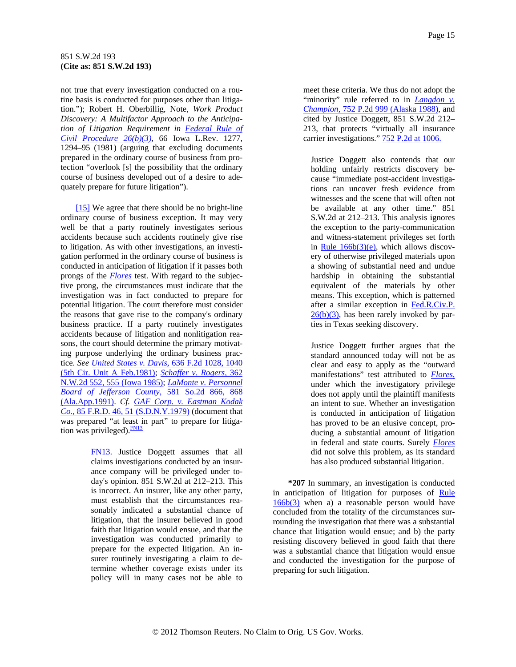<span id="page-14-0"></span>not true that every investigation conducted on a routine basis is conducted for purposes other than litigation."); Robert H. Oberbillig, Note, *Work Product Discovery: A Multifactor Approach to the Anticipation of Litigation Requirement in [Federal Rule of](http://www.westlaw.com/Find/Default.wl?rs=dfa1.0&vr=2.0&DB=1004365&DocName=USFRCPR26&FindType=L) [Civil Procedure 26\(b\)\(3\),](http://www.westlaw.com/Find/Default.wl?rs=dfa1.0&vr=2.0&DB=1004365&DocName=USFRCPR26&FindType=L)* 66 Iowa L.Rev. 1277, 1294–95 (1981) (arguing that excluding documents prepared in the ordinary course of business from protection "overlook [s] the possibility that the ordinary course of business developed out of a desire to adequately prepare for future litigation").

[\[15\]](#page-3-0) We agree that there should be no bright-line ordinary course of business exception. It may very well be that a party routinely investigates serious accidents because such accidents routinely give rise to litigation. As with other investigations, an investigation performed in the ordinary course of business is conducted in anticipation of litigation if it passes both prongs of the *[Flores](http://www.westlaw.com/Find/Default.wl?rs=dfa1.0&vr=2.0&FindType=Y&SerialNum=1989097117)* test. With regard to the subjective prong, the circumstances must indicate that the investigation was in fact conducted to prepare for potential litigation. The court therefore must consider the reasons that gave rise to the company's ordinary business practice. If a party routinely investigates accidents because of litigation and nonlitigation reasons, the court should determine the primary motivating purpose underlying the ordinary business practice. *See [United States v. Davis,](http://www.westlaw.com/Find/Default.wl?rs=dfa1.0&vr=2.0&DB=350&FindType=Y&ReferencePositionType=S&SerialNum=1981103747&ReferencePosition=1040)* [636 F.2d 1028, 1040](http://www.westlaw.com/Find/Default.wl?rs=dfa1.0&vr=2.0&DB=350&FindType=Y&ReferencePositionType=S&SerialNum=1981103747&ReferencePosition=1040)  [\(5th Cir. Unit A Feb.1981\)](http://www.westlaw.com/Find/Default.wl?rs=dfa1.0&vr=2.0&DB=350&FindType=Y&ReferencePositionType=S&SerialNum=1981103747&ReferencePosition=1040); *[Schaffer v. Rogers,](http://www.westlaw.com/Find/Default.wl?rs=dfa1.0&vr=2.0&DB=595&FindType=Y&ReferencePositionType=S&SerialNum=1985108319&ReferencePosition=555)* [362](http://www.westlaw.com/Find/Default.wl?rs=dfa1.0&vr=2.0&DB=595&FindType=Y&ReferencePositionType=S&SerialNum=1985108319&ReferencePosition=555)  [N.W.2d 552, 555 \(Iowa 1985\);](http://www.westlaw.com/Find/Default.wl?rs=dfa1.0&vr=2.0&DB=595&FindType=Y&ReferencePositionType=S&SerialNum=1985108319&ReferencePosition=555) *[LaMonte v. Personnel](http://www.westlaw.com/Find/Default.wl?rs=dfa1.0&vr=2.0&DB=735&FindType=Y&ReferencePositionType=S&SerialNum=1991050534&ReferencePosition=868)  [Board of Jefferson County,](http://www.westlaw.com/Find/Default.wl?rs=dfa1.0&vr=2.0&DB=735&FindType=Y&ReferencePositionType=S&SerialNum=1991050534&ReferencePosition=868)* [581 So.2d 866, 868](http://www.westlaw.com/Find/Default.wl?rs=dfa1.0&vr=2.0&DB=735&FindType=Y&ReferencePositionType=S&SerialNum=1991050534&ReferencePosition=868)  [\(Ala.App.1991\)](http://www.westlaw.com/Find/Default.wl?rs=dfa1.0&vr=2.0&DB=735&FindType=Y&ReferencePositionType=S&SerialNum=1991050534&ReferencePosition=868). *Cf. [GAF Corp. v. Eastman Kodak](http://www.westlaw.com/Find/Default.wl?rs=dfa1.0&vr=2.0&DB=344&FindType=Y&ReferencePositionType=S&SerialNum=1980192867&ReferencePosition=51)  [Co.,](http://www.westlaw.com/Find/Default.wl?rs=dfa1.0&vr=2.0&DB=344&FindType=Y&ReferencePositionType=S&SerialNum=1980192867&ReferencePosition=51)* [85 F.R.D. 46, 51 \(S.D.N.Y.1979\)](http://www.westlaw.com/Find/Default.wl?rs=dfa1.0&vr=2.0&DB=344&FindType=Y&ReferencePositionType=S&SerialNum=1980192867&ReferencePosition=51) (document that was prepared "at least [in](#page-14-0) part" to prepare for litigation was privileged). $\frac{FN13}{FN13}$ 

> [FN13.](#page-14-0) Justice Doggett assumes that all claims investigations conducted by an insurance company will be privileged under today's opinion. 851 S.W.2d at 212–213. This is incorrect. An insurer, like any other party, must establish that the circumstances reasonably indicated a substantial chance of litigation, that the insurer believed in good faith that litigation would ensue, and that the investigation was conducted primarily to prepare for the expected litigation. An insurer routinely investigating a claim to determine whether coverage exists under its policy will in many cases not be able to

meet these criteria. We thus do not adopt the "minority" rule referred to in *Langdon v*. *[Champion,](http://www.westlaw.com/Find/Default.wl?rs=dfa1.0&vr=2.0&DB=661&FindType=Y&SerialNum=1988044277)* [752 P.2d 999 \(Alaska 1988\)](http://www.westlaw.com/Find/Default.wl?rs=dfa1.0&vr=2.0&DB=661&FindType=Y&SerialNum=1988044277), and cited by Justice Doggett, 851 S.W.2d 212– 213, that protects "virtually all insurance carrier investigations." **[752 P.2d at 1006.](http://www.westlaw.com/Find/Default.wl?rs=dfa1.0&vr=2.0&DB=661&FindType=Y&ReferencePositionType=S&SerialNum=1988044277&ReferencePosition=1006)** 

Justice Doggett also contends that our holding unfairly restricts discovery because "immediate post-accident investigations can uncover fresh evidence from witnesses and the scene that will often not be available at any other time." 851 S.W.2d at 212–213. This analysis ignores the exception to the party-communication and witness-statement privileges set forth in [Rule 166b\(3\)\(e\)](http://www.westlaw.com/Find/Default.wl?rs=dfa1.0&vr=2.0&DB=1005302&DocName=TXRRCPR166B&FindType=L), which allows discovery of otherwise privileged materials upon a showing of substantial need and undue hardship in obtaining the substantial equivalent of the materials by other means. This exception, which is patterned after a similar exception in [Fed.R.Civ.P.](http://www.westlaw.com/Find/Default.wl?rs=dfa1.0&vr=2.0&DB=1004365&DocName=USFRCPR26&FindType=L)   $26(b)(3)$ , has been rarely invoked by parties in Texas seeking discovery.

Justice Doggett further argues that the standard announced today will not be as clear and easy to apply as the "outward manifestations" test attributed to *[Flores,](http://www.westlaw.com/Find/Default.wl?rs=dfa1.0&vr=2.0&FindType=Y&SerialNum=1989097117)* under which the investigatory privilege does not apply until the plaintiff manifests an intent to sue. Whether an investigation is conducted in anticipation of litigation has proved to be an elusive concept, producing a substantial amount of litigation in federal and state courts. Surely *[Flores](http://www.westlaw.com/Find/Default.wl?rs=dfa1.0&vr=2.0&FindType=Y&SerialNum=1989097117)* did not solve this problem, as its standard has also produced substantial litigation.

**\*207** In summary, an investigation is conducted in anticipation of litigation for purposes of Rule [166b\(3\)](http://www.westlaw.com/Find/Default.wl?rs=dfa1.0&vr=2.0&DB=1005302&DocName=TXRRCPR166B&FindType=L) when a) a reasonable person would have concluded from the totality of the circumstances surrounding the investigation that there was a substantial chance that litigation would ensue; and b) the party resisting discovery believed in good faith that there was a substantial chance that litigation would ensue and conducted the investigation for the purpose of preparing for such litigation.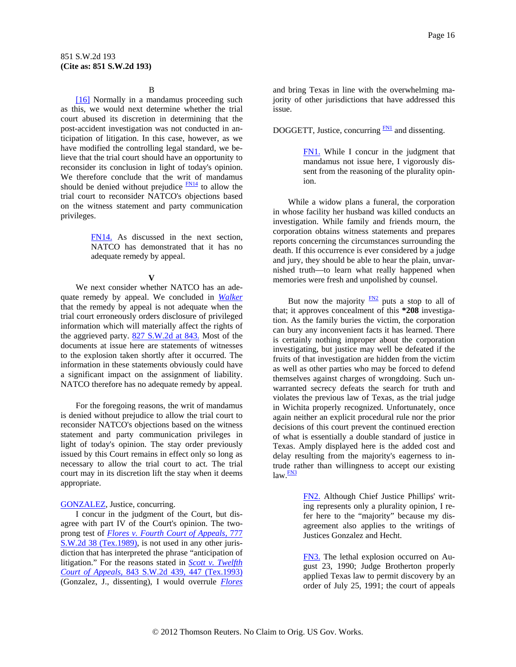#### B

<span id="page-15-0"></span>[\[16\]](#page-3-0) Normally in a mandamus proceeding such as this, we would next determine whether the trial court abused its discretion in determining that the post-accident investigation was not conducted in anticipation of litigation. In this case, however, as we have modified the controlling legal standard, we believe that the trial court should have an opportunity to reconsider its conclusion in light of today's opinion. We therefore conclude that the writ of mandamus should be denied without prejudice  $\frac{FN14}{FN14}$  $\frac{FN14}{FN14}$  $\frac{FN14}{FN14}$  to allow the trial court to reconsider NATCO's objections based on the witness statement and party communication privileges.

> [FN14.](#page-15-0) As discussed in the next section, NATCO has demonstrated that it has no adequate remedy by appeal.

#### **V**

We next consider whether NATCO has an adequate remedy by appeal. We concluded in *[Walker](http://www.westlaw.com/Find/Default.wl?rs=dfa1.0&vr=2.0&FindType=Y&SerialNum=1992044797)* that the remedy by appeal is not adequate when the trial court erroneously orders disclosure of privileged information which will materially affect the rights of the aggrieved party. [827 S.W.2d at 843.](http://www.westlaw.com/Find/Default.wl?rs=dfa1.0&vr=2.0&DB=713&FindType=Y&ReferencePositionType=S&SerialNum=1992044797&ReferencePosition=843) Most of the documents at issue here are statements of witnesses to the explosion taken shortly after it occurred. The information in these statements obviously could have a significant impact on the assignment of liability. NATCO therefore has no adequate remedy by appeal.

For the foregoing reasons, the writ of mandamus is denied without prejudice to allow the trial court to reconsider NATCO's objections based on the witness statement and party communication privileges in light of today's opinion. The stay order previously issued by this Court remains in effect only so long as necessary to allow the trial court to act. The trial court may in its discretion lift the stay when it deems appropriate.

#### [GONZALEZ](http://www.westlaw.com/Find/Default.wl?rs=dfa1.0&vr=2.0&DB=PROFILER-WLD&DocName=0260593901&FindType=h), Justice, concurring.

I concur in the judgment of the Court, but disagree with part IV of the Court's opinion. The twoprong test of *[Flores v. Fourth Court of Appeals,](http://www.westlaw.com/Find/Default.wl?rs=dfa1.0&vr=2.0&DB=713&FindType=Y&SerialNum=1989097117)* [777](http://www.westlaw.com/Find/Default.wl?rs=dfa1.0&vr=2.0&DB=713&FindType=Y&SerialNum=1989097117)  [S.W.2d 38 \(Tex.1989\),](http://www.westlaw.com/Find/Default.wl?rs=dfa1.0&vr=2.0&DB=713&FindType=Y&SerialNum=1989097117) is not used in any other jurisdiction that has interpreted the phrase "anticipation of litigation." For the reasons stated in *[Scott v. Twelfth](http://www.westlaw.com/Find/Default.wl?rs=dfa1.0&vr=2.0&DB=713&FindType=Y&ReferencePositionType=S&SerialNum=1992055491&ReferencePosition=447)  [Court of Appeals,](http://www.westlaw.com/Find/Default.wl?rs=dfa1.0&vr=2.0&DB=713&FindType=Y&ReferencePositionType=S&SerialNum=1992055491&ReferencePosition=447)* [843 S.W.2d 439, 447 \(Tex.1993\)](http://www.westlaw.com/Find/Default.wl?rs=dfa1.0&vr=2.0&DB=713&FindType=Y&ReferencePositionType=S&SerialNum=1992055491&ReferencePosition=447) (Gonzalez, J., dissenting), I would overrule *[Flores](http://www.westlaw.com/Find/Default.wl?rs=dfa1.0&vr=2.0&FindType=Y&SerialNum=1989097117)*

and bring Texas in line with the overwhelming majority of other jurisdictions that have addressed this issue.

DOGGETT, Justice, concurring  $\frac{FN1}{FN}$  and dissenting.

[FN1.](#page-15-0) While I concur in the judgment that mandamus not issue here, I vigorously dissent from the reasoning of the plurality opinion.

While a widow plans a funeral, the corporation in whose facility her husband was killed conducts an investigation. While family and friends mourn, the corporation obtains witness statements and prepares reports concerning the circumstances surrounding the death. If this occurrence is ever considered by a judge and jury, they should be able to hear the plain, unvarnished truth—to learn what really happened when memories were fresh and unpolished by counsel.

But now the majority  $\frac{FN2}{FN2}$  $\frac{FN2}{FN2}$  $\frac{FN2}{FN2}$  puts a stop to all of that; it approves concealment of this **\*208** investigation. As the family buries the victim, the corporation can bury any inconvenient facts it has learned. There is certainly nothing improper about the corporation investigating, but justice may well be defeated if the fruits of that investigation are hidden from the victim as well as other parties who may be forced to defend themselves against charges of wrongdoing. Such unwarranted secrecy defeats the search for truth and violates the previous law of Texas, as the trial judge in Wichita properly recognized. Unfortunately, once again neither an explicit procedural rule nor the prior decisions of this court prevent the continued erection of what is essentially a double standard of justice in Texas. Amply displayed here is the added cost and delay resulting from the majority's eagerness to intrude [ra](#page-15-0)ther than willingness to accept our existing  $law.$  $\frac{FN3}{FN3}$  $\frac{FN3}{FN3}$  $\frac{FN3}{FN3}$ 

> [FN2.](#page-15-0) Although Chief Justice Phillips' writing represents only a plurality opinion, I refer here to the "majority" because my disagreement also applies to the writings of Justices Gonzalez and Hecht.

> [FN3.](#page-15-0) The lethal explosion occurred on August 23, 1990; Judge Brotherton properly applied Texas law to permit discovery by an order of July 25, 1991; the court of appeals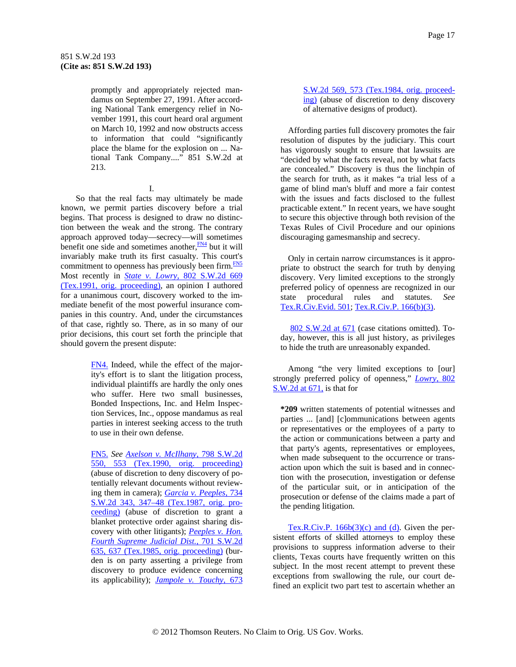<span id="page-16-0"></span>promptly and appropriately rejected mandamus on September 27, 1991. After according National Tank emergency relief in November 1991, this court heard oral argument on March 10, 1992 and now obstructs access to information that could "significantly place the blame for the explosion on ... National Tank Company...." 851 S.W.2d at 213.

I.

So that the real facts may ultimately be made known, we permit parties discovery before a trial begins. That process is designed to draw no distinction between the weak and the strong. The contrary approach approved today—secrecy—will sometimes benefit one side and sometimes another, $\frac{FN4}{TN}$  but it will invariably make truth its first casualty. This court's commitment to openness has previously been firm.<sup>FN5</sup> Most recently in *[State v. Lowry,](http://www.westlaw.com/Find/Default.wl?rs=dfa1.0&vr=2.0&DB=713&FindType=Y&SerialNum=1991034265)* [802 S.W.2d 669](http://www.westlaw.com/Find/Default.wl?rs=dfa1.0&vr=2.0&DB=713&FindType=Y&SerialNum=1991034265)  [\(Tex.1991, orig. proceeding\),](http://www.westlaw.com/Find/Default.wl?rs=dfa1.0&vr=2.0&DB=713&FindType=Y&SerialNum=1991034265) an opinion I authored for a unanimous court, discovery worked to the immediate benefit of the most powerful insurance companies in this country. And, under the circumstances of that case, rightly so. There, as in so many of our prior decisions, this court set forth the principle that should govern the present dispute:

> [FN4.](#page-16-0) Indeed, while the effect of the majority's effort is to slant the litigation process, individual plaintiffs are hardly the only ones who suffer. Here two small businesses, Bonded Inspections, Inc. and Helm Inspection Services, Inc., oppose mandamus as real parties in interest seeking access to the truth to use in their own defense.

> [FN5.](#page-16-0) *See [Axelson v. McIlhany,](http://www.westlaw.com/Find/Default.wl?rs=dfa1.0&vr=2.0&DB=713&FindType=Y&ReferencePositionType=S&SerialNum=1990151896&ReferencePosition=553)* [798 S.W.2d](http://www.westlaw.com/Find/Default.wl?rs=dfa1.0&vr=2.0&DB=713&FindType=Y&ReferencePositionType=S&SerialNum=1990151896&ReferencePosition=553)  [550, 553 \(Tex.1990, orig. proceeding\)](http://www.westlaw.com/Find/Default.wl?rs=dfa1.0&vr=2.0&DB=713&FindType=Y&ReferencePositionType=S&SerialNum=1990151896&ReferencePosition=553) (abuse of discretion to deny discovery of potentially relevant documents without reviewing them in camera); *[Garcia v. Peeples,](http://www.westlaw.com/Find/Default.wl?rs=dfa1.0&vr=2.0&DB=713&FindType=Y&ReferencePositionType=S&SerialNum=1987088522&ReferencePosition=347)* [734](http://www.westlaw.com/Find/Default.wl?rs=dfa1.0&vr=2.0&DB=713&FindType=Y&ReferencePositionType=S&SerialNum=1987088522&ReferencePosition=347)  [S.W.2d 343, 347–48 \(Tex.1987, orig. pro](http://www.westlaw.com/Find/Default.wl?rs=dfa1.0&vr=2.0&DB=713&FindType=Y&ReferencePositionType=S&SerialNum=1987088522&ReferencePosition=347)[ceeding\)](http://www.westlaw.com/Find/Default.wl?rs=dfa1.0&vr=2.0&DB=713&FindType=Y&ReferencePositionType=S&SerialNum=1987088522&ReferencePosition=347) (abuse of discretion to grant a blanket protective order against sharing discovery with other litigants); *[Peeples v. Hon.](http://www.westlaw.com/Find/Default.wl?rs=dfa1.0&vr=2.0&DB=713&FindType=Y&ReferencePositionType=S&SerialNum=1985134549&ReferencePosition=637)  [Fourth Supreme Judicial Dist.,](http://www.westlaw.com/Find/Default.wl?rs=dfa1.0&vr=2.0&DB=713&FindType=Y&ReferencePositionType=S&SerialNum=1985134549&ReferencePosition=637)* [701 S.W.2d](http://www.westlaw.com/Find/Default.wl?rs=dfa1.0&vr=2.0&DB=713&FindType=Y&ReferencePositionType=S&SerialNum=1985134549&ReferencePosition=637)  [635, 637 \(Tex.1985, orig. proceeding\)](http://www.westlaw.com/Find/Default.wl?rs=dfa1.0&vr=2.0&DB=713&FindType=Y&ReferencePositionType=S&SerialNum=1985134549&ReferencePosition=637) (burden is on party asserting a privilege from discovery to produce evidence concerning its applicability); *[Jampole v. Touchy,](http://www.westlaw.com/Find/Default.wl?rs=dfa1.0&vr=2.0&DB=713&FindType=Y&ReferencePositionType=S&SerialNum=1984132171&ReferencePosition=573)* [673](http://www.westlaw.com/Find/Default.wl?rs=dfa1.0&vr=2.0&DB=713&FindType=Y&ReferencePositionType=S&SerialNum=1984132171&ReferencePosition=573)

[S.W.2d 569, 573 \(Tex.1984, orig. proceed](http://www.westlaw.com/Find/Default.wl?rs=dfa1.0&vr=2.0&DB=713&FindType=Y&ReferencePositionType=S&SerialNum=1984132171&ReferencePosition=573)[ing\)](http://www.westlaw.com/Find/Default.wl?rs=dfa1.0&vr=2.0&DB=713&FindType=Y&ReferencePositionType=S&SerialNum=1984132171&ReferencePosition=573) (abuse of discretion to deny discovery of alternative designs of product).

Affording parties full discovery promotes the fair resolution of disputes by the judiciary. This court has vigorously sought to ensure that lawsuits are "decided by what the facts reveal, not by what facts are concealed." Discovery is thus the linchpin of the search for truth, as it makes "a trial less of a game of blind man's bluff and more a fair contest with the issues and facts disclosed to the fullest practicable extent." In recent years, we have sought to secure this objective through both revision of the Texas Rules of Civil Procedure and our opinions discouraging gamesmanship and secrecy.

Only in certain narrow circumstances is it appropriate to obstruct the search for truth by denying discovery. Very limited exceptions to the strongly preferred policy of openness are recognized in our state procedural rules and statutes. *See* [Tex.R.Civ.Evid. 501](http://www.westlaw.com/Find/Default.wl?rs=dfa1.0&vr=2.0&DB=1000301&DocName=TXRRRL501&FindType=L); [Tex.R.Civ.P. 166\(b\)\(3\)](http://www.westlaw.com/Find/Default.wl?rs=dfa1.0&vr=2.0&DB=1005302&DocName=TXRRCPR166&FindType=L).

[802 S.W.2d at 671](http://www.westlaw.com/Find/Default.wl?rs=dfa1.0&vr=2.0&DB=713&FindType=Y&ReferencePositionType=S&SerialNum=1991034265&ReferencePosition=671) (case citations omitted). Today, however, this is all just history, as privileges to hide the truth are unreasonably expanded.

Among "the very limited exceptions to [our] strongly preferred policy of openness," *[Lowry,](http://www.westlaw.com/Find/Default.wl?rs=dfa1.0&vr=2.0&DB=713&FindType=Y&ReferencePositionType=S&SerialNum=1991034265&ReferencePosition=671)* [802](http://www.westlaw.com/Find/Default.wl?rs=dfa1.0&vr=2.0&DB=713&FindType=Y&ReferencePositionType=S&SerialNum=1991034265&ReferencePosition=671)  [S.W.2d at 671,](http://www.westlaw.com/Find/Default.wl?rs=dfa1.0&vr=2.0&DB=713&FindType=Y&ReferencePositionType=S&SerialNum=1991034265&ReferencePosition=671) is that for

**\*209** written statements of potential witnesses and parties ... [and] [c]ommunications between agents or representatives or the employees of a party to the action or communications between a party and that party's agents, representatives or employees, when made subsequent to the occurrence or transaction upon which the suit is based and in connection with the prosecution, investigation or defense of the particular suit, or in anticipation of the prosecution or defense of the claims made a part of the pending litigation.

Tex.R.Civ.P.  $166b(3)(c)$  and  $(d)$ . Given the persistent efforts of skilled attorneys to employ these provisions to suppress information adverse to their clients, Texas courts have frequently written on this subject. In the most recent attempt to prevent these exceptions from swallowing the rule, our court defined an explicit two part test to ascertain whether an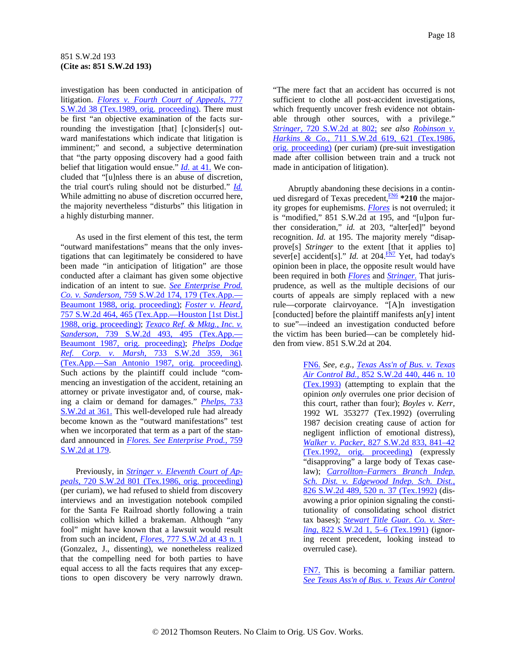<span id="page-17-0"></span>investigation has been conducted in anticipation of litigation. *[Flores v. Fourth Court of Appeals,](http://www.westlaw.com/Find/Default.wl?rs=dfa1.0&vr=2.0&DB=713&FindType=Y&SerialNum=1989097117)* [777](http://www.westlaw.com/Find/Default.wl?rs=dfa1.0&vr=2.0&DB=713&FindType=Y&SerialNum=1989097117)  [S.W.2d 38 \(Tex.1989, orig. proceeding\).](http://www.westlaw.com/Find/Default.wl?rs=dfa1.0&vr=2.0&DB=713&FindType=Y&SerialNum=1989097117) There must be first "an objective examination of the facts surrounding the investigation [that] [c]onsider[s] outward manifestations which indicate that litigation is imminent;" and second, a subjective determination that "the party opposing discovery had a good faith belief that litigation would ensue." *[Id.](http://www.westlaw.com/Find/Default.wl?rs=dfa1.0&vr=2.0&FindType=Y&SerialNum=1989097117)* [at 41.](http://www.westlaw.com/Find/Default.wl?rs=dfa1.0&vr=2.0&FindType=Y&SerialNum=1989097117) We concluded that "[u]nless there is an abuse of discretion, the trial court's ruling should not be disturbed." *[Id.](http://www.westlaw.com/Find/Default.wl?rs=dfa1.0&vr=2.0&FindType=Y&SerialNum=1989097117)* While admitting no abuse of discretion occurred here, the majority nevertheless "disturbs" this litigation in a highly disturbing manner.

As used in the first element of this test, the term "outward manifestations" means that the only investigations that can legitimately be considered to have been made "in anticipation of litigation" are those conducted after a claimant has given some objective indication of an intent to sue. *[See Enterprise Prod.](http://www.westlaw.com/Find/Default.wl?rs=dfa1.0&vr=2.0&DB=713&FindType=Y&ReferencePositionType=S&SerialNum=1988143702&ReferencePosition=179)  [Co. v. Sanderson,](http://www.westlaw.com/Find/Default.wl?rs=dfa1.0&vr=2.0&DB=713&FindType=Y&ReferencePositionType=S&SerialNum=1988143702&ReferencePosition=179)* [759 S.W.2d 174, 179 \(Tex.App.—](http://www.westlaw.com/Find/Default.wl?rs=dfa1.0&vr=2.0&DB=713&FindType=Y&ReferencePositionType=S&SerialNum=1988143702&ReferencePosition=179) [Beaumont 1988, orig. proceeding\)](http://www.westlaw.com/Find/Default.wl?rs=dfa1.0&vr=2.0&DB=713&FindType=Y&ReferencePositionType=S&SerialNum=1988143702&ReferencePosition=179); *[Foster v. Heard,](http://www.westlaw.com/Find/Default.wl?rs=dfa1.0&vr=2.0&DB=713&FindType=Y&ReferencePositionType=S&SerialNum=1988108665&ReferencePosition=465)* [757 S.W.2d 464, 465 \(Tex.App.—Houston \[1st Dist.\]](http://www.westlaw.com/Find/Default.wl?rs=dfa1.0&vr=2.0&DB=713&FindType=Y&ReferencePositionType=S&SerialNum=1988108665&ReferencePosition=465)  [1988, orig. proceeding\);](http://www.westlaw.com/Find/Default.wl?rs=dfa1.0&vr=2.0&DB=713&FindType=Y&ReferencePositionType=S&SerialNum=1988108665&ReferencePosition=465) *[Texaco Ref. & Mktg., Inc. v.](http://www.westlaw.com/Find/Default.wl?rs=dfa1.0&vr=2.0&DB=713&FindType=Y&ReferencePositionType=S&SerialNum=1987144821&ReferencePosition=495)  [Sanderson,](http://www.westlaw.com/Find/Default.wl?rs=dfa1.0&vr=2.0&DB=713&FindType=Y&ReferencePositionType=S&SerialNum=1987144821&ReferencePosition=495)* [739 S.W.2d 493, 495 \(Tex.App.—](http://www.westlaw.com/Find/Default.wl?rs=dfa1.0&vr=2.0&DB=713&FindType=Y&ReferencePositionType=S&SerialNum=1987144821&ReferencePosition=495) [Beaumont 1987, orig. proceeding\);](http://www.westlaw.com/Find/Default.wl?rs=dfa1.0&vr=2.0&DB=713&FindType=Y&ReferencePositionType=S&SerialNum=1987144821&ReferencePosition=495) *[Phelps Dodge](http://www.westlaw.com/Find/Default.wl?rs=dfa1.0&vr=2.0&DB=713&FindType=Y&ReferencePositionType=S&SerialNum=1987079630&ReferencePosition=361)  [Ref. Corp. v. Marsh,](http://www.westlaw.com/Find/Default.wl?rs=dfa1.0&vr=2.0&DB=713&FindType=Y&ReferencePositionType=S&SerialNum=1987079630&ReferencePosition=361)* [733 S.W.2d 359, 361](http://www.westlaw.com/Find/Default.wl?rs=dfa1.0&vr=2.0&DB=713&FindType=Y&ReferencePositionType=S&SerialNum=1987079630&ReferencePosition=361)  [\(Tex.App.—San Antonio 1987, orig. proceeding\).](http://www.westlaw.com/Find/Default.wl?rs=dfa1.0&vr=2.0&DB=713&FindType=Y&ReferencePositionType=S&SerialNum=1987079630&ReferencePosition=361) Such actions by the plaintiff could include "commencing an investigation of the accident, retaining an attorney or private investigator and, of course, making a claim or demand for damages." *[Phelps,](http://www.westlaw.com/Find/Default.wl?rs=dfa1.0&vr=2.0&DB=713&FindType=Y&ReferencePositionType=S&SerialNum=1987079630&ReferencePosition=361)* [733](http://www.westlaw.com/Find/Default.wl?rs=dfa1.0&vr=2.0&DB=713&FindType=Y&ReferencePositionType=S&SerialNum=1987079630&ReferencePosition=361)  [S.W.2d at 361.](http://www.westlaw.com/Find/Default.wl?rs=dfa1.0&vr=2.0&DB=713&FindType=Y&ReferencePositionType=S&SerialNum=1987079630&ReferencePosition=361) This well-developed rule had already become known as the "outward manifestations" test when we incorporated that term as a part of the standard announced in *[Flores. See Enterprise Prod.,](http://www.westlaw.com/Find/Default.wl?rs=dfa1.0&vr=2.0&DB=713&FindType=Y&ReferencePositionType=S&SerialNum=1988143702&ReferencePosition=179)* [759](http://www.westlaw.com/Find/Default.wl?rs=dfa1.0&vr=2.0&DB=713&FindType=Y&ReferencePositionType=S&SerialNum=1988143702&ReferencePosition=179)  [S.W.2d at 179](http://www.westlaw.com/Find/Default.wl?rs=dfa1.0&vr=2.0&DB=713&FindType=Y&ReferencePositionType=S&SerialNum=1988143702&ReferencePosition=179).

Previously, in *[Stringer v. Eleventh Court of Ap](http://www.westlaw.com/Find/Default.wl?rs=dfa1.0&vr=2.0&DB=713&FindType=Y&SerialNum=1986134386)[peals,](http://www.westlaw.com/Find/Default.wl?rs=dfa1.0&vr=2.0&DB=713&FindType=Y&SerialNum=1986134386)* [720 S.W.2d 801 \(Tex.1986, orig. proceeding\)](http://www.westlaw.com/Find/Default.wl?rs=dfa1.0&vr=2.0&DB=713&FindType=Y&SerialNum=1986134386) (per curiam), we had refused to shield from discovery interviews and an investigation notebook compiled for the Santa Fe Railroad shortly following a train collision which killed a brakeman. Although "any fool" might have known that a lawsuit would result from such an incident, *[Flores,](http://www.westlaw.com/Find/Default.wl?rs=dfa1.0&vr=2.0&DB=713&FindType=Y&ReferencePositionType=S&SerialNum=1989097117&ReferencePosition=43)* [777 S.W.2d at 43 n. 1](http://www.westlaw.com/Find/Default.wl?rs=dfa1.0&vr=2.0&DB=713&FindType=Y&ReferencePositionType=S&SerialNum=1989097117&ReferencePosition=43) (Gonzalez, J., dissenting), we nonetheless realized that the compelling need for both parties to have equal access to all the facts requires that any exceptions to open discovery be very narrowly drawn.

"The mere fact that an accident has occurred is not sufficient to clothe all post-accident investigations, which frequently uncover fresh evidence not obtainable through other sources, with a privilege." *[Stringer,](http://www.westlaw.com/Find/Default.wl?rs=dfa1.0&vr=2.0&DB=713&FindType=Y&ReferencePositionType=S&SerialNum=1986134386&ReferencePosition=802)* [720 S.W.2d at 802;](http://www.westlaw.com/Find/Default.wl?rs=dfa1.0&vr=2.0&DB=713&FindType=Y&ReferencePositionType=S&SerialNum=1986134386&ReferencePosition=802) *see also [Robinson v.](http://www.westlaw.com/Find/Default.wl?rs=dfa1.0&vr=2.0&DB=713&FindType=Y&ReferencePositionType=S&SerialNum=1986130242&ReferencePosition=621)  [Harkins & Co.,](http://www.westlaw.com/Find/Default.wl?rs=dfa1.0&vr=2.0&DB=713&FindType=Y&ReferencePositionType=S&SerialNum=1986130242&ReferencePosition=621)* [711 S.W.2d 619, 621 \(Tex.1986,](http://www.westlaw.com/Find/Default.wl?rs=dfa1.0&vr=2.0&DB=713&FindType=Y&ReferencePositionType=S&SerialNum=1986130242&ReferencePosition=621)  [orig. proceeding\)](http://www.westlaw.com/Find/Default.wl?rs=dfa1.0&vr=2.0&DB=713&FindType=Y&ReferencePositionType=S&SerialNum=1986130242&ReferencePosition=621) (per curiam) (pre-suit investigation made after collision between train and a truck not made in anticipation of litigation).

Abruptly abandoning these decisions in a continued disregard of Texas precedent, $\frac{FN6}{TN}$  $\frac{FN6}{TN}$  $\frac{FN6}{TN}$  \*210 the majority gropes for euphemisms. *[Flores](http://www.westlaw.com/Find/Default.wl?rs=dfa1.0&vr=2.0&FindType=Y&SerialNum=1989097117)* is not overruled; it is "modified," 851 S.W.2d at 195, and "[u]pon further consideration," *id.* at 203, "alter[ed]" beyond recognition. *Id.* at 195. The majority merely "disapprove[s] *Stringer* to the extent [that it applies to] sever[e] accident[s]." *Id.* at 204.<sup>[FN7](#page-17-0)</sup> Yet, had today's opinion been in place, the opposite result would have been required in both *[Flores](http://www.westlaw.com/Find/Default.wl?rs=dfa1.0&vr=2.0&FindType=Y&SerialNum=1989097117)* and *[Stringer.](http://www.westlaw.com/Find/Default.wl?rs=dfa1.0&vr=2.0&FindType=Y&SerialNum=1986134386)* That jurisprudence, as well as the multiple decisions of our courts of appeals are simply replaced with a new rule—corporate clairvoyance. "[A]n investigation [conducted] before the plaintiff manifests an[y] intent to sue"—indeed an investigation conducted before the victim has been buried—can be completely hidden from view. 851 S.W.2d at 204.

> [FN6.](#page-17-0) *See, e.g., [Texas Ass'n of Bus. v. Texas](http://www.westlaw.com/Find/Default.wl?rs=dfa1.0&vr=2.0&DB=713&FindType=Y&ReferencePositionType=S&SerialNum=1993060903&ReferencePosition=446)  [Air Control Bd.,](http://www.westlaw.com/Find/Default.wl?rs=dfa1.0&vr=2.0&DB=713&FindType=Y&ReferencePositionType=S&SerialNum=1993060903&ReferencePosition=446)* [852 S.W.2d 440, 446 n. 10](http://www.westlaw.com/Find/Default.wl?rs=dfa1.0&vr=2.0&DB=713&FindType=Y&ReferencePositionType=S&SerialNum=1993060903&ReferencePosition=446)  [\(Tex.1993\)](http://www.westlaw.com/Find/Default.wl?rs=dfa1.0&vr=2.0&DB=713&FindType=Y&ReferencePositionType=S&SerialNum=1993060903&ReferencePosition=446) (attempting to explain that the opinion *only* overrules one prior decision of this court, rather than four); *Boyles v. Kerr,* 1992 WL 353277 (Tex.1992) (overruling 1987 decision creating cause of action for negligent infliction of emotional distress), *[Walker v. Packer,](http://www.westlaw.com/Find/Default.wl?rs=dfa1.0&vr=2.0&DB=713&FindType=Y&ReferencePositionType=S&SerialNum=1992044797&ReferencePosition=841)* [827 S.W.2d 833, 841–42](http://www.westlaw.com/Find/Default.wl?rs=dfa1.0&vr=2.0&DB=713&FindType=Y&ReferencePositionType=S&SerialNum=1992044797&ReferencePosition=841)  [\(Tex.1992, orig. proceeding\)](http://www.westlaw.com/Find/Default.wl?rs=dfa1.0&vr=2.0&DB=713&FindType=Y&ReferencePositionType=S&SerialNum=1992044797&ReferencePosition=841) (expressly "disapproving" a large body of Texas caselaw); *[Carrollton–Farmers Branch Indep.](http://www.westlaw.com/Find/Default.wl?rs=dfa1.0&vr=2.0&DB=713&FindType=Y&ReferencePositionType=S&SerialNum=1992034839&ReferencePosition=520)  [Sch. Dist. v. Edgewood Indep. Sch. Dist.,](http://www.westlaw.com/Find/Default.wl?rs=dfa1.0&vr=2.0&DB=713&FindType=Y&ReferencePositionType=S&SerialNum=1992034839&ReferencePosition=520)* [826 S.W.2d 489, 520 n. 37 \(Tex.1992\)](http://www.westlaw.com/Find/Default.wl?rs=dfa1.0&vr=2.0&DB=713&FindType=Y&ReferencePositionType=S&SerialNum=1992034839&ReferencePosition=520) (disavowing a prior opinion signaling the constitutionality of consolidating school district tax bases); *[Stewart Title Guar. Co. v. Ster](http://www.westlaw.com/Find/Default.wl?rs=dfa1.0&vr=2.0&DB=713&FindType=Y&ReferencePositionType=S&SerialNum=1992018305&ReferencePosition=5)[ling,](http://www.westlaw.com/Find/Default.wl?rs=dfa1.0&vr=2.0&DB=713&FindType=Y&ReferencePositionType=S&SerialNum=1992018305&ReferencePosition=5)* [822 S.W.2d 1, 5–6 \(Tex.1991\)](http://www.westlaw.com/Find/Default.wl?rs=dfa1.0&vr=2.0&DB=713&FindType=Y&ReferencePositionType=S&SerialNum=1992018305&ReferencePosition=5) (ignoring recent precedent, looking instead to overruled case).

[FN7.](#page-17-0) This is becoming a familiar pattern. *[See Texas Ass'n of Bus. v. Texas Air Control](http://www.westlaw.com/Find/Default.wl?rs=dfa1.0&vr=2.0&DB=713&FindType=Y&ReferencePositionType=S&SerialNum=1993060903&ReferencePosition=446)*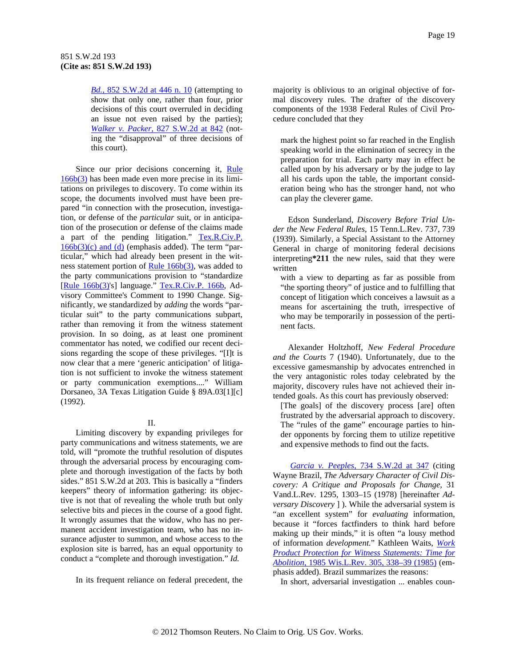*Bd.*, [852 S.W.2d at 446 n. 10](http://www.westlaw.com/Find/Default.wl?rs=dfa1.0&vr=2.0&DB=713&FindType=Y&ReferencePositionType=S&SerialNum=1993060903&ReferencePosition=446) (attempting to show that only one, rather than four, prior decisions of this court overruled in deciding an issue not even raised by the parties); *[Walker v. Packer,](http://www.westlaw.com/Find/Default.wl?rs=dfa1.0&vr=2.0&DB=713&FindType=Y&ReferencePositionType=S&SerialNum=1992044797&ReferencePosition=842)* [827 S.W.2d at 842](http://www.westlaw.com/Find/Default.wl?rs=dfa1.0&vr=2.0&DB=713&FindType=Y&ReferencePositionType=S&SerialNum=1992044797&ReferencePosition=842) (noting the "disapproval" of three decisions of this court).

Since our prior decisions concerning it, [Rule](http://www.westlaw.com/Find/Default.wl?rs=dfa1.0&vr=2.0&DB=1005302&DocName=TXRRCPR166B&FindType=L)  [166b\(3\)](http://www.westlaw.com/Find/Default.wl?rs=dfa1.0&vr=2.0&DB=1005302&DocName=TXRRCPR166B&FindType=L) has been made even more precise in its limitations on privileges to discovery. To come within its scope, the documents involved must have been prepared "in connection with the prosecution, investigation, or defense of the *particular* suit, or in anticipation of the prosecution or defense of the claims made a part of the pending litigation." [Tex.R.Civ.P.](http://www.westlaw.com/Find/Default.wl?rs=dfa1.0&vr=2.0&DB=1005302&DocName=TXRRCPR166B&FindType=L)   $166b(3)(c)$  and (d) (emphasis added). The term "particular," which had already been present in the witness statement portion of [Rule 166b\(3\),](http://www.westlaw.com/Find/Default.wl?rs=dfa1.0&vr=2.0&DB=1005302&DocName=TXRRCPR166B&FindType=L) was added to the party communications provision to "standardize [\[Rule 166b\(3\)](http://www.westlaw.com/Find/Default.wl?rs=dfa1.0&vr=2.0&DB=1005302&DocName=TXRRCPR166B&FindType=L)'s] language." [Tex.R.Civ.P. 166b,](http://www.westlaw.com/Find/Default.wl?rs=dfa1.0&vr=2.0&DB=1005302&DocName=TXRRCPR166B&FindType=L) Advisory Committee's Comment to 1990 Change. Significantly, we standardized by *adding* the words "particular suit" to the party communications subpart, rather than removing it from the witness statement provision. In so doing, as at least one prominent commentator has noted, we codified our recent decisions regarding the scope of these privileges. "[I]t is now clear that a mere 'generic anticipation' of litigation is not sufficient to invoke the witness statement or party communication exemptions...." William Dorsaneo, 3A Texas Litigation Guide § 89A.03[1][c] (1992).

### II.

Limiting discovery by expanding privileges for party communications and witness statements, we are told, will "promote the truthful resolution of disputes through the adversarial process by encouraging complete and thorough investigation of the facts by both sides." 851 S.W.2d at 203. This is basically a "finders keepers" theory of information gathering: its objective is not that of revealing the whole truth but only selective bits and pieces in the course of a good fight. It wrongly assumes that the widow, who has no permanent accident investigation team, who has no insurance adjuster to summon, and whose access to the explosion site is barred, has an equal opportunity to conduct a "complete and thorough investigation." *Id.*

In its frequent reliance on federal precedent, the

majority is oblivious to an original objective of formal discovery rules. The drafter of the discovery components of the 1938 Federal Rules of Civil Procedure concluded that they

mark the highest point so far reached in the English speaking world in the elimination of secrecy in the preparation for trial. Each party may in effect be called upon by his adversary or by the judge to lay all his cards upon the table, the important consideration being who has the stronger hand, not who can play the cleverer game.

Edson Sunderland, *Discovery Before Trial Under the New Federal Rules,* 15 Tenn.L.Rev. 737, 739 (1939). Similarly, a Special Assistant to the Attorney General in charge of monitoring federal decisions interpreting**\*211** the new rules, said that they were written

with a view to departing as far as possible from "the sporting theory" of justice and to fulfilling that concept of litigation which conceives a lawsuit as a means for ascertaining the truth, irrespective of who may be temporarily in possession of the pertinent facts.

Alexander Holtzhoff, *New Federal Procedure and the Courts* 7 (1940). Unfortunately, due to the excessive gamesmanship by advocates entrenched in the very antagonistic roles today celebrated by the majority, discovery rules have not achieved their intended goals. As this court has previously observed:

[The goals] of the discovery process [are] often frustrated by the adversarial approach to discovery. The "rules of the game" encourage parties to hinder opponents by forcing them to utilize repetitive and expensive methods to find out the facts.

*[Garcia v. Peeples,](http://www.westlaw.com/Find/Default.wl?rs=dfa1.0&vr=2.0&DB=713&FindType=Y&ReferencePositionType=S&SerialNum=1987088522&ReferencePosition=347)* [734 S.W.2d at 347](http://www.westlaw.com/Find/Default.wl?rs=dfa1.0&vr=2.0&DB=713&FindType=Y&ReferencePositionType=S&SerialNum=1987088522&ReferencePosition=347) (citing Wayne Brazil, *The Adversary Character of Civil Discovery: A Critique and Proposals for Change,* 31 Vand.L.Rev. 1295, 1303–15 (1978) [hereinafter *Adversary Discovery* ] ). While the adversarial system is "an excellent system" for *evaluating* information, because it "forces factfinders to think hard before making up their minds," it is often "a lousy method of information *development.*" Kathleen Waits, *[Work](http://www.westlaw.com/Find/Default.wl?rs=dfa1.0&vr=2.0&DB=1290&FindType=Y&ReferencePositionType=S&SerialNum=0103240485&ReferencePosition=338)  [Product Protection for Witness Statements: Time for](http://www.westlaw.com/Find/Default.wl?rs=dfa1.0&vr=2.0&DB=1290&FindType=Y&ReferencePositionType=S&SerialNum=0103240485&ReferencePosition=338)  [Abolition,](http://www.westlaw.com/Find/Default.wl?rs=dfa1.0&vr=2.0&DB=1290&FindType=Y&ReferencePositionType=S&SerialNum=0103240485&ReferencePosition=338)* [1985 Wis.L.Rev. 305, 338–39 \(1985\)](http://www.westlaw.com/Find/Default.wl?rs=dfa1.0&vr=2.0&DB=1290&FindType=Y&ReferencePositionType=S&SerialNum=0103240485&ReferencePosition=338) (emphasis added). Brazil summarizes the reasons:

In short, adversarial investigation ... enables coun-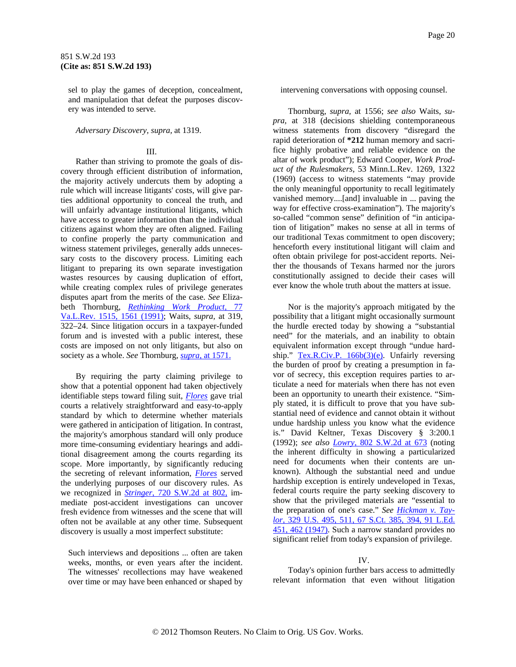sel to play the games of deception, concealment, and manipulation that defeat the purposes discovery was intended to serve.

*Adversary Discovery, supra,* at 1319.

### III.

Rather than striving to promote the goals of discovery through efficient distribution of information, the majority actively undercuts them by adopting a rule which will increase litigants' costs, will give parties additional opportunity to conceal the truth, and will unfairly advantage institutional litigants, which have access to greater information than the individual citizens against whom they are often aligned. Failing to confine properly the party communication and witness statement privileges, generally adds unnecessary costs to the discovery process. Limiting each litigant to preparing its own separate investigation wastes resources by causing duplication of effort, while creating complex rules of privilege generates disputes apart from the merits of the case. *See* Elizabeth Thornburg, *[Rethinking Work Product,](http://www.westlaw.com/Find/Default.wl?rs=dfa1.0&vr=2.0&DB=1359&FindType=Y&ReferencePositionType=S&SerialNum=0101141908&ReferencePosition=1561)* [77](http://www.westlaw.com/Find/Default.wl?rs=dfa1.0&vr=2.0&DB=1359&FindType=Y&ReferencePositionType=S&SerialNum=0101141908&ReferencePosition=1561)  [Va.L.Rev. 1515, 1561 \(1991\)](http://www.westlaw.com/Find/Default.wl?rs=dfa1.0&vr=2.0&DB=1359&FindType=Y&ReferencePositionType=S&SerialNum=0101141908&ReferencePosition=1561); Waits, *supra,* at 319, 322–24. Since litigation occurs in a taxpayer-funded forum and is invested with a public interest, these costs are imposed on not only litigants, but also on society as a whole. *See* Thornburg, *[supra,](http://www.westlaw.com/Find/Default.wl?rs=dfa1.0&vr=2.0&FindType=Y&SerialNum=0101141908)* [at 1571.](http://www.westlaw.com/Find/Default.wl?rs=dfa1.0&vr=2.0&FindType=Y&SerialNum=0101141908)

By requiring the party claiming privilege to show that a potential opponent had taken objectively identifiable steps toward filing suit, *[Flores](http://www.westlaw.com/Find/Default.wl?rs=dfa1.0&vr=2.0&FindType=Y&SerialNum=1989097117)* gave trial courts a relatively straightforward and easy-to-apply standard by which to determine whether materials were gathered in anticipation of litigation. In contrast, the majority's amorphous standard will only produce more time-consuming evidentiary hearings and additional disagreement among the courts regarding its scope. More importantly, by significantly reducing the secreting of relevant information, *[Flores](http://www.westlaw.com/Find/Default.wl?rs=dfa1.0&vr=2.0&FindType=Y&SerialNum=1989097117)* served the underlying purposes of our discovery rules. As we recognized in *[Stringer,](http://www.westlaw.com/Find/Default.wl?rs=dfa1.0&vr=2.0&DB=713&FindType=Y&ReferencePositionType=S&SerialNum=1986134386&ReferencePosition=802)* [720 S.W.2d at 802,](http://www.westlaw.com/Find/Default.wl?rs=dfa1.0&vr=2.0&DB=713&FindType=Y&ReferencePositionType=S&SerialNum=1986134386&ReferencePosition=802) immediate post-accident investigations can uncover fresh evidence from witnesses and the scene that will often not be available at any other time. Subsequent discovery is usually a most imperfect substitute:

Such interviews and depositions ... often are taken weeks, months, or even years after the incident. The witnesses' recollections may have weakened over time or may have been enhanced or shaped by intervening conversations with opposing counsel.

Thornburg, *supra,* at 1556; *see also* Waits, *supra,* at 318 (decisions shielding contemporaneous witness statements from discovery "disregard the rapid deterioration of **\*212** human memory and sacrifice highly probative and reliable evidence on the altar of work product"); Edward Cooper, *Work Product of the Rulesmakers,* 53 Minn.L.Rev. 1269, 1322 (1969) (access to witness statements "may provide the only meaningful opportunity to recall legitimately vanished memory....[and] invaluable in ... paving the way for effective cross-examination"). The majority's so-called "common sense" definition of "in anticipation of litigation" makes no sense at all in terms of our traditional Texas commitment to open discovery; henceforth every institutional litigant will claim and often obtain privilege for post-accident reports. Neither the thousands of Texans harmed nor the jurors constitutionally assigned to decide their cases will ever know the whole truth about the matters at issue.

Nor is the majority's approach mitigated by the possibility that a litigant might occasionally surmount the hurdle erected today by showing a "substantial need" for the materials, and an inability to obtain equivalent information except through "undue hardship." Tex.R.Civ.P.  $166b(3)$ (e). Unfairly reversing the burden of proof by creating a presumption in favor of secrecy, this exception requires parties to articulate a need for materials when there has not even been an opportunity to unearth their existence. "Simply stated, it is difficult to prove that you have substantial need of evidence and cannot obtain it without undue hardship unless you know what the evidence is." David Keltner, Texas Discovery § 3:200.1 (1992); *see also [Lowry,](http://www.westlaw.com/Find/Default.wl?rs=dfa1.0&vr=2.0&DB=713&FindType=Y&ReferencePositionType=S&SerialNum=1991034265&ReferencePosition=673)* [802 S.W.2d at 673](http://www.westlaw.com/Find/Default.wl?rs=dfa1.0&vr=2.0&DB=713&FindType=Y&ReferencePositionType=S&SerialNum=1991034265&ReferencePosition=673) (noting the inherent difficulty in showing a particularized need for documents when their contents are unknown). Although the substantial need and undue hardship exception is entirely undeveloped in Texas, federal courts require the party seeking discovery to show that the privileged materials are "essential to the preparation of one's case." *See [Hickman v. Tay](http://www.westlaw.com/Find/Default.wl?rs=dfa1.0&vr=2.0&DB=708&FindType=Y&ReferencePositionType=S&SerialNum=1947115463&ReferencePosition=394)[lor,](http://www.westlaw.com/Find/Default.wl?rs=dfa1.0&vr=2.0&DB=708&FindType=Y&ReferencePositionType=S&SerialNum=1947115463&ReferencePosition=394)* [329 U.S. 495, 511, 67 S.Ct. 385, 394, 91 L.Ed.](http://www.westlaw.com/Find/Default.wl?rs=dfa1.0&vr=2.0&DB=708&FindType=Y&ReferencePositionType=S&SerialNum=1947115463&ReferencePosition=394)  [451, 462 \(1947\).](http://www.westlaw.com/Find/Default.wl?rs=dfa1.0&vr=2.0&DB=708&FindType=Y&ReferencePositionType=S&SerialNum=1947115463&ReferencePosition=394) Such a narrow standard provides no significant relief from today's expansion of privilege.

### IV.

Today's opinion further bars access to admittedly relevant information that even without litigation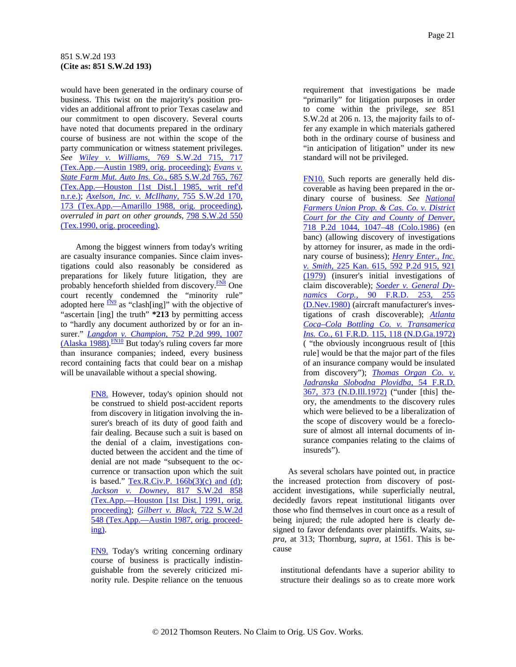<span id="page-20-0"></span>would have been generated in the ordinary course of business. This twist on the majority's position provides an additional affront to prior Texas caselaw and our commitment to open discovery. Several courts have noted that documents prepared in the ordinary course of business are not within the scope of the party communication or witness statement privileges. *See [Wiley v. Williams,](http://www.westlaw.com/Find/Default.wl?rs=dfa1.0&vr=2.0&DB=713&FindType=Y&ReferencePositionType=S&SerialNum=1989081933&ReferencePosition=717)* [769 S.W.2d 715, 717](http://www.westlaw.com/Find/Default.wl?rs=dfa1.0&vr=2.0&DB=713&FindType=Y&ReferencePositionType=S&SerialNum=1989081933&ReferencePosition=717)  [\(Tex.App.—Austin 1989, orig. proceeding\);](http://www.westlaw.com/Find/Default.wl?rs=dfa1.0&vr=2.0&DB=713&FindType=Y&ReferencePositionType=S&SerialNum=1989081933&ReferencePosition=717) *[Evans v.](http://www.westlaw.com/Find/Default.wl?rs=dfa1.0&vr=2.0&DB=713&FindType=Y&ReferencePositionType=S&SerialNum=1985111067&ReferencePosition=767)  [State Farm Mut. Auto Ins. Co.,](http://www.westlaw.com/Find/Default.wl?rs=dfa1.0&vr=2.0&DB=713&FindType=Y&ReferencePositionType=S&SerialNum=1985111067&ReferencePosition=767)* [685 S.W.2d 765, 767](http://www.westlaw.com/Find/Default.wl?rs=dfa1.0&vr=2.0&DB=713&FindType=Y&ReferencePositionType=S&SerialNum=1985111067&ReferencePosition=767)  [\(Tex.App.—Houston \[1st Dist.\] 1985, writ ref'd](http://www.westlaw.com/Find/Default.wl?rs=dfa1.0&vr=2.0&DB=713&FindType=Y&ReferencePositionType=S&SerialNum=1985111067&ReferencePosition=767)  [n.r.e.\);](http://www.westlaw.com/Find/Default.wl?rs=dfa1.0&vr=2.0&DB=713&FindType=Y&ReferencePositionType=S&SerialNum=1985111067&ReferencePosition=767) *[Axelson, Inc. v. McIlhany,](http://www.westlaw.com/Find/Default.wl?rs=dfa1.0&vr=2.0&DB=713&FindType=Y&ReferencePositionType=S&SerialNum=1988072783&ReferencePosition=173)* [755 S.W.2d 170,](http://www.westlaw.com/Find/Default.wl?rs=dfa1.0&vr=2.0&DB=713&FindType=Y&ReferencePositionType=S&SerialNum=1988072783&ReferencePosition=173)  [173 \(Tex.App.—Amarillo 1988, orig. proceeding\),](http://www.westlaw.com/Find/Default.wl?rs=dfa1.0&vr=2.0&DB=713&FindType=Y&ReferencePositionType=S&SerialNum=1988072783&ReferencePosition=173) *overruled in part on other grounds,* [798 S.W.2d 550](http://www.westlaw.com/Find/Default.wl?rs=dfa1.0&vr=2.0&DB=713&FindType=Y&SerialNum=1990151896)  [\(Tex.1990, orig. proceeding\)](http://www.westlaw.com/Find/Default.wl?rs=dfa1.0&vr=2.0&DB=713&FindType=Y&SerialNum=1990151896).

Among the biggest winners from today's writing are casualty insurance companies. Since claim investigations could also reasonably be considered as preparations for likely future litigation, they are probably henceforth shielded from discovery.<sup>[FN8](#page-20-0)</sup> One court recently condemned the "minority rule" adopted here  $\frac{FN9}{TN}$  $\frac{FN9}{TN}$  $\frac{FN9}{TN}$  as "clash[ing]" with the objective of "ascertain [ing] the truth" \*213 by permitting access to "hardly any document authorized by or for an insurer." *[Langdon v. Champion,](http://www.westlaw.com/Find/Default.wl?rs=dfa1.0&vr=2.0&DB=661&FindType=Y&ReferencePositionType=S&SerialNum=1988044277&ReferencePosition=1007)* [752 P.2d 999, 1007](http://www.westlaw.com/Find/Default.wl?rs=dfa1.0&vr=2.0&DB=661&FindType=Y&ReferencePositionType=S&SerialNum=1988044277&ReferencePosition=1007)  [\(Alaska 1988\)](http://www.westlaw.com/Find/Default.wl?rs=dfa1.0&vr=2.0&DB=661&FindType=Y&ReferencePositionType=S&SerialNum=1988044277&ReferencePosition=1007). **FN10** But today's ruling covers far more than insurance companies; indeed, every business record containing facts that could bear on a mishap will be unavailable without a special showing.

> [FN8.](#page-20-0) However, today's opinion should not be construed to shield post-accident reports from discovery in litigation involving the insurer's breach of its duty of good faith and fair dealing. Because such a suit is based on the denial of a claim, investigations conducted between the accident and the time of denial are not made "subsequent to the occurrence or transaction upon which the suit is based."  $Tex.R.Civ.P. 166b(3)(c) and (d);$ </u> *[Jackson v. Downey,](http://www.westlaw.com/Find/Default.wl?rs=dfa1.0&vr=2.0&DB=713&FindType=Y&SerialNum=1991178224)* [817 S.W.2d 858](http://www.westlaw.com/Find/Default.wl?rs=dfa1.0&vr=2.0&DB=713&FindType=Y&SerialNum=1991178224)  [\(Tex.App.—Houston \[1st Dist.\] 1991, orig.](http://www.westlaw.com/Find/Default.wl?rs=dfa1.0&vr=2.0&DB=713&FindType=Y&SerialNum=1991178224)  [proceeding\);](http://www.westlaw.com/Find/Default.wl?rs=dfa1.0&vr=2.0&DB=713&FindType=Y&SerialNum=1991178224) *[Gilbert v. Black,](http://www.westlaw.com/Find/Default.wl?rs=dfa1.0&vr=2.0&DB=713&FindType=Y&SerialNum=1987011568)* [722 S.W.2d](http://www.westlaw.com/Find/Default.wl?rs=dfa1.0&vr=2.0&DB=713&FindType=Y&SerialNum=1987011568)  [548 \(Tex.App.—Austin 1987, orig. proceed](http://www.westlaw.com/Find/Default.wl?rs=dfa1.0&vr=2.0&DB=713&FindType=Y&SerialNum=1987011568)[ing\)](http://www.westlaw.com/Find/Default.wl?rs=dfa1.0&vr=2.0&DB=713&FindType=Y&SerialNum=1987011568).

> [FN9.](#page-20-0) Today's writing concerning ordinary course of business is practically indistinguishable from the severely criticized minority rule. Despite reliance on the tenuous

requirement that investigations be made "primarily" for litigation purposes in order to come within the privilege, *see* 851 S.W.2d at 206 n. 13, the majority fails to offer any example in which materials gathered both in the ordinary course of business and "in anticipation of litigation" under its new standard will not be privileged.

[FN10.](#page-20-0) Such reports are generally held discoverable as having been prepared in the ordinary course of business. *See [National](http://www.westlaw.com/Find/Default.wl?rs=dfa1.0&vr=2.0&DB=661&FindType=Y&ReferencePositionType=S&SerialNum=1986126030&ReferencePosition=1047)  [Farmers Union Prop. & Cas. Co. v. District](http://www.westlaw.com/Find/Default.wl?rs=dfa1.0&vr=2.0&DB=661&FindType=Y&ReferencePositionType=S&SerialNum=1986126030&ReferencePosition=1047)  [Court for the City and County of Denver,](http://www.westlaw.com/Find/Default.wl?rs=dfa1.0&vr=2.0&DB=661&FindType=Y&ReferencePositionType=S&SerialNum=1986126030&ReferencePosition=1047)* [718 P.2d 1044, 1047–48 \(Colo.1986\)](http://www.westlaw.com/Find/Default.wl?rs=dfa1.0&vr=2.0&DB=661&FindType=Y&ReferencePositionType=S&SerialNum=1986126030&ReferencePosition=1047) (en banc) (allowing discovery of investigations by attorney for insurer, as made in the ordinary course of business); *[Henry Enter., Inc.](http://www.westlaw.com/Find/Default.wl?rs=dfa1.0&vr=2.0&DB=661&FindType=Y&ReferencePositionType=S&SerialNum=1979105683&ReferencePosition=921)  [v. Smith,](http://www.westlaw.com/Find/Default.wl?rs=dfa1.0&vr=2.0&DB=661&FindType=Y&ReferencePositionType=S&SerialNum=1979105683&ReferencePosition=921)* [225 Kan. 615, 592 P.2d 915, 921](http://www.westlaw.com/Find/Default.wl?rs=dfa1.0&vr=2.0&DB=661&FindType=Y&ReferencePositionType=S&SerialNum=1979105683&ReferencePosition=921)  [\(1979\)](http://www.westlaw.com/Find/Default.wl?rs=dfa1.0&vr=2.0&DB=661&FindType=Y&ReferencePositionType=S&SerialNum=1979105683&ReferencePosition=921) (insurer's initial investigations of claim discoverable); *[Soeder v. General Dy](http://www.westlaw.com/Find/Default.wl?rs=dfa1.0&vr=2.0&DB=344&FindType=Y&ReferencePositionType=S&SerialNum=1981121693&ReferencePosition=255)[namics Corp.,](http://www.westlaw.com/Find/Default.wl?rs=dfa1.0&vr=2.0&DB=344&FindType=Y&ReferencePositionType=S&SerialNum=1981121693&ReferencePosition=255)* [90 F.R.D. 253, 255](http://www.westlaw.com/Find/Default.wl?rs=dfa1.0&vr=2.0&DB=344&FindType=Y&ReferencePositionType=S&SerialNum=1981121693&ReferencePosition=255)  [\(D.Nev.1980\)](http://www.westlaw.com/Find/Default.wl?rs=dfa1.0&vr=2.0&DB=344&FindType=Y&ReferencePositionType=S&SerialNum=1981121693&ReferencePosition=255) (aircraft manufacturer's investigations of crash discoverable); *[Atlanta](http://www.westlaw.com/Find/Default.wl?rs=dfa1.0&vr=2.0&DB=344&FindType=Y&ReferencePositionType=S&SerialNum=1972103872&ReferencePosition=118)  [Coca–Cola Bottling Co. v. Transamerica](http://www.westlaw.com/Find/Default.wl?rs=dfa1.0&vr=2.0&DB=344&FindType=Y&ReferencePositionType=S&SerialNum=1972103872&ReferencePosition=118)  [Ins. Co.,](http://www.westlaw.com/Find/Default.wl?rs=dfa1.0&vr=2.0&DB=344&FindType=Y&ReferencePositionType=S&SerialNum=1972103872&ReferencePosition=118)* [61 F.R.D. 115, 118 \(N.D.Ga.1972\)](http://www.westlaw.com/Find/Default.wl?rs=dfa1.0&vr=2.0&DB=344&FindType=Y&ReferencePositionType=S&SerialNum=1972103872&ReferencePosition=118) ( "the obviously incongruous result of [this rule] would be that the major part of the files of an insurance company would be insulated from discovery"); *[Thomas Organ Co. v.](http://www.westlaw.com/Find/Default.wl?rs=dfa1.0&vr=2.0&DB=344&FindType=Y&ReferencePositionType=S&SerialNum=1972103498&ReferencePosition=373)  [Jadranska Slobodna Plovidba,](http://www.westlaw.com/Find/Default.wl?rs=dfa1.0&vr=2.0&DB=344&FindType=Y&ReferencePositionType=S&SerialNum=1972103498&ReferencePosition=373)* [54 F.R.D.](http://www.westlaw.com/Find/Default.wl?rs=dfa1.0&vr=2.0&DB=344&FindType=Y&ReferencePositionType=S&SerialNum=1972103498&ReferencePosition=373)  [367, 373 \(N.D.Ill.1972\)](http://www.westlaw.com/Find/Default.wl?rs=dfa1.0&vr=2.0&DB=344&FindType=Y&ReferencePositionType=S&SerialNum=1972103498&ReferencePosition=373) ("under [this] theory, the amendments to the discovery rules which were believed to be a liberalization of the scope of discovery would be a foreclosure of almost all internal documents of insurance companies relating to the claims of insureds").

As several scholars have pointed out, in practice the increased protection from discovery of postaccident investigations, while superficially neutral, decidedly favors repeat institutional litigants over those who find themselves in court once as a result of being injured; the rule adopted here is clearly designed to favor defendants over plaintiffs. Waits, *supra,* at 313; Thornburg, *supra,* at 1561. This is because

institutional defendants have a superior ability to structure their dealings so as to create more work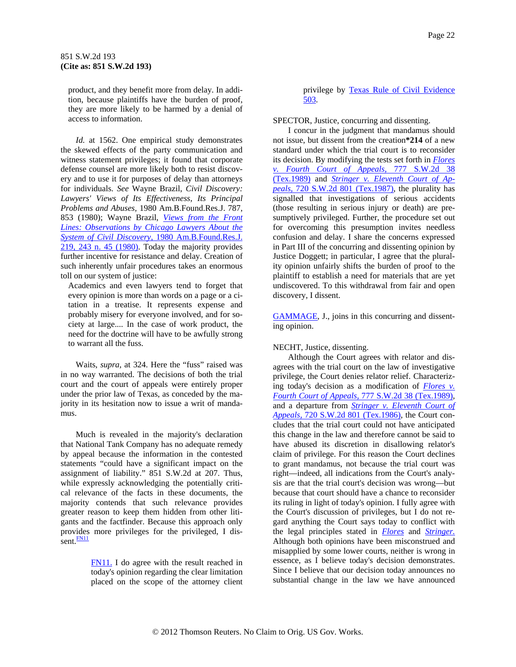<span id="page-21-0"></span>product, and they benefit more from delay. In addition, because plaintiffs have the burden of proof, they are more likely to be harmed by a denial of access to information.

*Id.* at 1562. One empirical study demonstrates the skewed effects of the party communication and witness statement privileges; it found that corporate defense counsel are more likely both to resist discovery and to use it for purposes of delay than attorneys for individuals. *See* Wayne Brazil, *Civil Discovery: Lawyers' Views of Its Effectiveness, Its Principal Problems and Abuses,* 1980 Am.B.Found.Res.J. 787, 853 (1980); Wayne Brazil, *[Views from the Front](http://www.westlaw.com/Find/Default.wl?rs=dfa1.0&vr=2.0&DB=101488&FindType=Y&ReferencePositionType=S&SerialNum=0101360915&ReferencePosition=243)  [Lines: Observations by Chicago Lawyers About the](http://www.westlaw.com/Find/Default.wl?rs=dfa1.0&vr=2.0&DB=101488&FindType=Y&ReferencePositionType=S&SerialNum=0101360915&ReferencePosition=243)  [System of Civil Discovery,](http://www.westlaw.com/Find/Default.wl?rs=dfa1.0&vr=2.0&DB=101488&FindType=Y&ReferencePositionType=S&SerialNum=0101360915&ReferencePosition=243)* [1980 Am.B.Found.Res.J.](http://www.westlaw.com/Find/Default.wl?rs=dfa1.0&vr=2.0&DB=101488&FindType=Y&ReferencePositionType=S&SerialNum=0101360915&ReferencePosition=243)  [219, 243 n. 45 \(1980\)](http://www.westlaw.com/Find/Default.wl?rs=dfa1.0&vr=2.0&DB=101488&FindType=Y&ReferencePositionType=S&SerialNum=0101360915&ReferencePosition=243). Today the majority provides further incentive for resistance and delay. Creation of such inherently unfair procedures takes an enormous toll on our system of justice:

Academics and even lawyers tend to forget that every opinion is more than words on a page or a citation in a treatise. It represents expense and probably misery for everyone involved, and for society at large.... In the case of work product, the need for the doctrine will have to be awfully strong to warrant all the fuss.

Waits, *supra,* at 324. Here the "fuss" raised was in no way warranted. The decisions of both the trial court and the court of appeals were entirely proper under the prior law of Texas, as conceded by the majority in its hesitation now to issue a writ of mandamus.

Much is revealed in the majority's declaration that National Tank Company has no adequate remedy by appeal because the information in the contested statements "could have a significant impact on the assignment of liability." 851 S.W.2d at 207. Thus, while expressly acknowledging the potentially critical relevance of the facts in these documents, the majority contends that such relevance provides greater reason to keep them hidden from other litigants and the factfinder. Because this approach only provide[s](#page-21-0) more privileges for the privileged, I dissent. $F<sub>N11</sub>$ 

> [FN11.](#page-21-0) I do agree with the result reached in today's opinion regarding the clear limitation placed on the scope of the attorney client

privilege by [Texas Rule of Civil Evidence](http://www.westlaw.com/Find/Default.wl?rs=dfa1.0&vr=2.0&DB=1000301&DocName=TXRRRL503&FindType=L)  [503](http://www.westlaw.com/Find/Default.wl?rs=dfa1.0&vr=2.0&DB=1000301&DocName=TXRRRL503&FindType=L).

SPECTOR, Justice, concurring and dissenting.

I concur in the judgment that mandamus should not issue, but dissent from the creation**\*214** of a new standard under which the trial court is to reconsider its decision. By modifying the tests set forth in *[Flores](http://www.westlaw.com/Find/Default.wl?rs=dfa1.0&vr=2.0&DB=713&FindType=Y&SerialNum=1989097117)  [v. Fourth Court of Appeals,](http://www.westlaw.com/Find/Default.wl?rs=dfa1.0&vr=2.0&DB=713&FindType=Y&SerialNum=1989097117)* [777 S.W.2d 38](http://www.westlaw.com/Find/Default.wl?rs=dfa1.0&vr=2.0&DB=713&FindType=Y&SerialNum=1989097117)  [\(Tex.1989\)](http://www.westlaw.com/Find/Default.wl?rs=dfa1.0&vr=2.0&DB=713&FindType=Y&SerialNum=1989097117) and *[Stringer v. Eleventh Court of Ap](http://www.westlaw.com/Find/Default.wl?rs=dfa1.0&vr=2.0&DB=713&FindType=Y&SerialNum=1986134386)[peals,](http://www.westlaw.com/Find/Default.wl?rs=dfa1.0&vr=2.0&DB=713&FindType=Y&SerialNum=1986134386)* [720 S.W.2d 801 \(Tex.1987\)](http://www.westlaw.com/Find/Default.wl?rs=dfa1.0&vr=2.0&DB=713&FindType=Y&SerialNum=1986134386), the plurality has signalled that investigations of serious accidents (those resulting in serious injury or death) are presumptively privileged. Further, the procedure set out for overcoming this presumption invites needless confusion and delay. I share the concerns expressed in Part III of the concurring and dissenting opinion by Justice Doggett; in particular, I agree that the plurality opinion unfairly shifts the burden of proof to the plaintiff to establish a need for materials that are yet undiscovered. To this withdrawal from fair and open discovery, I dissent.

[GAMMAGE,](http://www.westlaw.com/Find/Default.wl?rs=dfa1.0&vr=2.0&DB=PROFILER-WLD&DocName=0186810001&FindType=h) J., joins in this concurring and dissenting opinion.

NECHT, Justice, dissenting.

Although the Court agrees with relator and disagrees with the trial court on the law of investigative privilege, the Court denies relator relief. Characterizing today's decision as a modification of *[Flores v.](http://www.westlaw.com/Find/Default.wl?rs=dfa1.0&vr=2.0&DB=713&FindType=Y&SerialNum=1989097117)  [Fourth Court of Appeals,](http://www.westlaw.com/Find/Default.wl?rs=dfa1.0&vr=2.0&DB=713&FindType=Y&SerialNum=1989097117)* [777 S.W.2d 38 \(Tex.1989\),](http://www.westlaw.com/Find/Default.wl?rs=dfa1.0&vr=2.0&DB=713&FindType=Y&SerialNum=1989097117) and a departure from *[Stringer v. Eleventh Court of](http://www.westlaw.com/Find/Default.wl?rs=dfa1.0&vr=2.0&DB=713&FindType=Y&SerialNum=1986134386)  [Appeals,](http://www.westlaw.com/Find/Default.wl?rs=dfa1.0&vr=2.0&DB=713&FindType=Y&SerialNum=1986134386)* [720 S.W.2d 801 \(Tex.1986\),](http://www.westlaw.com/Find/Default.wl?rs=dfa1.0&vr=2.0&DB=713&FindType=Y&SerialNum=1986134386) the Court concludes that the trial court could not have anticipated this change in the law and therefore cannot be said to have abused its discretion in disallowing relator's claim of privilege. For this reason the Court declines to grant mandamus, not because the trial court was right—indeed, all indications from the Court's analysis are that the trial court's decision was wrong—but because that court should have a chance to reconsider its ruling in light of today's opinion. I fully agree with the Court's discussion of privileges, but I do not regard anything the Court says today to conflict with the legal principles stated in *[Flores](http://www.westlaw.com/Find/Default.wl?rs=dfa1.0&vr=2.0&FindType=Y&SerialNum=1989097117)* and *[Stringer.](http://www.westlaw.com/Find/Default.wl?rs=dfa1.0&vr=2.0&FindType=Y&SerialNum=1986134386)* Although both opinions have been misconstrued and misapplied by some lower courts, neither is wrong in essence, as I believe today's decision demonstrates. Since I believe that our decision today announces no substantial change in the law we have announced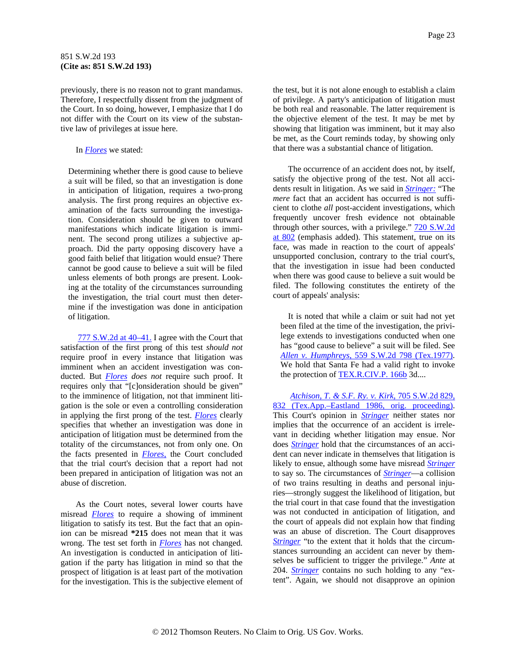previously, there is no reason not to grant mandamus. Therefore, I respectfully dissent from the judgment of the Court. In so doing, however, I emphasize that I do not differ with the Court on its view of the substantive law of privileges at issue here.

In *[Flores](http://www.westlaw.com/Find/Default.wl?rs=dfa1.0&vr=2.0&FindType=Y&SerialNum=1989097117)* we stated:

Determining whether there is good cause to believe a suit will be filed, so that an investigation is done in anticipation of litigation, requires a two-prong analysis. The first prong requires an objective examination of the facts surrounding the investigation. Consideration should be given to outward manifestations which indicate litigation is imminent. The second prong utilizes a subjective approach. Did the party opposing discovery have a good faith belief that litigation would ensue? There cannot be good cause to believe a suit will be filed unless elements of both prongs are present. Looking at the totality of the circumstances surrounding the investigation, the trial court must then determine if the investigation was done in anticipation of litigation.

[777 S.W.2d at 40–41.](http://www.westlaw.com/Find/Default.wl?rs=dfa1.0&vr=2.0&DB=713&FindType=Y&ReferencePositionType=S&SerialNum=1989097117&ReferencePosition=40) I agree with the Court that satisfaction of the first prong of this test *should not* require proof in every instance that litigation was imminent when an accident investigation was conducted. But *[Flores](http://www.westlaw.com/Find/Default.wl?rs=dfa1.0&vr=2.0&FindType=Y&SerialNum=1989097117) does not* require such proof. It requires only that "[c]onsideration should be given" to the imminence of litigation, not that imminent litigation is the sole or even a controlling consideration in applying the first prong of the test. *[Flores](http://www.westlaw.com/Find/Default.wl?rs=dfa1.0&vr=2.0&FindType=Y&SerialNum=1989097117)* clearly specifies that whether an investigation was done in anticipation of litigation must be determined from the totality of the circumstances, not from only one. On the facts presented in *[Flores,](http://www.westlaw.com/Find/Default.wl?rs=dfa1.0&vr=2.0&FindType=Y&SerialNum=1989097117)* the Court concluded that the trial court's decision that a report had not been prepared in anticipation of litigation was not an abuse of discretion.

As the Court notes, several lower courts have misread *[Flores](http://www.westlaw.com/Find/Default.wl?rs=dfa1.0&vr=2.0&FindType=Y&SerialNum=1989097117)* to require a showing of imminent litigation to satisfy its test. But the fact that an opinion can be misread **\*215** does not mean that it was wrong. The test set forth in *[Flores](http://www.westlaw.com/Find/Default.wl?rs=dfa1.0&vr=2.0&FindType=Y&SerialNum=1989097117)* has not changed. An investigation is conducted in anticipation of litigation if the party has litigation in mind so that the prospect of litigation is at least part of the motivation for the investigation. This is the subjective element of the test, but it is not alone enough to establish a claim of privilege. A party's anticipation of litigation must be both real and reasonable. The latter requirement is the objective element of the test. It may be met by showing that litigation was imminent, but it may also be met, as the Court reminds today, by showing only that there was a substantial chance of litigation.

The occurrence of an accident does not, by itself, satisfy the objective prong of the test. Not all accidents result in litigation. As we said in *[Stringer:](http://www.westlaw.com/Find/Default.wl?rs=dfa1.0&vr=2.0&FindType=Y&SerialNum=1986134386)* "The *mere* fact that an accident has occurred is not sufficient to clothe *all* post-accident investigations, which frequently uncover fresh evidence not obtainable through other sources, with a privilege." 720 S.W.2d [at 802](http://www.westlaw.com/Find/Default.wl?rs=dfa1.0&vr=2.0&DB=713&FindType=Y&ReferencePositionType=S&SerialNum=1986134386&ReferencePosition=802) (emphasis added). This statement, true on its face, was made in reaction to the court of appeals' unsupported conclusion, contrary to the trial court's, that the investigation in issue had been conducted when there was good cause to believe a suit would be filed. The following constitutes the entirety of the court of appeals' analysis:

It is noted that while a claim or suit had not yet been filed at the time of the investigation, the privilege extends to investigations conducted when one has "good cause to believe" a suit will be filed. See *[Allen v. Humphreys,](http://www.westlaw.com/Find/Default.wl?rs=dfa1.0&vr=2.0&DB=713&FindType=Y&SerialNum=1977138025)* [559 S.W.2d 798 \(Tex.1977\).](http://www.westlaw.com/Find/Default.wl?rs=dfa1.0&vr=2.0&DB=713&FindType=Y&SerialNum=1977138025) We hold that Santa Fe had a valid right to invoke the protection of **TEX.R.CIV.P.** 166b 3d....

*[Atchison, T. & S.F. Ry. v. Kirk,](http://www.westlaw.com/Find/Default.wl?rs=dfa1.0&vr=2.0&DB=713&FindType=Y&ReferencePositionType=S&SerialNum=1986112181&ReferencePosition=832)* [705 S.W.2d 829,](http://www.westlaw.com/Find/Default.wl?rs=dfa1.0&vr=2.0&DB=713&FindType=Y&ReferencePositionType=S&SerialNum=1986112181&ReferencePosition=832)  [832 \(Tex.App.–Eastland 1986, orig. proceeding\).](http://www.westlaw.com/Find/Default.wl?rs=dfa1.0&vr=2.0&DB=713&FindType=Y&ReferencePositionType=S&SerialNum=1986112181&ReferencePosition=832) This Court's opinion in *[Stringer](http://www.westlaw.com/Find/Default.wl?rs=dfa1.0&vr=2.0&FindType=Y&SerialNum=1986134386)* neither states nor implies that the occurrence of an accident is irrelevant in deciding whether litigation may ensue. Nor does *[Stringer](http://www.westlaw.com/Find/Default.wl?rs=dfa1.0&vr=2.0&FindType=Y&SerialNum=1986134386)* hold that the circumstances of an accident can never indicate in themselves that litigation is likely to ensue, although some have misread *[Stringer](http://www.westlaw.com/Find/Default.wl?rs=dfa1.0&vr=2.0&FindType=Y&SerialNum=1986134386)* to say so. The circumstances of *[Stringer](http://www.westlaw.com/Find/Default.wl?rs=dfa1.0&vr=2.0&FindType=Y&SerialNum=1986134386)*—a collision of two trains resulting in deaths and personal injuries—strongly suggest the likelihood of litigation, but the trial court in that case found that the investigation was not conducted in anticipation of litigation, and the court of appeals did not explain how that finding was an abuse of discretion. The Court disapproves *[Stringer](http://www.westlaw.com/Find/Default.wl?rs=dfa1.0&vr=2.0&FindType=Y&SerialNum=1986134386)* "to the extent that it holds that the circumstances surrounding an accident can never by themselves be sufficient to trigger the privilege." *Ante* at 204. *[Stringer](http://www.westlaw.com/Find/Default.wl?rs=dfa1.0&vr=2.0&FindType=Y&SerialNum=1986134386)* contains no such holding to any "extent". Again, we should not disapprove an opinion